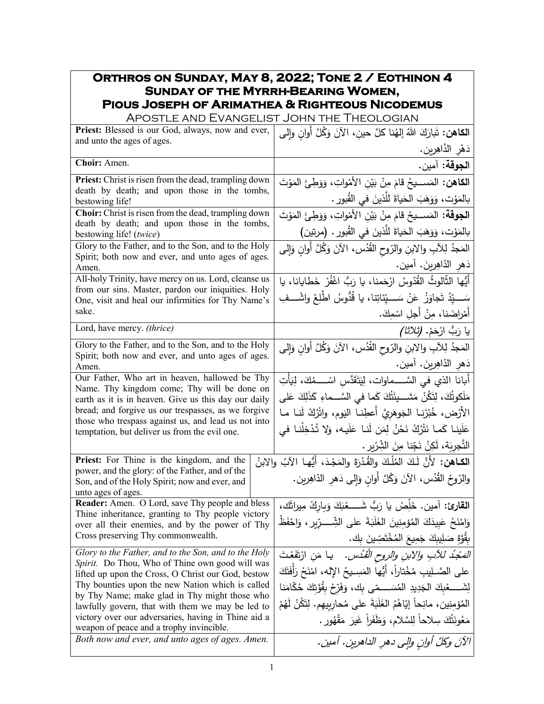## **Orthros on Sunday, May 8, 2022; Tone 2 / Eothinon 4 Sunday of the Myrrh-Bearing Women, Pious Joseph of Arimathea & Righteous Nicodemus**

| APOSTLE AND EVANGELIST JOHN THE THEOLOGIAN                                                               |                                                                                |  |
|----------------------------------------------------------------------------------------------------------|--------------------------------------------------------------------------------|--|
| Priest: Blessed is our God, always, now and ever,                                                        | ا <b>لكاهن:</b> تَبارَكَ اللهُ إلهُنا كلَّ حين، الآنَ وَكُلَّ أُوانٍ وإلى      |  |
| and unto the ages of ages.                                                                               | دَهْرِ الدَّاهِرِينِ.                                                          |  |
| Choir: Amen.                                                                                             | ا <b>لجوقة:</b> آمين.                                                          |  |
| Priest: Christ is risen from the dead, trampling down                                                    | ا <b>لكاهن:</b> المَســـيحُ قامَ مِنْ بَيْنِ الأَمْواتِ، وَوَطِئَ المَوْتَ     |  |
| death by death; and upon those in the tombs,<br>bestowing life!                                          | بالمَوْت، وَوَهَبَ الْحَياةَ للَّذينَ في القُبورِ .                            |  |
| Choir: Christ is risen from the dead, trampling down                                                     | ا <b>لجوقة:</b> المَســـيحُ قامَ مِنْ بَيْنِ الأَمْواتِ، وَوَطِئَ المَوْتَ     |  |
| death by death; and upon those in the tombs,<br>bestowing life! (twice)                                  | بالمَوْت، وَوَهَبَ الحَياةَ للَّذينَ في القُبور . (مرتين)                      |  |
| Glory to the Father, and to the Son, and to the Holy                                                     | المَجْدُ لِلآبِ والابنِ والرّوح القُدُس، الآنَ وَكُلَّ أُوانِ وَإِلَى          |  |
| Spirit; both now and ever, and unto ages of ages.<br>Amen.                                               | دَهر الدّاهِرينَ. آمين.                                                        |  |
| All-holy Trinity, have mercy on us. Lord, cleanse us                                                     | أَيُّها الثَّالوثُ القُدّوسُ ارْحَمنا، يا رَبُّ اغْفُرْ خَطايانا، يا           |  |
| from our sins. Master, pardon our iniquities. Holy<br>One, visit and heal our infirmities for Thy Name's | سَــــيّدُ تَجاوَزْ ۚ عَنْ سَــــيِّئاتِنا، يا قُدُّوسُ اطْلِعْ واشْــــفِ     |  |
| sake.                                                                                                    | أَمْراضَنا، مِنْ أَجلِ اسْمِكَ.                                                |  |
| Lord, have mercy. (thrice)                                                                               | يا رَبُّ ارْحَمْ. <i>(ثلاثا)</i>                                               |  |
| Glory to the Father, and to the Son, and to the Holy                                                     | المَجدُ لِلآبِ والابنِ والرّوحِ القُدُسِ، الآنَ وَكُلَّ أَوانِ وَإِلَى         |  |
| Spirit; both now and ever, and unto ages of ages.<br>Amen.                                               | دَهرِ الدّاهِرينَ. آمين.                                                       |  |
| Our Father, Who art in heaven, hallowed be Thy                                                           | أَبانا الذي في السَّـــماوات، لِيَتَقَدَّسِ اسْــــمُكَ، لِيَأْتِ              |  |
| Name. Thy kingdom come; Thy will be done on<br>earth as it is in heaven. Give us this day our daily      | مَلَكوتُكَ، لِتَكُنْ مَشـــيئَتُكَ كَما في السَّـــماءِ كَذَلِكَ عَلى          |  |
| bread; and forgive us our trespasses, as we forgive                                                      | الأَرْض، خُبْزَنـا الـجَوهَريَّ أَعطِنـا اليَوم، واتْرُكْ لَنـا مـا            |  |
| those who trespass against us, and lead us not into<br>temptation, but deliver us from the evil one.     | عَلَينا كَما نَتْرُكُ نَحْنُ لِمَن لَنا عَلَيه، وَلا تُدْخِلْنا في             |  |
|                                                                                                          | التَّجرِيَة، لَكِنْ نَجِّنا مِنَ الشِّرِّيرِ .                                 |  |
| Priest: For Thine is the kingdom, and the                                                                | الكـاهن: لأَنَّ لَكَ المُلْكَ والقُدْرَةَ والمَجْدَ، أَيُّها الآبُ والابنُ     |  |
| power, and the glory: of the Father, and of the                                                          | والرّوحُ القُدُس، الآنَ وَكُلَّ أُوانٍ وَإِلَى دَهْرِ الدّاهِرِينِ.            |  |
| Son, and of the Holy Spirit; now and ever, and<br>unto ages of ages.                                     |                                                                                |  |
| Reader: Amen. O Lord, save Thy people and bless                                                          | القارئ: أمين. خَلِّصْ يا رَبُّ شَــــعْبَكَ وَبِارِكْ مِيراثَك،                |  |
| Thine inheritance, granting to Thy people victory<br>over all their enemies, and by the power of Thy     | وَامْنَحْ عَبِيدَكَ الْمُؤْمِنِينَ الْغَلَبَةَ على الشِّــــرِّيرِ ، وَاحْفَظْ |  |
| Cross preserving Thy commonwealth.                                                                       | بِقُوَّةٍ صَلِيبِكَ جَمِيعَ الْمُخْتَصِّينَ بِك.                               |  |
| Glory to the Father, and to the Son, and to the Holy                                                     | <i>المَجْدُ للأبِ والابنِ والروحِ القُدُس.</i> يا مَنِ ارْتَقَعْتَ             |  |
| Spirit. Do Thou, Who of Thine own good will was<br>lifted up upon the Cross, O Christ our God, bestow    | على الصَّــلِيبِ مُخْتاراً، أَيُّها المَسِــيحُ الإِله، امْنَحْ رَأفَتَكَ      |  |
| Thy bounties upon the new Nation which is called                                                         |                                                                                |  |
| by Thy Name; make glad in Thy might those who<br>lawfully govern, that with them we may be led to        | المُؤمِنِين، مانِحاً إِيّاهُمُ الغَلَبَةَ على مُحارِبِيهِم. لِتَكُنْ لَهُمْ    |  |
| victory over our adversaries, having in Thine aid a                                                      | مَعُونَتُكَ سِلاحاً لِلسَّلامِ، وَظَفَراً غَيرَ مَقْهُورٍ .                    |  |
| weapon of peace and a trophy invincible.<br>Both now and ever, and unto ages of ages. Amen.              | الآنَ وكلَّ أوانِ والِي دهرِ الداهرينِ. آمينِ.                                 |  |
|                                                                                                          |                                                                                |  |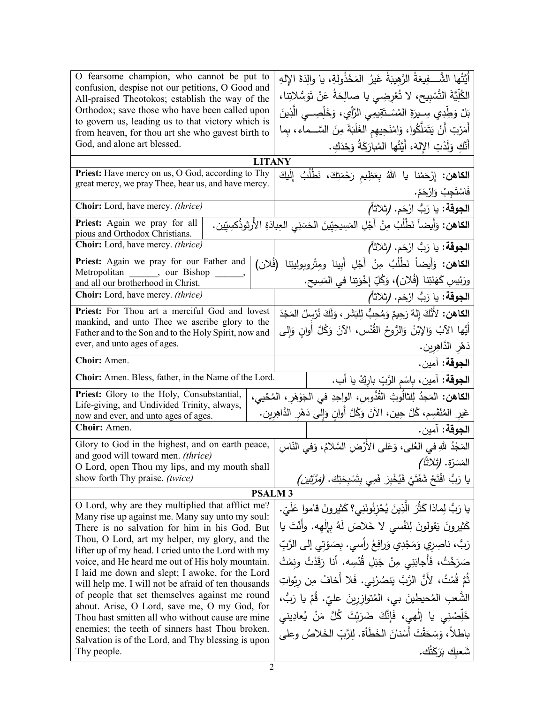| أَيَّتُها الشَّـــفِيعَةُ الرَّهِيبَةُ غَيرُ المَخْذُولةِ، يا والِدَةَ الإلهِ<br>confusion, despise not our petitions, O Good and<br>الكُلِّيَّةَ التَّسْبِيحِ، لا تُعْرِضِي يا صالِحَةُ عَنْ تَوَسُّلاتِنا،<br>All-praised Theotokos; establish the way of the |                            |  |
|-----------------------------------------------------------------------------------------------------------------------------------------------------------------------------------------------------------------------------------------------------------------|----------------------------|--|
|                                                                                                                                                                                                                                                                 |                            |  |
| Orthodox; save those who have been called upon<br>بَلْ وَطِّدِي سِـيرَةَ المُسْـتَقِيمِى الرَّأِي، وَخَلِّصِــى الَّذِينَ                                                                                                                                       |                            |  |
| to govern us, leading us to that victory which is<br>أَمَرْتِ أَنْ يَتَمَلَّكُوا، وَامْنَحِيهِم الغَلَبَةَ مِنَ السَّــماء، بِما<br>from heaven, for thou art she who gavest birth to                                                                           |                            |  |
| God, and alone art blessed.<br>أَنَّكِ وَلَدْتِ الإِلهَ، أَيَّتُها المُبارَكَةُ وَحْدَكِ.                                                                                                                                                                       |                            |  |
| <b>LITANY</b>                                                                                                                                                                                                                                                   |                            |  |
| Priest: Have mercy on us, O God, according to Thy<br>ا <b>لكاهن:</b> إِرْحَمْنا يا اللهُ بِعَظِيمِ رَحْمَتِكَ، نَطْلُبُ إِلَيكَ<br>great mercy, we pray Thee, hear us, and have mercy.                                                                          |                            |  |
|                                                                                                                                                                                                                                                                 | فَاسْتَجِبْ وَارْحَمْ.     |  |
| ا <b>لجوقة:</b> يا رَبُّ ارْحَم. (ثلاثاً <i>)</i><br>Choir: Lord, have mercy. (thrice)                                                                                                                                                                          |                            |  |
| ا <b>لكاهن:</b> وَأَيضاً نَطْلُبُ مِنْ أَجْلِ المَسِيحِيِّينَ الحَسَنِي العِبادَةِ الأُرثِوذُكسِيِّين.<br>Priest: Again we pray for all<br>pious and Orthodox Christians.                                                                                       |                            |  |
| <b>Choir:</b> Lord, have mercy. <i>(thrice)</i><br>ِ ا <b>لجوقة:</b> يا رَبُّ ارْحَم. (ثلاثاً <i>)</i>                                                                                                                                                          |                            |  |
| الكاهن: وَأَيضاً نَطْلُبُ مِنْ أَجْلِ أَبِينا ومِتْروبوليتِنا<br>Priest: Again we pray for our Father and<br>(فَلان)<br>Metropolitan ______, our Bishop                                                                                                         |                            |  |
| ورَئِيسِ كَهَنَتِنا (فُلان)، وَكُلِّ إِخْوَتِنا في المَسِيحِ.<br>and all our brotherhood in Christ.                                                                                                                                                             |                            |  |
| ا <b>لجوقة:</b> يا رَبُّ ارْحَم. (ثلاثاً <i>)</i><br><b>Choir:</b> Lord, have mercy. <i>(thrice)</i>                                                                                                                                                            |                            |  |
| ا <b>لكاهن:</b> لأَنَّكَ إِلهٌ رَحِيمٌ وَمُحِبٌّ لِلبَشَرِ ، وَلَكَ نُرْسِلُ المَجْدَ<br>Priest: For Thou art a merciful God and lovest<br>mankind, and unto Thee we ascribe glory to the                                                                       |                            |  |
| أَيُّها الآبُ وَالإِبْنُ وَالرُّوحُ القُدُسِ، الآنَ وَكُلَّ أُوانِ وَإِلى<br>Father and to the Son and to the Holy Spirit, now and                                                                                                                              |                            |  |
| ever, and unto ages of ages.                                                                                                                                                                                                                                    | دَهْرِ الدَّاهِرِينِ.      |  |
| Choir: Amen.                                                                                                                                                                                                                                                    | ا <b>لجوقة:</b> آمين.      |  |
| Choir: Amen. Bless, father, in the Name of the Lord.<br>ا <b>لجوقة:</b> آمين، بِاسْم الزَّبِّ بارِكْ يا أب.                                                                                                                                                     |                            |  |
| Priest: Glory to the Holy, Consubstantial,<br>ا <b>لكاهن:</b> المَجدُ لِلثالُوثِ القُدُّوسِ، الواحِدِ في الجَوْهَرِ ، المُحْيي،<br>Life-giving, and Undivided Trinity, always,                                                                                  |                            |  |
| غَيرِ المُنْقَسِم، كُلَّ حِين، الآنَ وَكُلَّ أُوانٍ وَإِلى دَهْرِ الدَّاهِرِين.<br>now and ever, and unto ages of ages.                                                                                                                                         |                            |  |
| Choir: Amen.                                                                                                                                                                                                                                                    | ا <b>لجوقة:</b> آمين.      |  |
| Glory to God in the highest, and on earth peace,<br>المَجْدُ للهِ في العُلى، وَعَلى الأَرْضِ السَّلامُ، وَفي النَّاسِ<br>and good will toward men. (thrice)                                                                                                     |                            |  |
| O Lord, open Thou my lips, and my mouth shall                                                                                                                                                                                                                   | المَسَرّة. <i>(ثلاثاً)</i> |  |
| يا رَبُّ افْتَحْ شَفَتَيَّ فَيُخْبِرَ ۖ فَمِ<br>show forth Thy praise. (twice)<br>ـ ، ىتَسْجَتِك. (مَرَّتَيْن)                                                                                                                                                  |                            |  |
| <b>PSALM3</b>                                                                                                                                                                                                                                                   |                            |  |
| O Lord, why are they multiplied that afflict me?<br>يا رَبُّ لِماذا كَثُرَ  الَّذِينَ يُحْزِنُونَنِي؟ كَثيرونَ قاموا عَلَيّ.<br>Many rise up against me. Many say unto my soul:                                                                                 |                            |  |
| كَثيرونَ يَقولونَ لِنَفْسي لا خَلاصَ لَهُ بِإِلْهِه. وأَنْتَ يا<br>There is no salvation for him in his God. But                                                                                                                                                |                            |  |
| Thou, O Lord, art my helper, my glory, and the<br>رَبُّ، ناصِري وَمَجْدِي وَرافِعُ رأسي. بِصَوْتي إلى الرَّبِّ<br>lifter up of my head. I cried unto the Lord with my                                                                                           |                            |  |
| صَرَخْتُ، فَأَجابَنِي مِنْ جَبَلِ قُدْسِه. أنا رَقَدْتُ ونِمْتُ<br>voice, and He heard me out of His holy mountain.                                                                                                                                             |                            |  |
| I laid me down and slept; I awoke, for the Lord<br>ثُمَّ قُمْتُ، لأَنَّ الرَّبَّ يَنصُرُنِي. فَلا أخافُ مِن رِبْواتِ<br>will help me. I will not be afraid of ten thousands                                                                                     |                            |  |
| of people that set themselves against me round<br>الشَّعبِ المُحيطينَ بي، المُتوازرينَ عليّ. قُمْ يا رَبُّ،                                                                                                                                                     |                            |  |
| about. Arise, O Lord, save me, O my God, for<br>خَلِّصْنِي يا إِلْهِي، فَإِنَّكَ ضَرَبْتَ كُلَّ مَنْ يُعادِيني<br>Thou hast smitten all who without cause are mine                                                                                              |                            |  |
| enemies; the teeth of sinners hast Thou broken.<br>باطلاً، وَسَحَقْتَ أَسْنانَ الخَطَأَة. لِلرَّبِّ الخَلاصُ وعلى                                                                                                                                               |                            |  |
| Salvation is of the Lord, and Thy blessing is upon<br>Thy people.                                                                                                                                                                                               | شَعبك بَرَكَتُك.           |  |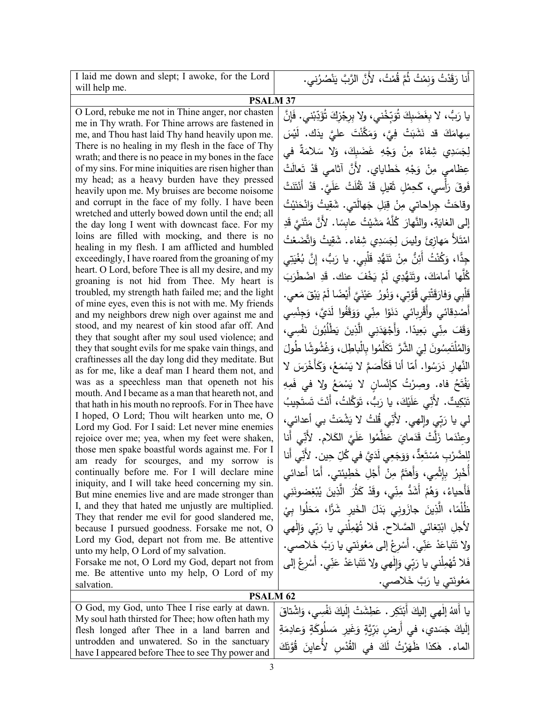| I laid me down and slept; I awoke, for the Lord                                                                                                                                                                                                                                                                                                                                                                                                                                                                                                                                                                                                                                                                                                                                                                                                                                                                                                                                                                                                                                                                                                                                                             | أَنا رَقَدْتُ وَنِمْتُ ثُمَّ قُمْتُ، لأَنَّ الرَّبَّ يَنْصُرُني.                                                                                                                                                                                                                                                                                                                                                                                                                                                                                                                                                                                                                                                                                                                                                                                                                                                                                                                                                                                                                                                                                                                                                                                                  |  |
|-------------------------------------------------------------------------------------------------------------------------------------------------------------------------------------------------------------------------------------------------------------------------------------------------------------------------------------------------------------------------------------------------------------------------------------------------------------------------------------------------------------------------------------------------------------------------------------------------------------------------------------------------------------------------------------------------------------------------------------------------------------------------------------------------------------------------------------------------------------------------------------------------------------------------------------------------------------------------------------------------------------------------------------------------------------------------------------------------------------------------------------------------------------------------------------------------------------|-------------------------------------------------------------------------------------------------------------------------------------------------------------------------------------------------------------------------------------------------------------------------------------------------------------------------------------------------------------------------------------------------------------------------------------------------------------------------------------------------------------------------------------------------------------------------------------------------------------------------------------------------------------------------------------------------------------------------------------------------------------------------------------------------------------------------------------------------------------------------------------------------------------------------------------------------------------------------------------------------------------------------------------------------------------------------------------------------------------------------------------------------------------------------------------------------------------------------------------------------------------------|--|
| will help me.                                                                                                                                                                                                                                                                                                                                                                                                                                                                                                                                                                                                                                                                                                                                                                                                                                                                                                                                                                                                                                                                                                                                                                                               |                                                                                                                                                                                                                                                                                                                                                                                                                                                                                                                                                                                                                                                                                                                                                                                                                                                                                                                                                                                                                                                                                                                                                                                                                                                                   |  |
| <b>PSALM 37</b><br>O Lord, rebuke me not in Thine anger, nor chasten                                                                                                                                                                                                                                                                                                                                                                                                                                                                                                                                                                                                                                                                                                                                                                                                                                                                                                                                                                                                                                                                                                                                        |                                                                                                                                                                                                                                                                                                                                                                                                                                                                                                                                                                                                                                                                                                                                                                                                                                                                                                                                                                                                                                                                                                                                                                                                                                                                   |  |
| me in Thy wrath. For Thine arrows are fastened in                                                                                                                                                                                                                                                                                                                                                                                                                                                                                                                                                                                                                                                                                                                                                                                                                                                                                                                                                                                                                                                                                                                                                           | يا رَبُّ، لا بِغَضَبِكَ تُوَبِّخْني، ولا بِرِجْزكَ تُؤَدِّبْني. فَإِنَّ                                                                                                                                                                                                                                                                                                                                                                                                                                                                                                                                                                                                                                                                                                                                                                                                                                                                                                                                                                                                                                                                                                                                                                                           |  |
| me, and Thou hast laid Thy hand heavily upon me.                                                                                                                                                                                                                                                                                                                                                                                                                                                                                                                                                                                                                                                                                                                                                                                                                                                                                                                                                                                                                                                                                                                                                            | سِهامَكَ قد نَشَبَتْ فِيَّ، وَمَكَّنْتَ عليَّ يدَك. لَيْسَ                                                                                                                                                                                                                                                                                                                                                                                                                                                                                                                                                                                                                                                                                                                                                                                                                                                                                                                                                                                                                                                                                                                                                                                                        |  |
| There is no healing in my flesh in the face of Thy                                                                                                                                                                                                                                                                                                                                                                                                                                                                                                                                                                                                                                                                                                                                                                                                                                                                                                                                                                                                                                                                                                                                                          | لِجَسَدِي شِفاءٌ مِنْ وَجْهِ غَضَبِكَ، وَلا سَلامَةٌ في                                                                                                                                                                                                                                                                                                                                                                                                                                                                                                                                                                                                                                                                                                                                                                                                                                                                                                                                                                                                                                                                                                                                                                                                           |  |
| wrath; and there is no peace in my bones in the face                                                                                                                                                                                                                                                                                                                                                                                                                                                                                                                                                                                                                                                                                                                                                                                                                                                                                                                                                                                                                                                                                                                                                        |                                                                                                                                                                                                                                                                                                                                                                                                                                                                                                                                                                                                                                                                                                                                                                                                                                                                                                                                                                                                                                                                                                                                                                                                                                                                   |  |
| of my sins. For mine iniquities are risen higher than<br>my head; as a heavy burden have they pressed                                                                                                                                                                                                                                                                                                                                                                                                                                                                                                                                                                                                                                                                                                                                                                                                                                                                                                                                                                                                                                                                                                       | عِظامي مِنْ وَجْهِ خَطايايِ. لأَنَّ آثامي قَدْ تَعالَتْ                                                                                                                                                                                                                                                                                                                                                                                                                                                                                                                                                                                                                                                                                                                                                                                                                                                                                                                                                                                                                                                                                                                                                                                                           |  |
| heavily upon me. My bruises are become noisome                                                                                                                                                                                                                                                                                                                                                                                                                                                                                                                                                                                                                                                                                                                                                                                                                                                                                                                                                                                                                                                                                                                                                              | فَوقَ رَأْسي، كَحِمْلٍ ثَقيلٍ قَدْ ثَقُلَتْ عَلَيَّ. قَدْ أَنْتَنَتْ                                                                                                                                                                                                                                                                                                                                                                                                                                                                                                                                                                                                                                                                                                                                                                                                                                                                                                                                                                                                                                                                                                                                                                                              |  |
| and corrupt in the face of my folly. I have been                                                                                                                                                                                                                                                                                                                                                                                                                                                                                                                                                                                                                                                                                                                                                                                                                                                                                                                                                                                                                                                                                                                                                            | وقاحَتْ جِراحاتي مِنْ قِبَلِ جَهالَتي. شَقِيتُ وَانْحَنَيْتُ                                                                                                                                                                                                                                                                                                                                                                                                                                                                                                                                                                                                                                                                                                                                                                                                                                                                                                                                                                                                                                                                                                                                                                                                      |  |
| wretched and utterly bowed down until the end; all                                                                                                                                                                                                                                                                                                                                                                                                                                                                                                                                                                                                                                                                                                                                                                                                                                                                                                                                                                                                                                                                                                                                                          | إلى الغايَةِ، والنَّهارَ كُلَّهُ مَشَيْتُ عابِسًا. لأَنَّ مَتْنَىَّ قَدِ                                                                                                                                                                                                                                                                                                                                                                                                                                                                                                                                                                                                                                                                                                                                                                                                                                                                                                                                                                                                                                                                                                                                                                                          |  |
| the day long I went with downcast face. For my                                                                                                                                                                                                                                                                                                                                                                                                                                                                                                                                                                                                                                                                                                                                                                                                                                                                                                                                                                                                                                                                                                                                                              |                                                                                                                                                                                                                                                                                                                                                                                                                                                                                                                                                                                                                                                                                                                                                                                                                                                                                                                                                                                                                                                                                                                                                                                                                                                                   |  |
| healing in my flesh. I am afflicted and humbled                                                                                                                                                                                                                                                                                                                                                                                                                                                                                                                                                                                                                                                                                                                                                                                                                                                                                                                                                                                                                                                                                                                                                             |                                                                                                                                                                                                                                                                                                                                                                                                                                                                                                                                                                                                                                                                                                                                                                                                                                                                                                                                                                                                                                                                                                                                                                                                                                                                   |  |
| exceedingly, I have roared from the groaning of my                                                                                                                                                                                                                                                                                                                                                                                                                                                                                                                                                                                                                                                                                                                                                                                                                                                                                                                                                                                                                                                                                                                                                          |                                                                                                                                                                                                                                                                                                                                                                                                                                                                                                                                                                                                                                                                                                                                                                                                                                                                                                                                                                                                                                                                                                                                                                                                                                                                   |  |
| groaning is not hid from Thee. My heart is                                                                                                                                                                                                                                                                                                                                                                                                                                                                                                                                                                                                                                                                                                                                                                                                                                                                                                                                                                                                                                                                                                                                                                  | كُلُّها أمامَكَ، وتَنَهُّدِي لَمْ يَخْفَ عنك. قَدِ اضْطَرَبَ                                                                                                                                                                                                                                                                                                                                                                                                                                                                                                                                                                                                                                                                                                                                                                                                                                                                                                                                                                                                                                                                                                                                                                                                      |  |
| troubled, my strength hath failed me; and the light                                                                                                                                                                                                                                                                                                                                                                                                                                                                                                                                                                                                                                                                                                                                                                                                                                                                                                                                                                                                                                                                                                                                                         | قَلْبِي وَفارَقَتْنِي قُوَّتِي، وَنُورُ  عَيْنَيَّ أَيْضًا لَمْ يَبْقَ مَعى.                                                                                                                                                                                                                                                                                                                                                                                                                                                                                                                                                                                                                                                                                                                                                                                                                                                                                                                                                                                                                                                                                                                                                                                      |  |
| and my neighbors drew nigh over against me and                                                                                                                                                                                                                                                                                                                                                                                                                                                                                                                                                                                                                                                                                                                                                                                                                                                                                                                                                                                                                                                                                                                                                              | أَصْدِقائي وأَقْرِبائي دَنَوْا مِنِّي وَوَقَفُوا لَدَيَّ، وَجِنْسِي                                                                                                                                                                                                                                                                                                                                                                                                                                                                                                                                                                                                                                                                                                                                                                                                                                                                                                                                                                                                                                                                                                                                                                                               |  |
|                                                                                                                                                                                                                                                                                                                                                                                                                                                                                                                                                                                                                                                                                                                                                                                                                                                                                                                                                                                                                                                                                                                                                                                                             |                                                                                                                                                                                                                                                                                                                                                                                                                                                                                                                                                                                                                                                                                                                                                                                                                                                                                                                                                                                                                                                                                                                                                                                                                                                                   |  |
|                                                                                                                                                                                                                                                                                                                                                                                                                                                                                                                                                                                                                                                                                                                                                                                                                                                                                                                                                                                                                                                                                                                                                                                                             |                                                                                                                                                                                                                                                                                                                                                                                                                                                                                                                                                                                                                                                                                                                                                                                                                                                                                                                                                                                                                                                                                                                                                                                                                                                                   |  |
| craftinesses all the day long did they meditate. But                                                                                                                                                                                                                                                                                                                                                                                                                                                                                                                                                                                                                                                                                                                                                                                                                                                                                                                                                                                                                                                                                                                                                        |                                                                                                                                                                                                                                                                                                                                                                                                                                                                                                                                                                                                                                                                                                                                                                                                                                                                                                                                                                                                                                                                                                                                                                                                                                                                   |  |
|                                                                                                                                                                                                                                                                                                                                                                                                                                                                                                                                                                                                                                                                                                                                                                                                                                                                                                                                                                                                                                                                                                                                                                                                             |                                                                                                                                                                                                                                                                                                                                                                                                                                                                                                                                                                                                                                                                                                                                                                                                                                                                                                                                                                                                                                                                                                                                                                                                                                                                   |  |
|                                                                                                                                                                                                                                                                                                                                                                                                                                                                                                                                                                                                                                                                                                                                                                                                                                                                                                                                                                                                                                                                                                                                                                                                             |                                                                                                                                                                                                                                                                                                                                                                                                                                                                                                                                                                                                                                                                                                                                                                                                                                                                                                                                                                                                                                                                                                                                                                                                                                                                   |  |
|                                                                                                                                                                                                                                                                                                                                                                                                                                                                                                                                                                                                                                                                                                                                                                                                                                                                                                                                                                                                                                                                                                                                                                                                             |                                                                                                                                                                                                                                                                                                                                                                                                                                                                                                                                                                                                                                                                                                                                                                                                                                                                                                                                                                                                                                                                                                                                                                                                                                                                   |  |
| I hoped, O Lord; Thou wilt hearken unto me, O                                                                                                                                                                                                                                                                                                                                                                                                                                                                                                                                                                                                                                                                                                                                                                                                                                                                                                                                                                                                                                                                                                                                                               |                                                                                                                                                                                                                                                                                                                                                                                                                                                                                                                                                                                                                                                                                                                                                                                                                                                                                                                                                                                                                                                                                                                                                                                                                                                                   |  |
| Lord my God. For I said: Let never mine enemies                                                                                                                                                                                                                                                                                                                                                                                                                                                                                                                                                                                                                                                                                                                                                                                                                                                                                                                                                                                                                                                                                                                                                             |                                                                                                                                                                                                                                                                                                                                                                                                                                                                                                                                                                                                                                                                                                                                                                                                                                                                                                                                                                                                                                                                                                                                                                                                                                                                   |  |
|                                                                                                                                                                                                                                                                                                                                                                                                                                                                                                                                                                                                                                                                                                                                                                                                                                                                                                                                                                                                                                                                                                                                                                                                             |                                                                                                                                                                                                                                                                                                                                                                                                                                                                                                                                                                                                                                                                                                                                                                                                                                                                                                                                                                                                                                                                                                                                                                                                                                                                   |  |
| am ready for scourges, and my sorrow is                                                                                                                                                                                                                                                                                                                                                                                                                                                                                                                                                                                                                                                                                                                                                                                                                                                                                                                                                                                                                                                                                                                                                                     |                                                                                                                                                                                                                                                                                                                                                                                                                                                                                                                                                                                                                                                                                                                                                                                                                                                                                                                                                                                                                                                                                                                                                                                                                                                                   |  |
| continually before me. For I will declare mine                                                                                                                                                                                                                                                                                                                                                                                                                                                                                                                                                                                                                                                                                                                                                                                                                                                                                                                                                                                                                                                                                                                                                              |                                                                                                                                                                                                                                                                                                                                                                                                                                                                                                                                                                                                                                                                                                                                                                                                                                                                                                                                                                                                                                                                                                                                                                                                                                                                   |  |
|                                                                                                                                                                                                                                                                                                                                                                                                                                                                                                                                                                                                                                                                                                                                                                                                                                                                                                                                                                                                                                                                                                                                                                                                             | فَأَحياءُ، وَهُمْ أَشَدُّ مِنِّى، وقَدْ كَثُرَ الَّذِينَ يُبْغِضونَنِي                                                                                                                                                                                                                                                                                                                                                                                                                                                                                                                                                                                                                                                                                                                                                                                                                                                                                                                                                                                                                                                                                                                                                                                            |  |
| I, and they that hated me unjustly are multiplied.                                                                                                                                                                                                                                                                                                                                                                                                                                                                                                                                                                                                                                                                                                                                                                                                                                                                                                                                                                                                                                                                                                                                                          |                                                                                                                                                                                                                                                                                                                                                                                                                                                                                                                                                                                                                                                                                                                                                                                                                                                                                                                                                                                                                                                                                                                                                                                                                                                                   |  |
|                                                                                                                                                                                                                                                                                                                                                                                                                                                                                                                                                                                                                                                                                                                                                                                                                                                                                                                                                                                                                                                                                                                                                                                                             |                                                                                                                                                                                                                                                                                                                                                                                                                                                                                                                                                                                                                                                                                                                                                                                                                                                                                                                                                                                                                                                                                                                                                                                                                                                                   |  |
|                                                                                                                                                                                                                                                                                                                                                                                                                                                                                                                                                                                                                                                                                                                                                                                                                                                                                                                                                                                                                                                                                                                                                                                                             |                                                                                                                                                                                                                                                                                                                                                                                                                                                                                                                                                                                                                                                                                                                                                                                                                                                                                                                                                                                                                                                                                                                                                                                                                                                                   |  |
| unto my help, O Lord of my salvation.                                                                                                                                                                                                                                                                                                                                                                                                                                                                                                                                                                                                                                                                                                                                                                                                                                                                                                                                                                                                                                                                                                                                                                       |                                                                                                                                                                                                                                                                                                                                                                                                                                                                                                                                                                                                                                                                                                                                                                                                                                                                                                                                                                                                                                                                                                                                                                                                                                                                   |  |
|                                                                                                                                                                                                                                                                                                                                                                                                                                                                                                                                                                                                                                                                                                                                                                                                                                                                                                                                                                                                                                                                                                                                                                                                             |                                                                                                                                                                                                                                                                                                                                                                                                                                                                                                                                                                                                                                                                                                                                                                                                                                                                                                                                                                                                                                                                                                                                                                                                                                                                   |  |
|                                                                                                                                                                                                                                                                                                                                                                                                                                                                                                                                                                                                                                                                                                                                                                                                                                                                                                                                                                                                                                                                                                                                                                                                             |                                                                                                                                                                                                                                                                                                                                                                                                                                                                                                                                                                                                                                                                                                                                                                                                                                                                                                                                                                                                                                                                                                                                                                                                                                                                   |  |
|                                                                                                                                                                                                                                                                                                                                                                                                                                                                                                                                                                                                                                                                                                                                                                                                                                                                                                                                                                                                                                                                                                                                                                                                             |                                                                                                                                                                                                                                                                                                                                                                                                                                                                                                                                                                                                                                                                                                                                                                                                                                                                                                                                                                                                                                                                                                                                                                                                                                                                   |  |
|                                                                                                                                                                                                                                                                                                                                                                                                                                                                                                                                                                                                                                                                                                                                                                                                                                                                                                                                                                                                                                                                                                                                                                                                             |                                                                                                                                                                                                                                                                                                                                                                                                                                                                                                                                                                                                                                                                                                                                                                                                                                                                                                                                                                                                                                                                                                                                                                                                                                                                   |  |
| My soul hath thirsted for Thee; how often hath my                                                                                                                                                                                                                                                                                                                                                                                                                                                                                                                                                                                                                                                                                                                                                                                                                                                                                                                                                                                                                                                                                                                                                           |                                                                                                                                                                                                                                                                                                                                                                                                                                                                                                                                                                                                                                                                                                                                                                                                                                                                                                                                                                                                                                                                                                                                                                                                                                                                   |  |
| flesh longed after Thee in a land barren and                                                                                                                                                                                                                                                                                                                                                                                                                                                                                                                                                                                                                                                                                                                                                                                                                                                                                                                                                                                                                                                                                                                                                                |                                                                                                                                                                                                                                                                                                                                                                                                                                                                                                                                                                                                                                                                                                                                                                                                                                                                                                                                                                                                                                                                                                                                                                                                                                                                   |  |
|                                                                                                                                                                                                                                                                                                                                                                                                                                                                                                                                                                                                                                                                                                                                                                                                                                                                                                                                                                                                                                                                                                                                                                                                             | الماء. هٰكذا ظَهَرْتُ لَكَ في القُدْسِ لأَعايِنَ قُوَّتَكَ                                                                                                                                                                                                                                                                                                                                                                                                                                                                                                                                                                                                                                                                                                                                                                                                                                                                                                                                                                                                                                                                                                                                                                                                        |  |
| loins are filled with mocking, and there is no<br>heart. O Lord, before Thee is all my desire, and my<br>of mine eyes, even this is not with me. My friends<br>stood, and my nearest of kin stood afar off. And<br>they that sought after my soul used violence; and<br>they that sought evils for me spake vain things, and<br>as for me, like a deaf man I heard them not, and<br>was as a speechless man that openeth not his<br>mouth. And I became as a man that heareth not, and<br>that hath in his mouth no reproofs. For in Thee have<br>rejoice over me; yea, when my feet were shaken,<br>those men spake boastful words against me. For I<br>iniquity, and I will take heed concerning my sin.<br>But mine enemies live and are made stronger than<br>They that render me evil for good slandered me,<br>because I pursued goodness. Forsake me not, O<br>Lord my God, depart not from me. Be attentive<br>Forsake me not, O Lord my God, depart not from<br>me. Be attentive unto my help, O Lord of my<br>salvation.<br><b>PSALM 62</b><br>O God, my God, unto Thee I rise early at dawn.<br>untrodden and unwatered. So in the sanctuary<br>have I appeared before Thee to see Thy power and | امْتَلأَ مَهازِئَ وليسَ لِجَسَدِي شِفاء. شَقِيتُ وَاتَّضَعْتُ<br>جِدًّا، وَكُنْتُ أَئِنُّ مِنْ تَنَهُّدِ قَلْبِي. يا رَبُّ، إِنَّ بُغْيَتِي<br>وَقَفَ مِنِّي بَعِيدًا. وَأَجْهَدَنِي الَّذِينَ يَطْلُبُونَ نَفْسِي،<br>وَالِمُلْتَمِسُونَ لِيَ الشَّرَّ تَكَلَّمُوا بِالْباطِلِ، وَغُشُوشًا طُولَ<br>النَّهار دَرَسُوا. أمّا أنا فَكَأَصَمَّ لا يَسْمَعُ، وَكَأَخْرَسَ لا<br>يَفْتَحُ فاه. وصِرْتُ كالْسان لا يَسْمَعُ ولا في فَمِهِ<br>تَبْكِيتٌ. لأَنِّى عَلَيْكَ، يا رَبُّ، تَوَكَّلتُ، أَنْتَ تَستَجِيبُ<br>لمي يا رَبِّي وإلهي. لأَنِّي قُلتُ لا يَشْمَتْ بِي أعدائي،<br>وعِنْدَما زَلَّتْ قَدَمايَ عَظَّمُوا عَلَيَّ الكَلامِ. لأُنِّي أَنا<br>لِلضَّرْبِ مُسْتَعِدٌّ، وَوَجَعِي لَدَيَّ في كُلِّ حِين. لأَنِّي أَنا<br>أُخْبِرُ بِإِثْمِي، وَأَهتَمُّ مِنْ أَجْلِ خَطِيئتي. أَمّا أَعدائي<br>ظُلْمًا، الَّذِينَ جازَونِي بَدَلَ الخَيرِ شَرًّا، مَحَلُوا بِيُ<br>لأجلِ ابْتِغائي الصَّلاحِ. فَلا تُهْمِلْني يا رَبِّي وَإِلْهِي<br>ولا تَتَباعَدْ عَنِّي. أَسْرِعْ إِلَى مَعُونَتي يا رَبَّ خَلاصي.<br>فَلا تُهْمِلْني يا رَبِّي وَإِلْهِي ولا تَتَباعَدْ عَنِّي. أَسْرِعْ إلى<br>مَعُونَتي يا رَبَّ خَلاصي.<br>يا أللهُ إلْهي إليكَ أَبْتَكِرٍ . عَطِشَتْ إِلَيكَ نَفْسِي، وَاشْتاقَ<br>إِلَيكَ جَسَدي، في أَرضِ بَرِّيَّةٍ وَغَيرِ مَسلَوكَةٍ وَعادِمَةِ |  |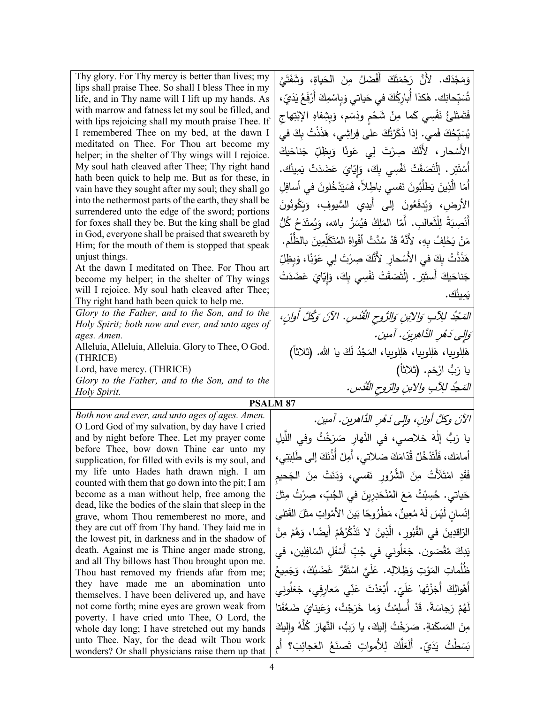| Thy glory. For Thy mercy is better than lives; my<br>lips shall praise Thee. So shall I bless Thee in my<br>life, and in Thy name will I lift up my hands. As<br>with marrow and fatness let my soul be filled, and<br>with lips rejoicing shall my mouth praise Thee. If<br>I remembered Thee on my bed, at the dawn I<br>meditated on Thee. For Thou art become my<br>helper; in the shelter of Thy wings will I rejoice.<br>My soul hath cleaved after Thee; Thy right hand<br>hath been quick to help me. But as for these, in<br>vain have they sought after my soul; they shall go<br>into the nethermost parts of the earth, they shall be<br>surrendered unto the edge of the sword; portions<br>for foxes shall they be. But the king shall be glad<br>in God, everyone shall be praised that sweareth by<br>Him; for the mouth of them is stopped that speak<br>unjust things.<br>At the dawn I meditated on Thee. For Thou art<br>become my helper; in the shelter of Thy wings<br>will I rejoice. My soul hath cleaved after Thee;<br>Thy right hand hath been quick to help me.<br>Glory to the Father, and to the Son, and to the | وَمَجْدَك. لأَنَّ رَحْمَتَكَ أَفْضَلُ مِنَ الْحَياةِ، وَشَفَتَيَّ<br>تُسَبِّحانِك. هٰكذا أُبارِكُكَ في حَياتي وَبِاسْمِكَ أَرْفَعُ يَدَيّ،<br>فَتَمتَلئُ نَفْسِي كَما مِنْ شَحْمٍ ودَسَم، وَبِشِفاهِ الإِبْتِهاج<br>يُسَبِّحُكَ فَمـى. إذا ذَكَرْتُكَ علـى فِراشِـى، هَذَذْتُ بِكَ فـى<br>الأَسْحارِ ، لأَنَّكَ صِرْتَ لِي عَونَا وَبِظِلِّ جَناحَيكَ<br>أَسْتَتِر . إِلْتَصَقَتْ نَفْسِي بِكَ، وَإِيّايَ عَضَدَتْ يَمِينُك.<br>أَمّا الَّذِينَ يَطلُبُونَ نَفسي باطِلاً، فَسَيَدْخُلونَ في أسافِلِ<br>الأرض، وَيُدفَعُونَ إِلَى أَيدِي السُّيوفِ، وَيَكُونُونَ<br>أَنْصِبَةً لِلْثَعالبِ. أَمّا المَلِكُ فيُسَرُّ بالله، وَيُمتَدَحُ كُلُّ<br>مَنْ يَحْلِفُ بِهِ، لأَنَّهُ قَدْ سُدَّتْ أَفْواهُ المُتَكَلِّمِينَ بِالظَّلْمِ.<br>هَذَنْتُ بِكَ في الأَسْحارِ ۖ لأَنَّكَ صِرْتَ لِي عَوْنًا، وَبِظِلِّ<br>جَناحَيكَ أَستَتِر . إلْتَصَقَتْ نَفْسِي بِكَ، وَإِيّايَ عَضَدَتْ<br>يَمِينُك.<br>المَجْدُ للِآبِ وَالِإِبْنِ وَالرُّوحِ الْقُدْسِ. الآنَ وَكُلَّ أُوانِ، |
|-------------------------------------------------------------------------------------------------------------------------------------------------------------------------------------------------------------------------------------------------------------------------------------------------------------------------------------------------------------------------------------------------------------------------------------------------------------------------------------------------------------------------------------------------------------------------------------------------------------------------------------------------------------------------------------------------------------------------------------------------------------------------------------------------------------------------------------------------------------------------------------------------------------------------------------------------------------------------------------------------------------------------------------------------------------------------------------------------------------------------------------------------|----------------------------------------------------------------------------------------------------------------------------------------------------------------------------------------------------------------------------------------------------------------------------------------------------------------------------------------------------------------------------------------------------------------------------------------------------------------------------------------------------------------------------------------------------------------------------------------------------------------------------------------------------------------------------------------------------------------------------------------------------------------------------------------------------------------------------------------------------------------------------------------------------------------------------------------------------------------------|
| Holy Spirit; both now and ever, and unto ages of                                                                                                                                                                                                                                                                                                                                                                                                                                                                                                                                                                                                                                                                                                                                                                                                                                                                                                                                                                                                                                                                                                |                                                                                                                                                                                                                                                                                                                                                                                                                                                                                                                                                                                                                                                                                                                                                                                                                                                                                                                                                                      |
| ages. Amen.<br>Alleluia, Alleluia, Alleluia. Glory to Thee, O God.                                                                                                                                                                                                                                                                                                                                                                                                                                                                                                                                                                                                                                                                                                                                                                                                                                                                                                                                                                                                                                                                              | وَالِي دَهْرِ الذَّاهِرِينَ. آمين.                                                                                                                                                                                                                                                                                                                                                                                                                                                                                                                                                                                                                                                                                                                                                                                                                                                                                                                                   |
| (THRICE)                                                                                                                                                                                                                                                                                                                                                                                                                                                                                                                                                                                                                                                                                                                                                                                                                                                                                                                                                                                                                                                                                                                                        | هَلِلوبِيا، هَلِلوبِيا، هَلِلوبِيا، المَجْدُ لَكَ يا الله. (ثلاثاً)                                                                                                                                                                                                                                                                                                                                                                                                                                                                                                                                                                                                                                                                                                                                                                                                                                                                                                  |
| Lord, have mercy. (THRICE)                                                                                                                                                                                                                                                                                                                                                                                                                                                                                                                                                                                                                                                                                                                                                                                                                                                                                                                                                                                                                                                                                                                      | يا رَبُّ ارْحَم. (ثلاثاً)                                                                                                                                                                                                                                                                                                                                                                                                                                                                                                                                                                                                                                                                                                                                                                                                                                                                                                                                            |
| Glory to the Father, and to the Son, and to the<br>Holy Spirit.                                                                                                                                                                                                                                                                                                                                                                                                                                                                                                                                                                                                                                                                                                                                                                                                                                                                                                                                                                                                                                                                                 | المَعجُد للِأَبِ والابنِ والرّوحِ القُدُسِ.                                                                                                                                                                                                                                                                                                                                                                                                                                                                                                                                                                                                                                                                                                                                                                                                                                                                                                                          |
|                                                                                                                                                                                                                                                                                                                                                                                                                                                                                                                                                                                                                                                                                                                                                                                                                                                                                                                                                                                                                                                                                                                                                 | <b>PSALM 87</b>                                                                                                                                                                                                                                                                                                                                                                                                                                                                                                                                                                                                                                                                                                                                                                                                                                                                                                                                                      |
| Both now and ever, and unto ages of ages. Amen.                                                                                                                                                                                                                                                                                                                                                                                                                                                                                                                                                                                                                                                                                                                                                                                                                                                                                                                                                                                                                                                                                                 | الآنَ وكلَّ أُوانٍ، وإلى دَهْرِ الدَّاهرينِ. آمين.                                                                                                                                                                                                                                                                                                                                                                                                                                                                                                                                                                                                                                                                                                                                                                                                                                                                                                                   |
| O Lord God of my salvation, by day have I cried                                                                                                                                                                                                                                                                                                                                                                                                                                                                                                                                                                                                                                                                                                                                                                                                                                                                                                                                                                                                                                                                                                 |                                                                                                                                                                                                                                                                                                                                                                                                                                                                                                                                                                                                                                                                                                                                                                                                                                                                                                                                                                      |
| and by night before Thee. Let my prayer come<br>before Thee, bow down Thine ear unto my                                                                                                                                                                                                                                                                                                                                                                                                                                                                                                                                                                                                                                                                                                                                                                                                                                                                                                                                                                                                                                                         | يا رَبُ إلٰهَ خلاصي، في النَّهارِ صَرَخْتُ وفي اللَّيلِ                                                                                                                                                                                                                                                                                                                                                                                                                                                                                                                                                                                                                                                                                                                                                                                                                                                                                                              |
| supplication, for filled with evils is my soul, and                                                                                                                                                                                                                                                                                                                                                                                                                                                                                                                                                                                                                                                                                                                                                                                                                                                                                                                                                                                                                                                                                             | أمامَكَ، فَلْتَدْخُلْ قُدّامَكَ صَلاتي، أَمِلْ أُذُنَكَ إلى طَلِبَتِي،                                                                                                                                                                                                                                                                                                                                                                                                                                                                                                                                                                                                                                                                                                                                                                                                                                                                                               |
| my life unto Hades hath drawn nigh. I am                                                                                                                                                                                                                                                                                                                                                                                                                                                                                                                                                                                                                                                                                                                                                                                                                                                                                                                                                                                                                                                                                                        | فَقَدِ امْتَلَأَتْ مِنَ الشُّرُورِ نَفسي، وَدَنَتْ مِنَ الْجَحيمِ                                                                                                                                                                                                                                                                                                                                                                                                                                                                                                                                                                                                                                                                                                                                                                                                                                                                                                    |
| counted with them that go down into the pit; I am<br>become as a man without help, free among the                                                                                                                                                                                                                                                                                                                                                                                                                                                                                                                                                                                                                                                                                                                                                                                                                                                                                                                                                                                                                                               | حَياتي. حُسِبْتُ مَعَ المُنْحَدِرِينَ في الجُبِّ، صِرْتُ مِثْلَ                                                                                                                                                                                                                                                                                                                                                                                                                                                                                                                                                                                                                                                                                                                                                                                                                                                                                                      |
| dead, like the bodies of the slain that sleep in the                                                                                                                                                                                                                                                                                                                                                                                                                                                                                                                                                                                                                                                                                                                                                                                                                                                                                                                                                                                                                                                                                            |                                                                                                                                                                                                                                                                                                                                                                                                                                                                                                                                                                                                                                                                                                                                                                                                                                                                                                                                                                      |
| grave, whom Thou rememberest no more, and                                                                                                                                                                                                                                                                                                                                                                                                                                                                                                                                                                                                                                                                                                                                                                                                                                                                                                                                                                                                                                                                                                       | إِنْسانٍ لَيْسَ لَهُ مُعِينٌ ، مَطْرُوِهَا بَينَ الأَمْواتِ مثلَ القَتلى                                                                                                                                                                                                                                                                                                                                                                                                                                                                                                                                                                                                                                                                                                                                                                                                                                                                                             |
| they are cut off from Thy hand. They laid me in<br>the lowest pit, in darkness and in the shadow of                                                                                                                                                                                                                                                                                                                                                                                                                                                                                                                                                                                                                                                                                                                                                                                                                                                                                                                                                                                                                                             | الرّاقدِينَ في القُبُورِ ، الَّذِينَ لا تَذْكُرُهُمْ أَيضًا، وَهُمْ مِنْ                                                                                                                                                                                                                                                                                                                                                                                                                                                                                                                                                                                                                                                                                                                                                                                                                                                                                             |
| death. Against me is Thine anger made strong,                                                                                                                                                                                                                                                                                                                                                                                                                                                                                                                                                                                                                                                                                                                                                                                                                                                                                                                                                                                                                                                                                                   | يَدِكَ مُقْصَون. جَعَلُونى فى جُبِّ أَسْفَلِ السّافِلِين، فى                                                                                                                                                                                                                                                                                                                                                                                                                                                                                                                                                                                                                                                                                                                                                                                                                                                                                                         |
| and all Thy billows hast Thou brought upon me.                                                                                                                                                                                                                                                                                                                                                                                                                                                                                                                                                                                                                                                                                                                                                                                                                                                                                                                                                                                                                                                                                                  |                                                                                                                                                                                                                                                                                                                                                                                                                                                                                                                                                                                                                                                                                                                                                                                                                                                                                                                                                                      |
| Thou hast removed my friends afar from me;                                                                                                                                                                                                                                                                                                                                                                                                                                                                                                                                                                                                                                                                                                                                                                                                                                                                                                                                                                                                                                                                                                      | ظُلُماتِ المَوْتِ وَظِلالِهِ. عَلَيَّ اسْتَقَرَّ غَضَبُكَ، وَجَمِيعُ                                                                                                                                                                                                                                                                                                                                                                                                                                                                                                                                                                                                                                                                                                                                                                                                                                                                                                 |
| they have made me an abomination unto<br>themselves. I have been delivered up, and have                                                                                                                                                                                                                                                                                                                                                                                                                                                                                                                                                                                                                                                                                                                                                                                                                                                                                                                                                                                                                                                         | أَهْوالِكَ أَجَزْتَها عَلَىّ. أَبْعَدْتَ عَنِّي مَعارفي، جَعَلُونِي                                                                                                                                                                                                                                                                                                                                                                                                                                                                                                                                                                                                                                                                                                                                                                                                                                                                                                  |
| not come forth; mine eyes are grown weak from                                                                                                                                                                                                                                                                                                                                                                                                                                                                                                                                                                                                                                                                                                                                                                                                                                                                                                                                                                                                                                                                                                   | لَهُمْ رَجاسَةً. قَدْ أَسلِمْتُ وَما خَرَجْتُ، وَعَيناىَ ضَعُفَتا                                                                                                                                                                                                                                                                                                                                                                                                                                                                                                                                                                                                                                                                                                                                                                                                                                                                                                    |
| poverty. I have cried unto Thee, O Lord, the                                                                                                                                                                                                                                                                                                                                                                                                                                                                                                                                                                                                                                                                                                                                                                                                                                                                                                                                                                                                                                                                                                    |                                                                                                                                                                                                                                                                                                                                                                                                                                                                                                                                                                                                                                                                                                                                                                                                                                                                                                                                                                      |
| whole day long; I have stretched out my hands                                                                                                                                                                                                                                                                                                                                                                                                                                                                                                                                                                                                                                                                                                                                                                                                                                                                                                                                                                                                                                                                                                   |                                                                                                                                                                                                                                                                                                                                                                                                                                                                                                                                                                                                                                                                                                                                                                                                                                                                                                                                                                      |
| unto Thee. Nay, for the dead wilt Thou work                                                                                                                                                                                                                                                                                                                                                                                                                                                                                                                                                                                                                                                                                                                                                                                                                                                                                                                                                                                                                                                                                                     | مِنَ المَسكَنةِ. صَرَخْتُ إليكَ، يا رَبُّ، النَّهارَ كُلَّهُ واليكَ<br>بَسَطْتُ يَدَيّ. أَلَعَلَّكَ لِلأَمواتِ تَصنَعُ العَجائِبَ؟ أَم                                                                                                                                                                                                                                                                                                                                                                                                                                                                                                                                                                                                                                                                                                                                                                                                                               |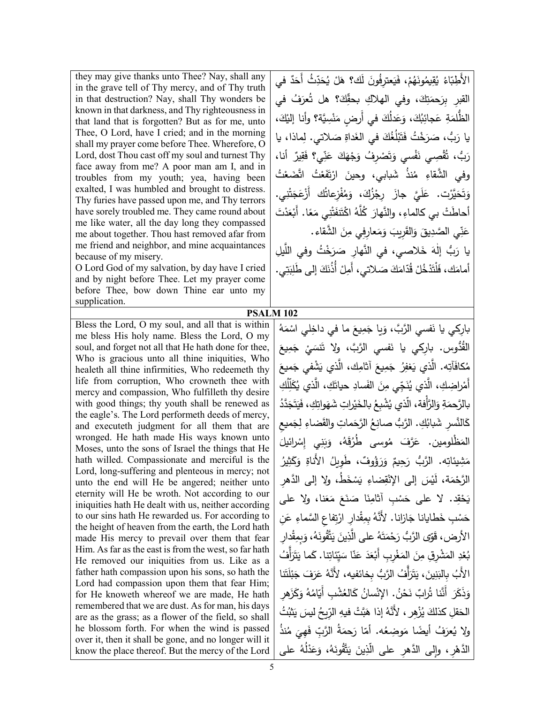they may give thanks unto Thee? Nay, shall any in the grave tell of Thy mercy, and of Thy truth in that destruction? Nay, shall Thy wonders be known in that darkness, and Thy righteousness in that land that is forgotten? But as for me, unto Thee, O Lord, have I cried; and in the morning shall my prayer come before Thee. Wherefore, O Lord, dost Thou cast off my soul and turnest Thy face away from me? A poor man am I, and in troubles from my youth; yea, having been exalted, I was humbled and brought to distress. Thy furies have passed upon me, and Thy terrors have sorely troubled me. They came round about me like water, all the day long they compassed me about together. Thou hast removed afar from me friend and neighbor, and mine acquaintances because of my misery.

O Lord God of my salvation, by day have I cried and by night before Thee. Let my prayer come before Thee, bow down Thine ear unto my supplication.

Bless the Lord, O my soul, and all that is within me bless His holy name. Bless the Lord, O my soul, and forget not all that He hath done for thee, Who is gracious unto all thine iniquities, Who healeth all thine infirmities, Who redeemeth thy life from corruption, Who crowneth thee with mercy and compassion, Who fulfilleth thy desire with good things; thy youth shall be renewed as the eagle's. The Lord performeth deeds of mercy, and executeth judgment for all them that are wronged. He hath made His ways known unto Moses, unto the sons of Israel the things that He hath willed. Compassionate and merciful is the Lord, long-suffering and plenteous in mercy; not unto the end will He be angered; neither unto eternity will He be wroth. Not according to our iniquities hath He dealt with us, neither according to our sins hath He rewarded us. For according to the height of heaven from the earth, the Lord hath made His mercy to prevail over them that fear Him. As far as the east is from the west, so far hath He removed our iniquities from us. Like as a father hath compassion upon his sons, so hath the Lord had compassion upon them that fear Him; for He knoweth whereof we are made, He hath remembered that we are dust. As for man, his days are as the grass; as a flower of the field, so shall he blossom forth. For when the wind is passed over it, then it shall be gone, and no longer will it know the place thereof. But the mercy of the Lord

الأَطِبّاءُ يُقِيمُونَهُمْ، فَيَعترِفُونَ لَك؟ هَلْ يُحَدِّثُ أَحَدٌ في القبرِ بِرَحمَتِكَ، وفي الهلاكِ بحقِّكَ؟ هل تُعرَفُ في ةِ عَجائِبُكَ، وَعَدْلُكَ في أَرضٍ مَنْسِيَّة؟ وأنا إليْكَ، ْ مَةِ<br>م الظُّلمَ َخَتْ فَتَبْلُغُكَ في الغَداةِ صَلاتي. لِماذا، يا .<br>. <sub>َ</sub><br>سَرَء َرَبُّ، صَر يا رَد مُّصِي نَفْسي وَتَصْرِفُ وَجْهَكَ عَنِّي؟ فَقِيرٌ أنا، ق <u>بّ</u> َ ُّب، ت ر وفي الشّقاءِ مُنذ شَبابي، وحينَ ارْتَفَعْتُ اتّضَعْتُ ءَ<br>ا َضع ئتُ اتَّ<br>ِ ةُ<br>مُعْ َف ت .<br>ا لشَّقاءِ مُا ْت. عَلَيَّ جازَ رِجْزُكَ، وَمُفْزِعاتُك أَزْعَجَتْنِي. ؾٞۛۯڐ َ َحَمَّا ت َ و أَحاطَتْ بي كالماءِ، والنَّهارَ كُلَّهُ اكْتَنفَتْنِي مَعًا. أَبْعَدْتَ عَنِّي الصَّدِيقَ وَالقَرِيبَ وَمَعارِفِي مِنَ الشَّقاء. َ يا رَبُّ إِلٰهَ خَلاصي، في النَّهارِ صَرَخْتُ وفي اللَّيلِ أمامَك، فَلْتَدْخُلْ قُدّامَكَ صَلاتي، أَمِلْ أَذُنَكَ إلى طَلِبَتِي.

## **PSALM 102**

بارِكي يا نَفسي الرَّبَّ، وَيا جَمِيعَ ما في داخِلي اسْمَهُ القُدُّوس. بارِكي يا نَفسي الرَّبَّ، ولا تَنسَيْ جَمِيعَ<br>مَسْمَد مُكافَأتِه. الَّذي يَغفِرُ جَمِيعَ آثامِك، الَّذي يَشْفي جَميعَ<br>ِ أَمْراضِكِ، الَّذِي يُنَجِّي مِنَ الفَسادِ حياتَكِ، الَّذي يُكَلِّلُكِ بالرَّحمَةِ وَالرَّأْفة، الَّذي يُشْبِعُ بالخَيْراتِ شَهَواتِكِ، فَيَتَجَدَّدُ كَالنَّسِرِ شَبابُكِ. الرَّبُّ صانِعُ الرَّحَماتِ والقَضاءِ لِجَميعِ كالتس المَظْلومين. عَرَّفَ مُوسى طُرُقَهُ، وَبَنِي إِسْرائيلَ َحِيمٌ وَرَؤُوفٌ، طَوِيلُ الأَناةِ وَدَ مَثِيئاتِه. الرَّبُّ رَحِيمٌ وَرَؤُوفٌ، طَوِيلُ الأَّناةِ وَكَثِيرُ ً<br>ً الرَّحْمَة، لَيْسَ إلى الإِنْقِضاءِ يَسْخَطُ، ولا إلى الدَّهرِ يَحْقِد. لا على حَسْبِ أثامِنَا صَنَعَ مَعَنا، ولا على حَسْبِ خَطايانا جَازانا. لأَنَّهُ بِمِقْدارِ ارْتِفاعِ السَّماءِ عَنِ .<br>ا الأرض، قَوّى الرَّبُّ رَحْمَتَهُ على الَّذِينَ يَتَّقُونَهُ، وَبِمِقْدارِ بُعْدِ المَشْرِقِ مِنَ المَغْرِبِ أَبْعَدَ عَنّا سَيِّئاتِنا. كَما يَتَزَأَّفُ الأَبُ بِالبَنِينَ، يَتَرَأَّفُ الرَّبُّ بِخائفيه، لأَنَّهُ عَرَفَ جَبْلَتَنا **ٔ** وَذَكَرَ أَنَّنا تُرابٌ نَحْنُ. الإِنْسانُ كَالعُشْبِ أَيّامُهُ وَكَزَهرِ الْحَقلِ كذلكَ يُزْهِر ، 'لأَنَّهُ إذا هَبَّتْ فيهِ الرِّيحُ ليسَ يَثْبُتُ<br>-ولا يُعرَفُ أيضًا مَوضِعُه. أمّا رَحمَةُ الرَّبِّ فَهِيَ مُنذُ<br>م ُ على ُه ْ ل َد َع ،ُ و َه ُون َّق ت َ َ ی ِین ِر َّ ، و�لى الد ِهر ّ على الذ َّ الده<u>ٔ</u>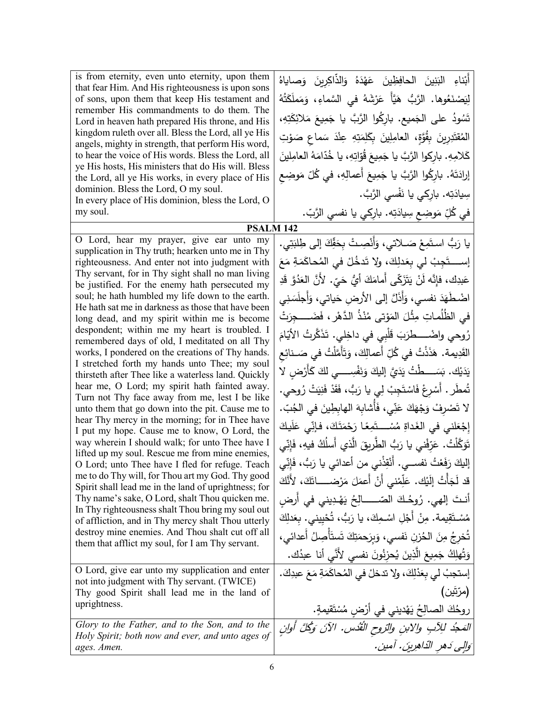| is from eternity, even unto eternity, upon them<br>that fear Him. And His righteousness is upon sons<br>of sons, upon them that keep His testament and<br>remember His commandments to do them. The<br>Lord in heaven hath prepared His throne, and His<br>kingdom ruleth over all. Bless the Lord, all ye His<br>angels, mighty in strength, that perform His word,<br>to hear the voice of His words. Bless the Lord, all<br>ye His hosts, His ministers that do His will. Bless<br>the Lord, all ye His works, in every place of His<br>dominion. Bless the Lord, O my soul.<br>In every place of His dominion, bless the Lord, O<br>my soul.                                                                                                                                                                                                                                                                                                                                                                                                                                                                                                                                                                                                                                                                                                                                                                                                                                                                                                                                        | أَبْناءِ البَنِينَ الحافِظِينَ عَهْدَهُ وَالذّاكِرِينَ وَصاياهُ<br>لِيَصْنَعُوها. الرَّبُّ هَيَّأٌ عَرْشَهُ في السَّماءِ، وَمَملَكَتُهُ<br>تَسُودُ على الجَميع. باركُوا الرَّبَّ يا جَمِيعَ مَلائِكَتِهِ،<br>المُقتَدِرِينَ بِقُوَّةٍ، العامِلِينَ بِكَلِمَتِهِ عِنْدَ سَماعٍ صَوْتِ<br>كَلامِهِ. بارِكوا الرَّبَّ يا جَمِيعَ قُوّاتِهِ، يا خُدّامَهُ العامِلينَ<br>إرادَتَهُ. بارِكُوا الرَّبَّ يا جَمِيعَ أَعمالِهِ، في كُلّ مَوضِع<br>سِيادَتِه. بارِكي يا نَفْسي الرَّبَّ.<br>في كُلِّ مَوضِعٍ سِيادَتِه. بارِكِي يا نفسي الرَّبّ.                                                                                                                                                                                                                                                                                                                                                                                                                                                                                                                                                                                                                                                                                                                                                                                         |
|-----------------------------------------------------------------------------------------------------------------------------------------------------------------------------------------------------------------------------------------------------------------------------------------------------------------------------------------------------------------------------------------------------------------------------------------------------------------------------------------------------------------------------------------------------------------------------------------------------------------------------------------------------------------------------------------------------------------------------------------------------------------------------------------------------------------------------------------------------------------------------------------------------------------------------------------------------------------------------------------------------------------------------------------------------------------------------------------------------------------------------------------------------------------------------------------------------------------------------------------------------------------------------------------------------------------------------------------------------------------------------------------------------------------------------------------------------------------------------------------------------------------------------------------------------------------------------------------|--------------------------------------------------------------------------------------------------------------------------------------------------------------------------------------------------------------------------------------------------------------------------------------------------------------------------------------------------------------------------------------------------------------------------------------------------------------------------------------------------------------------------------------------------------------------------------------------------------------------------------------------------------------------------------------------------------------------------------------------------------------------------------------------------------------------------------------------------------------------------------------------------------------------------------------------------------------------------------------------------------------------------------------------------------------------------------------------------------------------------------------------------------------------------------------------------------------------------------------------------------------------------------------------------------------------------------|
| <b>PSALM 142</b>                                                                                                                                                                                                                                                                                                                                                                                                                                                                                                                                                                                                                                                                                                                                                                                                                                                                                                                                                                                                                                                                                                                                                                                                                                                                                                                                                                                                                                                                                                                                                                        |                                                                                                                                                                                                                                                                                                                                                                                                                                                                                                                                                                                                                                                                                                                                                                                                                                                                                                                                                                                                                                                                                                                                                                                                                                                                                                                                |
| O Lord, hear my prayer, give ear unto my<br>supplication in Thy truth; hearken unto me in Thy<br>righteousness. And enter not into judgment with<br>Thy servant, for in Thy sight shall no man living<br>be justified. For the enemy hath persecuted my<br>soul; he hath humbled my life down to the earth.<br>He hath sat me in darkness as those that have been<br>long dead, and my spirit within me is become<br>despondent; within me my heart is troubled. I<br>remembered days of old, I meditated on all Thy<br>works, I pondered on the creations of Thy hands.<br>I stretched forth my hands unto Thee; my soul<br>thirsteth after Thee like a waterless land. Quickly<br>hear me, O Lord; my spirit hath fainted away.<br>Turn not Thy face away from me, lest I be like<br>unto them that go down into the pit. Cause me to<br>hear Thy mercy in the morning; for in Thee have<br>I put my hope. Cause me to know, O Lord, the<br>way wherein I should walk; for unto Thee have I<br>lifted up my soul. Rescue me from mine enemies,<br>O Lord; unto Thee have I fled for refuge. Teach<br>me to do Thy will, for Thou art my God. Thy good<br>Spirit shall lead me in the land of uprightness; for<br>Thy name's sake, O Lord, shalt Thou quicken me.<br>In Thy righteousness shalt Thou bring my soul out<br>of affliction, and in Thy mercy shalt Thou utterly<br>destroy mine enemies. And Thou shalt cut off all<br>them that afflict my soul, for I am Thy servant.<br>O Lord, give ear unto my supplication and enter<br>not into judgment with Thy servant. (TWICE) | يا رَبُّ استَمِعْ صَــلاتي، وَأَنْصِـتْ بِحَقِّكَ إلى طِلبَتِي.<br>إســــــتَجِبْ لي بِعَدلِكَ، ولا تَدخُلْ في المُحاكَمَةِ مَعَ<br>عَبدِك، فإِنَّه لَنْ يَتَزَكَّى أَمامَكَ أَيُّ حَىّ. لأَنَّ العَدُوَّ قَدِ<br>اضْطَهَدَ نفسي، وَأَذَلَّ إلى الأرضِ حَياتي، وَأجلَسَنِي<br>في الظُلُماتِ مِثْلَ المَوْتي مُنْذُ الدَّهْرِ ، فَضَـــــجِرَتْ<br>رُوحي واضْـــــطرَبَ قَلْبِي في داخِلي. تَذَكَّرتُ الأَيّامَ<br>القَدِيمة. هَذَذْتُ في كُلِّ أعمالِكَ، وَتَأَمَّلْتُ في صَــنائِع<br>يَدَيْك. بَسَــــطْتُ يَدَيَّ إِليكَ وَنَفْسِـــــى لكَ كَأَرْضِ لا<br>تُمطَر . أَسْرِعْ فَاسْتَجِبْ لِي يا رَبُّ، فَقَدْ فَنِيَتْ رُوحي.<br>لا تَصْرِفْ وَجْهَكَ عَنِّى، فَأَشابِهَ الهابِطِينَ في الجُبّ.<br>إِجْعَلني في الغَداةِ مُسْـــتَمِعًا رَحْمَتَكَ، فإنِّي عَلَيكَ<br>تَوَكَّلْتُ. عَرِّفْني يا رَبُّ الطَّريقَ الَّذي أَسلُكُ فيهِ، فَإِنِّي<br>إليكَ رَفَعْتُ نَفســـي. أَنْقِذْنـي من أعدائـي يا رَبُّ، فَإِنِّي<br>قد لَجَأْتُ إِلَيْك. عَلِّمْني أَنْ أَعمَلَ مَرْضـــــاتَكَ، لأَنَّكَ<br>أنتَ إلهي. رُوحُكَ الصّـــــالِحُ يَهْدِيني في أرض<br>مُسْـتَقِيمة. مِنْ أَجْلِ اسْـمِكَ، يا رَبُّ، تُحْيِيني. بِعَدلِكَ<br>تُخرِجُ مِنَ الحُزنِ نَفسي، وَبِرَحمَتِكَ تَستَأْصِلُ أعدائى،<br>وَتُهلِكُ جَمِيعَ الَّذِينَ يُحزِنُونَ نفسى لأَنَّى أنا عبدُك.<br>إستجبْ لي بِعَدْلِكَ، ولا تدخلْ في المُحاكَمَةِ مَعَ عبدِكَ. |
| Thy good Spirit shall lead me in the land of<br>uprightness.                                                                                                                                                                                                                                                                                                                                                                                                                                                                                                                                                                                                                                                                                                                                                                                                                                                                                                                                                                                                                                                                                                                                                                                                                                                                                                                                                                                                                                                                                                                            | (مرّتَين)<br>روحُكَ الصالِحُ يَهْديني في أَرْضِ مُسْتَقيمةٍ.                                                                                                                                                                                                                                                                                                                                                                                                                                                                                                                                                                                                                                                                                                                                                                                                                                                                                                                                                                                                                                                                                                                                                                                                                                                                   |
| Glory to the Father, and to the Son, and to the                                                                                                                                                                                                                                                                                                                                                                                                                                                                                                                                                                                                                                                                                                                                                                                                                                                                                                                                                                                                                                                                                                                                                                                                                                                                                                                                                                                                                                                                                                                                         |                                                                                                                                                                                                                                                                                                                                                                                                                                                                                                                                                                                                                                                                                                                                                                                                                                                                                                                                                                                                                                                                                                                                                                                                                                                                                                                                |
| Holy Spirit; both now and ever, and unto ages of<br>ages. Amen.                                                                                                                                                                                                                                                                                                                                                                                                                                                                                                                                                                                                                                                                                                                                                                                                                                                                                                                                                                                                                                                                                                                                                                                                                                                                                                                                                                                                                                                                                                                         | المَجْدُ للِأَبِ والآبنِ والرّوحِ القُدُسِ. الآنَ وَكُلَّ أُوانِ<br>وَالِي دَهر الدّاهِرِينَ. آمين.                                                                                                                                                                                                                                                                                                                                                                                                                                                                                                                                                                                                                                                                                                                                                                                                                                                                                                                                                                                                                                                                                                                                                                                                                            |
|                                                                                                                                                                                                                                                                                                                                                                                                                                                                                                                                                                                                                                                                                                                                                                                                                                                                                                                                                                                                                                                                                                                                                                                                                                                                                                                                                                                                                                                                                                                                                                                         |                                                                                                                                                                                                                                                                                                                                                                                                                                                                                                                                                                                                                                                                                                                                                                                                                                                                                                                                                                                                                                                                                                                                                                                                                                                                                                                                |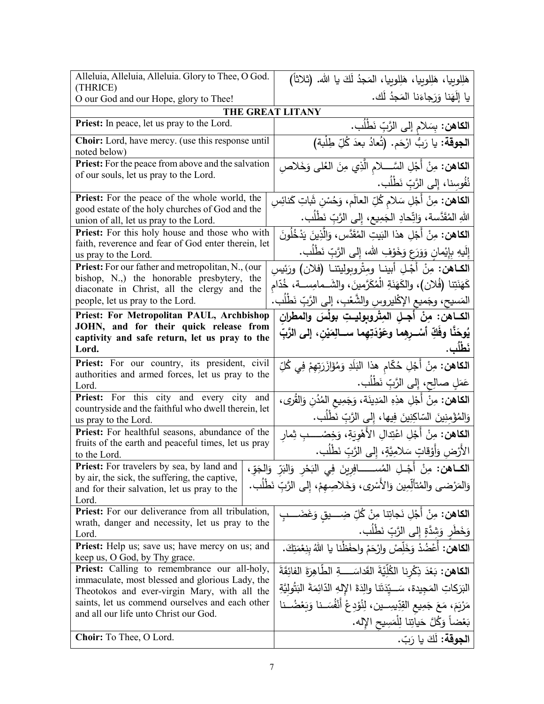| Alleluia, Alleluia, Alleluia. Glory to Thee, O God.<br>(THRICE)                                      | هَلِلوبِيا، هَلِلوبِيا، هَلِلوبِيا، المَجدُ لَكَ يا الله. (ثلاثاً)                     |
|------------------------------------------------------------------------------------------------------|----------------------------------------------------------------------------------------|
| O our God and our Hope, glory to Thee!                                                               | يا إِلَهَنا وَرَجاءَنا المَجدُ لَك.                                                    |
| THE GREAT LITANY                                                                                     |                                                                                        |
| Priest: In peace, let us pray to the Lord.                                                           | ا <b>لكاهن:</b> بِسَلام إلى الرَّبِّ نَطْلُب.                                          |
| Choir: Lord, have mercy. (use this response until<br>noted below)                                    | ا <b>لجوقة:</b> يا رَبُّ ارْحَم. (تُعادُ بعدَ كُلِّ طِلْبة)                            |
| <b>Priest:</b> For the peace from above and the salvation                                            | ا <b>لكاهن:</b> مِنْ أَجْلِ السَّــــلام الَّذِي مِنَ العُلى وَخَلاصِ                  |
| of our souls, let us pray to the Lord.                                                               | نُفُوسِنا، إِلى الرَّبِّ نَطْلُب.                                                      |
| <b>Priest:</b> For the peace of the whole world, the                                                 | <b>الكاهن:</b> مِنْ أَجْلِ سَلام كُلِّ العالَم، وَحُسْن شَاتِ كَنائِسِ                 |
| good estate of the holy churches of God and the<br>union of all, let us pray to the Lord.            | اللهِ المُقَدَّسة، وَاتِّحادِ الجَمِيعِ، إِلى الرَّبِّ نَطْلُبٍ.                       |
| Priest: For this holy house and those who with                                                       | ا <b>لكاهن:</b> مِنْ أَجْلِ هذا البَيتِ المُقَدَّسِ، وَالَّذِينَ يَدْخُلُونَ           |
| faith, reverence and fear of God enter therein, let                                                  |                                                                                        |
| us pray to the Lord.                                                                                 | إِلَيهِ بِإِيْمانٍ وَوَرَعٍ وَخَوْفِ اللهِ، إِلَى الرَّبِّ نَطْلَبٍ.                   |
| <b>Priest:</b> For our father and metropolitan, N., (our                                             | ا <b>لكـاهن</b> : مِنْ أَجْـلِ أبينــا ومِثْروبوليتنــا (فلان) ورَئِيسِ                |
| bishop, N.,) the honorable presbytery, the<br>diaconate in Christ, all the clergy and the            | كَهَنَتِنا (فُلان)، والكَهَنَةِ الْمُكَرَّمِينَ، والشَــمامِســة، خُدّام               |
| people, let us pray to the Lord.                                                                     | المَسيح، وجَميع الإكْليروسِ والشَّعْبِ، إلى الرَّبِّ نَطْلُب.                          |
| Priest: For Metropolitan PAUL, Archbishop                                                            | الكــاهن: مِنْ أَجــلِ المِتْروبوليــتِ بولَسَ والمطران                                |
| JOHN, and for their quick release from                                                               | يُوحَنَّا وفَكِّ أَسْـرِهِما وعَوْدَتِهِما ســالِمَيْنِ، إلى الرَّبِّ                  |
| captivity and safe return, let us pray to the<br>Lord.                                               | نَطْلُبِ.                                                                              |
| Priest: For our country, its president, civil                                                        |                                                                                        |
| authorities and armed forces, let us pray to the                                                     | ا <b>لكاهن:</b> مِنْ أَجْلِ حُكّام هذا البَلَدِ وَمُؤَازَرَتِهِمْ فِي كُلِّ            |
| Lord.                                                                                                | عَمَلٍ صالِحٍ، إِلى الرَّبِّ نَطْلُب.                                                  |
| Priest: For this city and every city and                                                             | ا <b>لكاهن:</b> مِنْ أَجْلِ هذِهِ المَدِينَة، وَجَمِيعِ المُدُنِ وَالقُرى،             |
| countryside and the faithful who dwell therein, let<br>us pray to the Lord.                          | وَالِمُؤْمِنِينَ السّاكِنِينَ فِيها، إِلَى الرَّبِّ نَطْلُب.                           |
| Priest: For healthful seasons, abundance of the                                                      | ا <b>لكاهن:</b> مِنْ أَجْلِ اعْتِدالِ الأَهْوِيَةِ، وَخِصْــــبِ ثِمار                 |
| fruits of the earth and peaceful times, let us pray                                                  | الأَرْضِ وَأَوْقَاتٍ سَلامِيَّةٍ، إِلَى الرَّبِّ نَطْلَب.                              |
| to the Lord.<br>Priest: For travelers by sea, by land and                                            |                                                                                        |
| by air, the sick, the suffering, the captive,                                                        | ا <b>لكــاهن:</b> مِنْ أَجْــلِ المُســـــــافِرِينَ فِي البَحْرِ وَالبَرِّ وَالجَوِّ، |
| and for their salvation, let us pray to the                                                          | وَالمَرْضىي والمُتأَلِّمِين وَالأَسْرِي، وَخَلاصِهِمْ، إِلَى الرَّبِّ نَطْلُبٍ.        |
| Lord.                                                                                                |                                                                                        |
| Priest: For our deliverance from all tribulation,<br>wrath, danger and necessity, let us pray to the | ا <b>لكاهن:</b> مِنْ أَجْلِ نَجاتِنا مِنْ كُلِّ ضِــــيق وَغَضَـــبِ                   |
| Lord.                                                                                                | وَخَطَرٍ وَشَدَّةٍ إِلَى الرَّبِّ نَطْلُبٍ.                                            |
| Priest: Help us; save us; have mercy on us; and<br>keep us, O God, by Thy grace.                     | ا <b>لكاهن:</b> أعْضُدْ وَخَلِّصْ ولِرْحَمْ واحفَظْنا يا اللهُ بنِعْمَتِكَ.            |
| Priest: Calling to remembrance our all-holy,                                                         | ا <b>لكاهن:</b> بَعْدَ ذِكْرِنا الكُلِّيَّةَ القَداسَــــةِ الطَّاهِرَةَ الفائِقَةَ    |
| immaculate, most blessed and glorious Lady, the                                                      |                                                                                        |
| Theotokos and ever-virgin Mary, with all the                                                         |                                                                                        |
|                                                                                                      | البَرَكاتِ المَجِيدة، سَـــيّدَتَنا والِدَةَ الإِلهِ الدّائِمَةَ البَتُولِيَّةِ        |
| saints, let us commend ourselves and each other<br>and all our life unto Christ our God.             | مَرْيَمَ، مَعَ جَمِيعِ القِدِّيسِــين، لِنُوْدِعْ أَنْفُسَــنا وَبَعْضُــنا            |
| Choir: To Thee, O Lord.                                                                              | بَعْضاً وَكُلَّ حَياتِنا لِلْمَسِيحِ الإِله.<br>ا <b>لجوقة:</b> لَكَ يا رَبّ.          |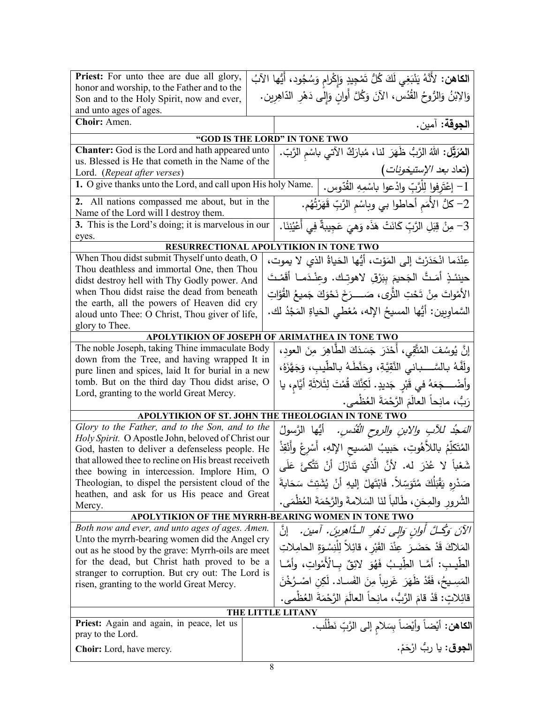| Priest: For unto thee are due all glory,                                                            |  | ا <b>لكاهن:</b> لأَنَّهُ يَنْبَغِي لَكَ كُلُّ تَمْجِيدٍ وَإِكْرامٍ وَسُجُودٍ، أَيُّها الآبُ |  |
|-----------------------------------------------------------------------------------------------------|--|---------------------------------------------------------------------------------------------|--|
| honor and worship, to the Father and to the                                                         |  | وَالِابْنُ وَالرُّوحُ القُدُس، الآنَ وَكُلَّ أُوانِ وَإِلى دَهْرِ الدّاهِرِين.              |  |
| Son and to the Holy Spirit, now and ever,<br>and unto ages of ages.                                 |  |                                                                                             |  |
| Choir: Amen.                                                                                        |  | ا <b>لجوقة:</b> آمين.                                                                       |  |
|                                                                                                     |  | "GOD IS THE LORD" IN TONE TWO                                                               |  |
| Chanter: God is the Lord and hath appeared unto                                                     |  | المُعَرَّقِل: اللهُ الرَّبُّ ظَهَرَ لنا، مُبارَكٌ الآتي باسْم الرَّبّ.                      |  |
| us. Blessed is He that cometh in the Name of the                                                    |  |                                                                                             |  |
| Lord. (Repeat after verses)                                                                         |  | (تعاد <i>بعد الإستيخونات</i> )                                                              |  |
| 1. O give thanks unto the Lord, and call upon His holy Name.                                        |  | 1– إعْتَرِفوا لِلْرَّبِّ وادْعوا باسْمِهِ القُدّوس.                                         |  |
| 2. All nations compassed me about, but in the<br>Name of the Lord will I destroy them.              |  | 2– كلُّ الأُمَمِ أَحاطُوا بي وبِاسْمِ الرَّبِّ قَهَرْتُهُم.                                 |  |
| 3. This is the Lord's doing; it is marvelous in our                                                 |  | 3– مِنْ قِبَلِ الرَّبِّ كَانَتْ هَذَه وَهِيَ عَجِيبةٌ فِي أَعْيُنِنَا.                      |  |
| eyes.                                                                                               |  |                                                                                             |  |
|                                                                                                     |  | RESURRECTIONAL APOLYTIKION IN TONE TWO                                                      |  |
| When Thou didst submit Thyself unto death, O<br>Thou deathless and immortal One, then Thou          |  | عِنْدَما انْحَدَرْتَ إِلَى المَوْتِ، أَيُّها الحَياةُ الذي لا يموت،                         |  |
| didst destroy hell with Thy Godly power. And                                                        |  | حينئـذٍ أَمَـتَّ الْجَحيمَ بِبَرْقٍ لاهوتـك. وعِنْـدَمــا أَقَمْـتَ                         |  |
| when Thou didst raise the dead from beneath                                                         |  | الأَمْواتَ مِنْ تَحْتِ الثَّرى، صَــــرَخَ نَحْوَكَ جَميعُ القُوَّاتِ                       |  |
| the earth, all the powers of Heaven did cry<br>aloud unto Thee: O Christ, Thou giver of life,       |  | السَّماوِيين: أَيُّها المسيحُ اﻹله، مُعْطى الحَياةِ المَجْدُ لك.                            |  |
| glory to Thee.                                                                                      |  |                                                                                             |  |
|                                                                                                     |  | APOLYTIKION OF JOSEPH OF ARIMATHEA IN TONE TWO                                              |  |
| The noble Joseph, taking Thine immaculate Body                                                      |  | إِنَّ يُوسُفَ المُتَّقِى، أَحْدَرَ جَسَدَكَ الطَّاهِرَ مِنَ العودِ،                         |  |
| down from the Tree, and having wrapped It in                                                        |  |                                                                                             |  |
| pure linen and spices, laid It for burial in a new                                                  |  | ولَفَّهُ بِالسَّـــباني النَّقِيَّةِ، وحَنَّطَهُ بِالطَّيبِ، وَجَهَّزَهُ،                   |  |
| tomb. But on the third day Thou didst arise, O                                                      |  | وأَضْــــجَعَهُ في قَبْرِ جَديدٍ. لَكِنَّكَ قُمْتَ لِثَلاثَةِ أَيَّام، يا                   |  |
| Lord, granting to the world Great Mercy.                                                            |  | رَبٌ، مانِحاً العالَمَ الرَّحْمَةَ العُظْمي.                                                |  |
|                                                                                                     |  | APOLYTIKION OF ST. JOHN THE THEOLOGIAN IN TONE TWO                                          |  |
| Glory to the Father, and to the Son, and to the                                                     |  | <i>المَجُد للآبِ والابنِ والروح القُدْسِ.</i> أَيُّها الرَّسولُ                             |  |
| Holy Spirit. O Apostle John, beloved of Christ our                                                  |  |                                                                                             |  |
| God, hasten to deliver a defenseless people. He                                                     |  | المُتَكلِّمُ باللاَّهُوتِ، حَبيبُ المَسيحِ الإِلهِ، أَسْرِعْ وأَنْقِذْ                      |  |
| that allowed thee to recline on His breast receiveth<br>thee bowing in intercession. Implore Him, O |  | شَعْباً لا عُذرَ له. لأنَّ الَّذي تَنازَلَ أنْ تَتَّكئَ عَلَى                               |  |
| Theologian, to dispel the persistent cloud of the                                                   |  | صَدْرِهِ يَقْبَلُكَ مُتَوَسِّلاً. فَابْتَهلْ إِليهِ أَنْ يُشَتِتَ سَحَابةَ                  |  |
| heathen, and ask for us His peace and Great                                                         |  | الشُرورِ والمِحَنِ، طَالباً لنَا السَلامةَ والرَّحْمَةَ العُظْمَىِ.                         |  |
| Mercy.                                                                                              |  |                                                                                             |  |
| APOLYTIKION OF THE MYRRH-BEARING WOMEN IN TONE TWO                                                  |  |                                                                                             |  |
| Both now and ever, and unto ages of ages. Amen.<br>Unto the myrrh-bearing women did the Angel cry   |  | الآنَ وَكُــلَّ أُولِنٍ وَإِلَى دَهْرِ الـدَّاهِرِينَ. آمين. ﴿نَّ                           |  |
| out as he stood by the grave: Myrrh-oils are meet                                                   |  | المَلاكَ قَدْ حَضَـرَ عِنْدَ القَبْرِ ، قَائِلاً لِلْنِسْوَةِ الحامِلاتِ                    |  |
| for the dead, but Christ hath proved to be a                                                        |  | الطَّيب: أمَّــا الطِّيــبُ فَهُوَ لائِقٌ بــالْأَمْواتِ، وأمَّــا                          |  |
| stranger to corruption. But cry out: The Lord is                                                    |  |                                                                                             |  |
| risen, granting to the world Great Mercy.                                                           |  | المَسِـيحُ، فَقَدْ ظَهَرَ غَرِيباً مِنَ الفَسـاد. لَكِن اصْـرُخْنَ                          |  |
|                                                                                                     |  | قَائِلاتٍ: قَدْ قَامَ الرَّبُّ، مانِحاً العالَمَ الرَّحْمَةَ العُظْمي.                      |  |
|                                                                                                     |  | THE LITTLE LITANY                                                                           |  |
| <b>Priest:</b> Again and again, in peace, let us<br>pray to the Lord.                               |  | ا <b>لكاهن:</b> أَيْضاً وأَيْضاً بِسَلامِ إلى الرَّبِّ نَطْلُب.                             |  |
| Choir: Lord, have mercy.                                                                            |  | ا <b>لجوق</b> : يا ربُّ ارْحَمْ.                                                            |  |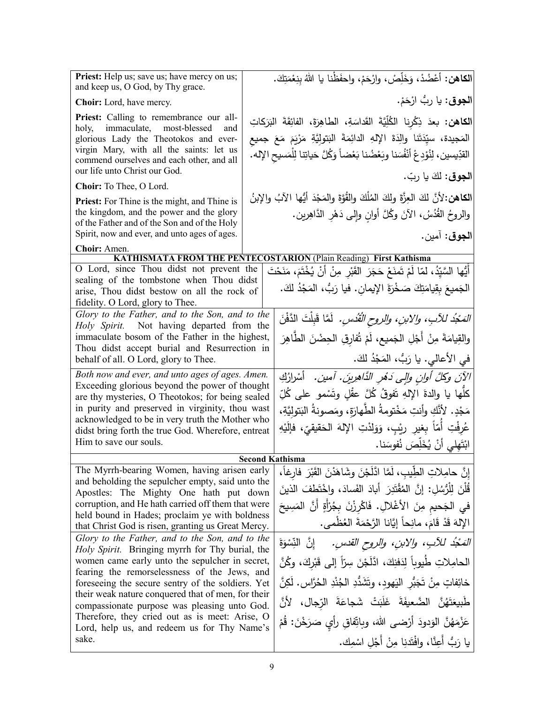| Priest: Help us; save us; have mercy on us;<br>and keep us, O God, by Thy grace.                                                                                                                                                                                                                                                                                                                                                                                                                                                                                                                                                                                                                                                    |  | الكاهن: أَعْضُدْ، وَخَلِّصْ، وارْحَمْ، واحفَظْنا يا اللهُ بِنِعْمَتِكَ.                                                                                                                                                                                                                                                                                                                                                                                                                                                                                                                                                                                     |
|-------------------------------------------------------------------------------------------------------------------------------------------------------------------------------------------------------------------------------------------------------------------------------------------------------------------------------------------------------------------------------------------------------------------------------------------------------------------------------------------------------------------------------------------------------------------------------------------------------------------------------------------------------------------------------------------------------------------------------------|--|-------------------------------------------------------------------------------------------------------------------------------------------------------------------------------------------------------------------------------------------------------------------------------------------------------------------------------------------------------------------------------------------------------------------------------------------------------------------------------------------------------------------------------------------------------------------------------------------------------------------------------------------------------------|
| <b>Choir:</b> Lord, have mercy.                                                                                                                                                                                                                                                                                                                                                                                                                                                                                                                                                                                                                                                                                                     |  | ا <b>لجوق</b> : يا ربُ ارْحَمْ.                                                                                                                                                                                                                                                                                                                                                                                                                                                                                                                                                                                                                             |
| <b>Priest:</b> Calling to remembrance our all-<br>immaculate, most-blessed<br>holy,<br>and<br>glorious Lady the Theotokos and ever-<br>virgin Mary, with all the saints: let us<br>commend ourselves and each other, and all<br>our life unto Christ our God.                                                                                                                                                                                                                                                                                                                                                                                                                                                                       |  | ا <b>لكاهن:</b> بعدَ ذِكْرِنا الكُلِّيَّةَ القَداسَةِ، الطاهِرَةَ، الفائِقَةَ البَرَكاتِ<br>المَجيدة، سيِّدَتَنا والِدَةَ اﻹلهِ الدائِمَةَ البَتولِيَّةِ مَرْيَمَ مَعَ جميعِ<br>القدِّيسين، لِنُوْدِعْ أَنْفُسَنا وبَعْضُنا بَعْضاً وَكُلَّ حَياتِنا لِلْمَسيحِ الإِلهِ.                                                                                                                                                                                                                                                                                                                                                                                    |
| Choir: To Thee, O Lord.                                                                                                                                                                                                                                                                                                                                                                                                                                                                                                                                                                                                                                                                                                             |  | ا <b>لجوق</b> : لكَ يا ربّ.                                                                                                                                                                                                                                                                                                                                                                                                                                                                                                                                                                                                                                 |
| <b>Priest:</b> For Thine is the might, and Thine is<br>the kingdom, and the power and the glory<br>of the Father and of the Son and of the Holy<br>Spirit, now and ever, and unto ages of ages.                                                                                                                                                                                                                                                                                                                                                                                                                                                                                                                                     |  | الكاهن:لأنَّ لكَ العِزَّةَ ولكَ المُلْكَ والقُوَّةَ والمَجْدَ أَيُّها الآبُ والإبنُ<br>والروحُ القُدُسُ، الآنَ وكُلَّ أوانِ وإلى دَهْرِ الدَّاهِرين.<br>ا <b>لجوق</b> : آمين.                                                                                                                                                                                                                                                                                                                                                                                                                                                                               |
| Choir: Amen.                                                                                                                                                                                                                                                                                                                                                                                                                                                                                                                                                                                                                                                                                                                        |  |                                                                                                                                                                                                                                                                                                                                                                                                                                                                                                                                                                                                                                                             |
| O Lord, since Thou didst not prevent the<br>sealing of the tombstone when Thou didst<br>arise, Thou didst bestow on all the rock of<br>fidelity. O Lord, glory to Thee.                                                                                                                                                                                                                                                                                                                                                                                                                                                                                                                                                             |  | <b>KATHISMATA FROM THE PENTECOSTARION (Plain Reading) First Kathisma</b><br>أَيُّها السَّيِّدُ، لمّا لَمْ تَمنَعْ حَجَرَ القَبْرِ مِنْ أَنْ يُخْتَمَ، مَنَحْتَ<br>الْجَمِيعَ بِقِيامَتِكَ صَخْرَةَ الإِيمانِ. فيا رَبُّ، الْمَجْدُ لَكَ.                                                                                                                                                                                                                                                                                                                                                                                                                    |
| Glory to the Father, and to the Son, and to the<br>Holy Spirit. Not having departed from the<br>immaculate bosom of the Father in the highest,<br>Thou didst accept burial and Resurrection in<br>behalf of all. O Lord, glory to Thee.                                                                                                                                                                                                                                                                                                                                                                                                                                                                                             |  | <i>المَجْدُ للآبِ، والابنِ، والروح الْقُدْسِ.</i> لَمَّا قَبِلْتَ الدَّفْنَ<br>والقِيامَةَ مِنْ أَجْلِ الجَميع، لَمْ تُفارِقِ الحِضْنَ الطَّاهِرَ<br>في الأعالي. يا رَبٌّ، المَجْدُ لكَ.                                                                                                                                                                                                                                                                                                                                                                                                                                                                    |
| Both now and ever, and unto ages of ages. Amen.<br>Exceeding glorious beyond the power of thought<br>are thy mysteries, O Theotokos; for being sealed<br>in purity and preserved in virginity, thou wast<br>acknowledged to be in very truth the Mother who<br>didst bring forth the true God. Wherefore, entreat<br>Him to save our souls.                                                                                                                                                                                                                                                                                                                                                                                         |  | الآنَ وكُلَّ أُولِنٍ وَإِلَى دَهْرِ الذَّاهِرِينَ. آمين. أَسْرارُكِ<br>كلُّها يا والدةَ الإِلهِ تَفوقُ كُلَّ عقْلِ وتَسْمو على كُلِّ<br>مَجْدٍ. لأَنَّكِ وأنتِ مَخْتومةُ الطَّهارَةِ، ومَصونةُ البَتوليَّةِ،<br>عُرِفْتِ أُمّاً بِغيرِ رِيْبٍ، وَوَلِدْتِ الإِلهَ الحَقيقيِّ، فإلَيْهِ<br>ابْتَهِلِّي أَنْ يُخَلِّصَ نُفوسَنا.                                                                                                                                                                                                                                                                                                                              |
| <b>Second Kathisma</b><br>The Myrrh-bearing Women, having arisen early                                                                                                                                                                                                                                                                                                                                                                                                                                                                                                                                                                                                                                                              |  |                                                                                                                                                                                                                                                                                                                                                                                                                                                                                                                                                                                                                                                             |
| and beholding the sepulcher empty, said unto the<br>Apostles: The Mighty One hath put down<br>corruption, and He hath carried off them that were<br>held bound in Hades; proclaim ye with boldness<br>that Christ God is risen, granting us Great Mercy.<br>Glory to the Father, and to the Son, and to the<br><i>Holy Spirit.</i> Bringing myrrh for Thy burial, the<br>women came early unto the sepulcher in secret,<br>fearing the remorselessness of the Jews, and<br>foreseeing the secure sentry of the soldiers. Yet<br>their weak nature conquered that of men, for their<br>compassionate purpose was pleasing unto God.<br>Therefore, they cried out as is meet: Arise, O<br>Lord, help us, and redeem us for Thy Name's |  | إِنَّ حامِلاتِ الطِّيبِ، لَمَّا ادَّلَجْنَ وشَاهَدْنَ القَبْرَ فارغاً،<br>قُلْنَ لِلْرُّسُلِ: إِنَّ الْمُقْتَدِرَ أَبِادَ الفَسادَ، واخْتَطفَ الذينَ<br>ِ في الجَحيمِ مِنَ الأَغْلالِ. فَاكْرِزْنَ بِجُرْأَةٍ أَنَّ الْمَسِيحَ<br>الإِلهَ قَدْ قَامَ، مانِحاً إِيَّانا الرَّحْمَةَ العُظْمي.<br><i>التَّحْدُ للآبِ، والابنِ، والروح القدسِ.</i> ﴿ إِنَّ النِّسْوَةَ<br>الحامِلاتِ طُيوباً لِدَفنِكَ، ادَّلَجْنَ سِرّاً إلى قَبْركَ، وكُنَّ<br>خائِفاتٍ مِنْ تَجَبُّرِ اليَهودِ، وتَشَدُّدِ الجُنْدِ الحُرَّاسِ. لَكِنَّ<br>طَبِيعَتَهُنَّ الضَّعيفَةَ غَلَبَتْ شَجاعَةَ الرّجال، لأنَّ<br>عَزْمَهُنَّ الوَدودَ أَرْضىي اللهَ، وباتِّفاقٍ رأي صَرَخْنَ: قُمْ |
| sake.                                                                                                                                                                                                                                                                                                                                                                                                                                                                                                                                                                                                                                                                                                                               |  | يا رَبُّ أَعِنَّا، وافْتَدنِا مِنْ أَجْلِ اسْمِكَ.                                                                                                                                                                                                                                                                                                                                                                                                                                                                                                                                                                                                          |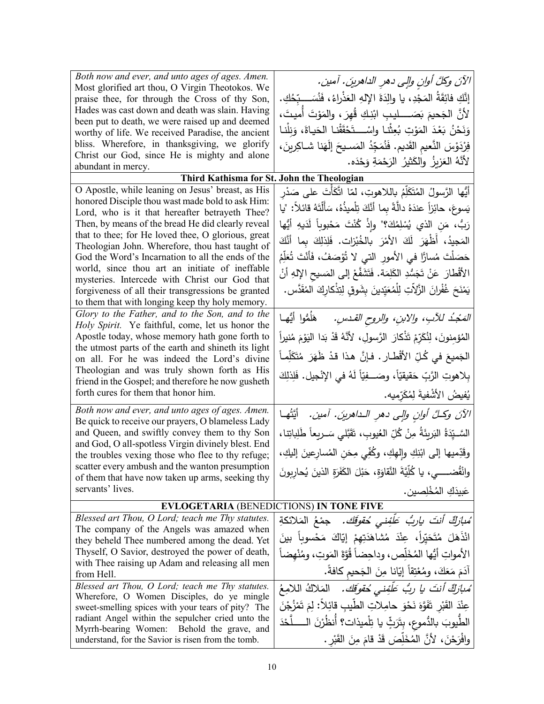| Both now and ever, and unto ages of ages. Amen.<br>Most glorified art thou, O Virgin Theotokos. We                                                                                                                                                                                                                                                                                                                                                                                                                                                                                     | الآنَ وكلَّ أوانِ والٍى دهرِ الداهرينَ. آمين.                                                                                                                                                                                                                                                                                                                                                                                                                                                                                            |
|----------------------------------------------------------------------------------------------------------------------------------------------------------------------------------------------------------------------------------------------------------------------------------------------------------------------------------------------------------------------------------------------------------------------------------------------------------------------------------------------------------------------------------------------------------------------------------------|------------------------------------------------------------------------------------------------------------------------------------------------------------------------------------------------------------------------------------------------------------------------------------------------------------------------------------------------------------------------------------------------------------------------------------------------------------------------------------------------------------------------------------------|
| praise thee, for through the Cross of thy Son,<br>Hades was cast down and death was slain. Having<br>been put to death, we were raised up and deemed<br>worthy of life. We received Paradise, the ancient<br>bliss. Wherefore, in thanksgiving, we glorify<br>Christ our God, since He is mighty and alone<br>abundant in mercy.                                                                                                                                                                                                                                                       | إِنَّكِ فائِقَةُ المَجْدِ، يا والِدَةَ اﻹلهِ العَذْراءُ، فَنُسَـــبّحُكِ.<br>لأنَّ الجَحيمَ بَصَــــــليبِ ابْنِكِ قُهِرَ ، والمَوْتَ أُميتَ،<br>وَنَحْنُ بَعْدَ المَوْتِ بُعِثْنا واسْـــتَحْقَقْنا الحَياةَ، وَنِلْنا<br>فِرْدَوْسَ النَّعيمِ القَديمِ. فَنُمَجِّدُ المَسـيحَ إِلَهَنا شـاكِرينَ،<br>لأَنَّهُ العَزِيزُ ۖ والكَثيرُ ۖ الرَحْمَةِ وَحْدَه.                                                                                                                                                                              |
| Third Kathisma for St. John the Theologian                                                                                                                                                                                                                                                                                                                                                                                                                                                                                                                                             |                                                                                                                                                                                                                                                                                                                                                                                                                                                                                                                                          |
| O Apostle, while leaning on Jesus' breast, as His<br>honored Disciple thou wast made bold to ask Him:<br>Lord, who is it that hereafter betrayeth Thee?<br>Then, by means of the bread He did clearly reveal<br>that to thee; for He loved thee, O glorious, great<br>Theologian John. Wherefore, thou hast taught of<br>God the Word's Incarnation to all the ends of the<br>world, since thou art an initiate of ineffable<br>mysteries. Intercede with Christ our God that<br>forgiveness of all their transgressions be granted<br>to them that with longing keep thy holy memory. | أَيُّها الرَّسولُ المُتَكَلِّمُ باللاهوتِ، لمّا اتَّكَأْتَ على صَدْر<br>يَسوعَ، حائِزاً عندَهُ دالَّةً بِما أنَّكَ تِلْميذُهُ، سَأَلْتَهُ قائلاً: "يا<br>رَبُّ، مَنِ الذي يُسْلِمُكَ؟" وإذْ كُنْتَ مَحْبوباً لَدَيهِ أَيُّها<br>المَجيدُ، أَظْهَرَ لَكَ الأَمْرَ بِالخُبْزاتِ. فَلِذلِكَ بِما أَنَّكَ<br>حَصَلْتَ مُسارًّا في الأمور التي لا تُؤصَفُ، فَأَنْتَ تُعَلِّمُ<br>الأَقْطارَ عَنْ تَجَسُّدِ الكَلِمَة. فَتَشَفَّعْ إلى المَسيحِ الإِلهِ أَنْ<br>يَمْنَحَ غُفْرانَ الزَّلاَتِ لِلْمُعَيِّدِينَ بِشَوقِ لِتِذْكارِكَ المُقَدَّس. |
| Glory to the Father, and to the Son, and to the<br>Holy Spirit. Ye faithful, come, let us honor the                                                                                                                                                                                                                                                                                                                                                                                                                                                                                    | <i>المَجْدُ  للأبِ،  والابنِ،  والروح القـدسِ.       هَلَمُوا  أَيُّهـا</i>                                                                                                                                                                                                                                                                                                                                                                                                                                                              |
| Apostle today, whose memory hath gone forth to<br>the utmost parts of the earth and shineth its light<br>on all. For he was indeed the Lord's divine                                                                                                                                                                                                                                                                                                                                                                                                                                   | المُؤمِنونَ، لِنُكَرِّمْ تَذْكارَ الرَّسولِ، لأنَّهُ قَدْ بَدا اليَوْمَ مُنيراً<br>الجَميعَ في كُلِّ الأَقْطارِ . فإنَّ هذا قدْ ظَهَرَ مُتَكَلِّماً                                                                                                                                                                                                                                                                                                                                                                                      |
| Theologian and was truly shown forth as His<br>friend in the Gospel; and therefore he now gusheth                                                                                                                                                                                                                                                                                                                                                                                                                                                                                      | بِلاهوتِ الرَّبِّ حَقيقيّاً، وصَـــفِيّاً لَهُ في الإِنْجيل. فَلِذلِكَ                                                                                                                                                                                                                                                                                                                                                                                                                                                                   |
| forth cures for them that honor him.                                                                                                                                                                                                                                                                                                                                                                                                                                                                                                                                                   | يُفيضُ الأَشْفيةَ لِمُكَرِّمِيه.                                                                                                                                                                                                                                                                                                                                                                                                                                                                                                         |
| Both now and ever, and unto ages of ages. Amen.<br>Be quick to receive our prayers, O blameless Lady<br>and Queen, and swiftly convey them to thy Son<br>and God, O all-spotless Virgin divinely blest. End<br>the troubles vexing those who flee to thy refuge;<br>scatter every ambush and the wanton presumption<br>of them that have now taken up arms, seeking thy<br>servants' lives.                                                                                                                                                                                            | الآنَ وكلَّ أوانِ والٍى دهرِ الـداهرينَ. آمين.   أيَّتُهـا<br>السَّــيِّدَةُ البَربِئَةُ مِنْ كُلِّ العُيوبِ، تَقَبَّلي سَــربِعاً طَلِباتِنا،<br>وقَدِّميها إلى ابْنِكِ وإِلهِكِ، وكُفِّي مِحَنِ المُسارِعينَ إليكِ،<br>وانْقْضــــــى، يا كُلِّيَّةَ النَّقاوَةِ، حَبْلَ الكَفَرَةِ الذينَ يُحارِبونَ<br>عَبِيدَكِ المُخْلصينِ.                                                                                                                                                                                                        |
| <b>EVLOGETARIA (BENEDICTIONS) IN TONE FIVE</b>                                                                                                                                                                                                                                                                                                                                                                                                                                                                                                                                         |                                                                                                                                                                                                                                                                                                                                                                                                                                                                                                                                          |
| Blessed art Thou, O Lord; teach me Thy statutes.<br>The company of the Angels was amazed when<br>they beheld Thee numbered among the dead. Yet<br>Thyself, O Savior, destroyed the power of death,<br>with Thee raising up Adam and releasing all men<br>from Hell.                                                                                                                                                                                                                                                                                                                    | ُ <i>مْبِأَرْكٌ أَنتَ يارِبُّ عَلَّفِنى حُقوقَكَ.</i> جمْعُ المَلائكةِ<br>انْذَهَلَ مُتَحَيِّراً، عِنْدَ مُشَاهَدَتِهِمْ إِيَّاكَ مَحْسوباً بِينَ<br>الأمواتِ أيُّها المُخَلِّص، وداحِضاً قُوَّةَ المَوتِ، ومُنْهضاً<br>آدَمَ مَعَكَ، ومُعْتِقاً إِيَّانا مِنَ الْجَحيم كافةً.                                                                                                                                                                                                                                                           |
| Blessed art Thou, O Lord; teach me Thy statutes.<br>Wherefore, O Women Disciples, do ye mingle<br>sweet-smelling spices with your tears of pity? The<br>radiant Angel within the sepulcher cried unto the<br>Myrrh-bearing Women:<br>Behold the grave, and<br>understand, for the Savior is risen from the tomb.                                                                                                                                                                                                                                                                       | مُ <i>بارَكٌ أنتَ يا ربُّ عَلَّفِنى حُقوقَك.</i> المَلاكُ اللامِعُ<br>عِنْدَ القَبْرِ تَفَوَّهَ نَحْوَ حامِلاتِ الطِّيبِ قائِلاً: لِمَ تَمْزُجْنَ<br>الطّيوبَ بالدُّموعِ، بِتَرَبٍّ يا تِلْميذات؟ أَنظُرْنَ الـــــلُّحْدَ<br>وافْرَحْنَ، لأَنَّ الْمُخَلِّصَ قَدْ قامَ مِنَ القَبْرِ .                                                                                                                                                                                                                                                  |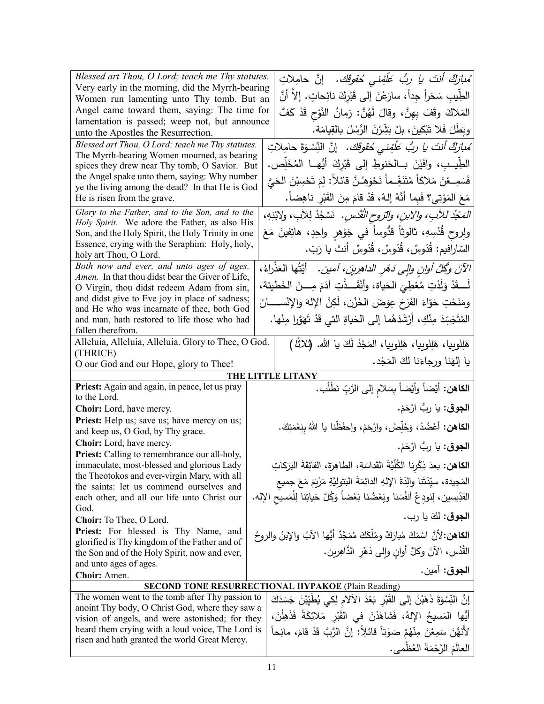| Blessed art Thou, O Lord; teach me Thy statutes.<br>Very early in the morning, did the Myrrh-bearing | ُ <i>مبارَكٌ أنتَ يا ربُ عَلَّفِني حُقوقَك.</i> إنَّ حامِلاتِ<br>الطِّيبِ سَحَراً جِداً، سارَعْنَ إلى قَبْرِكَ نائِحاتٍ. إلاّ أنَّ |
|------------------------------------------------------------------------------------------------------|------------------------------------------------------------------------------------------------------------------------------------|
| Women run lamenting unto Thy tomb. But an<br>Angel came toward them, saying: The time for            |                                                                                                                                    |
| lamentation is passed; weep not, but announce                                                        | المَلاكَ وقَفَ بِهِنَّ، وقالَ لَهُنَّ: زمانُ النَّوْحِ قَدْ كَفَّ                                                                  |
| unto the Apostles the Resurrection.                                                                  | وبَطَلَ فَلا تَبْكينَ، بلْ بَشِّرْنَ الرُّسُلَ بِالْقِيامَةِ.                                                                      |
| Blessed art Thou, O Lord; teach me Thy statutes.                                                     | ُ <i>مبارَكٌ أنتَ يا ربُّ عَلَّفِني حُقوقَك.</i> إنَّ النِّسْوَةَ حامِلاتِ                                                         |
| The Myrrh-bearing Women mourned, as bearing<br>spices they drew near Thy tomb, O Savior. But         | الطِّيبِ، وافَيْنَ بِـالْحَنوطِ إِلَى قَبْرِكَ أَيُّهِــا الْمُخَلِّص.                                                             |
| the Angel spake unto them, saying: Why number                                                        | فَسَمِـعْنَ مَلاكاً مُتَنَغِّـماً نَحْوَهُـنَّ قائلاً: لِمَ تَحْسِبْنَ الْحَيَّ                                                    |
| ye the living among the dead? In that He is God                                                      |                                                                                                                                    |
| He is risen from the grave.                                                                          | مَعَ المَوْتي؟ فَبِما أَنَّهُ إِلهٌ، قَدْ قامَ مِنَ القَبْرِ ناهِضاً.                                                              |
| Glory to the Father, and to the Son, and to the<br>Holy Spirit. We adore the Father, as also His     | المَجْدُ للآبِ، والابنِ، والرّوحِ الْقُدُسِ. ۚ نَسْجُدُ لِلآبِ، ولابْنِهِ،                                                         |
| Son, and the Holy Spirit, the Holy Trinity in one                                                    | ولِروح قُدْسِهِ، ثالوثاً قدُّوساً في جَوْهرِ واحِدٍ، هاتِفينَ مَعَ                                                                 |
| Essence, crying with the Seraphim: Holy, holy,                                                       | السّارافيم: قُدّوسٌ، قُدّوسٌ، قُدّوسٌ أنتَ يا رَبّ.                                                                                |
| holy art Thou, O Lord.                                                                               |                                                                                                                                    |
| Both now and ever, and unto ages of ages.<br>Amen. In that thou didst bear the Giver of Life,        | الآنَ وكُلَّ أُولِنِ وَإِلَى دَمُرِ الدَاهِرِينَ، آمين. ﴿ أَيَّتُهَا الْعَذْرَاءُ،                                                 |
| O Virgin, thou didst redeem Adam from sin,                                                           | لَـــقَدْ وَلَدْتِ مُعْطِيَ الحَياة، وأنْقَـــذْتِ آدَمَ مِـــنَ الخَطيئة،                                                         |
| and didst give to Eve joy in place of sadness;                                                       | ومَنَحْتِ حَوّاءَ الفَرَحَ عِوَضَ الحُزْنِ، لَكِنَّ الإِلهَ والإِنْســــانَ                                                        |
| and He who was incarnate of thee, both God                                                           |                                                                                                                                    |
| and man, hath restored to life those who had<br>fallen therefrom.                                    | الْمُتَجَسِّدَ مِنْكِ، أَرْشَدَهُما إِلَى الْحَياةِ الَّتِي قَدْ تَهَوَّرا مِنْها.                                                 |
| Alleluia, Alleluia, Alleluia. Glory to Thee, O God.                                                  | هَلِلوبِيا، هَلِلوبِيا، هَلِلوبِيا، المَجْدُ لَكَ يا الله. (ثلاثًا )                                                               |
| (THRICE)                                                                                             |                                                                                                                                    |
| O our God and our Hope, glory to Thee!                                                               | يا إلهَنا ورجاءَنا لكَ المَجْد.                                                                                                    |
| Priest: Again and again, in peace, let us pray                                                       | THE LITTLE LITANY                                                                                                                  |
| to the Lord.                                                                                         | ا <b>لكاهن:</b> أيْضاً وأيْضاً بِسَلامِ إلى الرَّبِّ نَطْلُب.                                                                      |
| Choir: Lord, have mercy.                                                                             | ا <b>لجوق</b> : يا ربُ ارْحَمْ.                                                                                                    |
| Priest: Help us; save us; have mercy on us;<br>and keep us, O God, by Thy grace.                     | <b>الكاهن:</b> أعْضُدْ، وَخَلِّصْ، وارْحَمْ، واحفَظْنا يا اللهُ بِنِعْمَتِكَ.                                                      |
| Choir: Lord, have mercy.                                                                             | ا <b>لجوق</b> : يا ربُ ارْحَمْ.                                                                                                    |
| Priest: Calling to remembrance our all-holy,                                                         |                                                                                                                                    |
| immaculate, most-blessed and glorious Lady                                                           | ا <b>لكاهن:</b> بعدَ ذِكْرِنا الكُلِّيَّةَ القَداسَةِ، الطاهِرَةَ، الفائِقَةَ البَرَكاتِ                                           |
| the Theotokos and ever-virgin Mary, with all<br>the saints: let us commend ourselves and             | المَجيدة، سيِّدَتَنا والِدَةَ الإِلهِ الدائِمَةَ البَتوليَّةِ مَرْيَمَ مَعَ جميع                                                   |
| each other, and all our life unto Christ our                                                         | القدِّيسين، لِنودِعْ أنفُسَنا وبَعْضُنا بَعْضاً وَكُلَّ حَياتِنا لِلْمَسيحِ الإله.                                                 |
| God.                                                                                                 | ا <b>لجوق:</b> لكَ يا رب.                                                                                                          |
| Choir: To Thee, O Lord.                                                                              |                                                                                                                                    |
| Priest: For blessed is Thy Name, and<br>glorified is Thy kingdom of the Father and of                | ا <b>لكاهن:</b> 'لأنَّ اسْمَكَ مُبارَكٌ ومُلْكَكَ مُمَجَّدٌ أَيُّها الآبُ والإبنُ والروحُ                                          |
| the Son and of the Holy Spirit, now and ever,                                                        | الْقُدُس، الآنَ وكلَّ أُوانِ وإِلَى دَهْرِ الدَّاهِرِينِ.                                                                          |
| and unto ages of ages.                                                                               | ا <b>لجوق:</b> آمين.                                                                                                               |
| Choir: Amen.                                                                                         |                                                                                                                                    |
| The women went to the tomb after Thy passion to                                                      | <b>SECOND TONE RESURRECTIONAL HYPAKOE (Plain Reading)</b>                                                                          |
| anoint Thy body, O Christ God, where they saw a                                                      | إِنَّ النِّسْوَةَ ذَهَبْنَ إِلَى الْقَبْرِ بَعْدَ الْآلامِ لِكِي يُطْيِّبْنَ جَسَدَكَ                                              |
| vision of angels, and were astonished; for they                                                      | أَيُّها المَسيحُ الإِلهُ، فَشاهَدْنَ في القَبْرِ مَلائِكَةً فَذَهِلْنَ،                                                            |
| heard them crying with a loud voice, The Lord is                                                     | لأَنَهُّنَ سَمِعْنَ مِنْهُمْ صَوْتاً قَائِلاً: إِنَّ الرَّبَّ قَدْ قَامَ، مانِحاً                                                  |
| risen and hath granted the world Great Mercy.                                                        | العالَمَ الرَّحْمَةَ العُظَمى.                                                                                                     |
|                                                                                                      |                                                                                                                                    |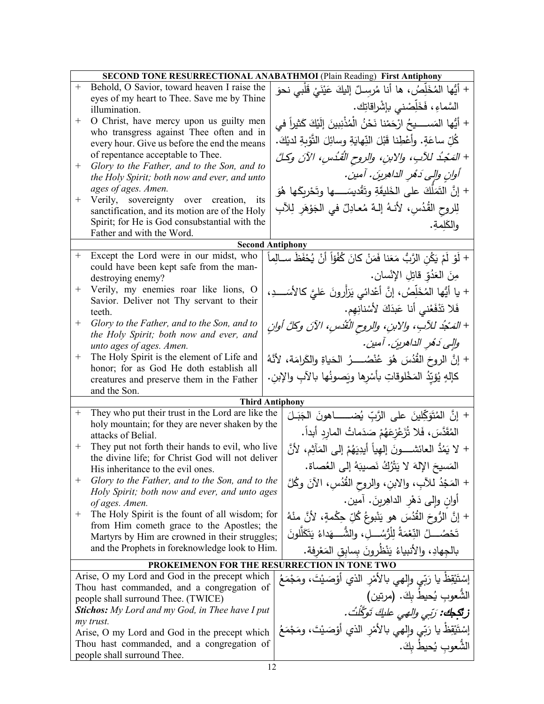|        | <b>SECOND TONE RESURRECTIONAL ANABATHMOI (Plain Reading) First Antiphony</b>                |  |                                                                              |
|--------|---------------------------------------------------------------------------------------------|--|------------------------------------------------------------------------------|
| $+$    | Behold, O Savior, toward heaven I raise the                                                 |  | + أيُّها المُخَلِّصُ، ها أنا مُرسِـلٌ إليكَ عَيْنَىْ قَلْبِى نحوَ            |
|        | eyes of my heart to Thee. Save me by Thine                                                  |  |                                                                              |
|        | illumination.                                                                               |  | السَّماءِ، فَخَلِّصْني بإشْراقاتِك.                                          |
| $^{+}$ | O Christ, have mercy upon us guilty men                                                     |  | + أَيُّها المَســـــيحُ ارْحَمْنا نَحْنُ الْمُذْنِبِينَ إِلَيْكَ كَثِيراً في |
|        | who transgress against Thee often and in<br>every hour. Give us before the end the means    |  | كُلِّ ساعَةٍ. وأَعْطِنا قَبْلَ النِّهايَةِ وسائِلَ التَّوْبِةِ لديْكَ.       |
| $^+$   | of repentance acceptable to Thee.                                                           |  | + المَجْدُ للآبِ، والابنِ، والروح القُدُسِ، الآنَ وكلَّ                      |
|        | Glory to the Father, and to the Son, and to<br>the Holy Spirit; both now and ever, and unto |  | أوانِ والِي دَهُرِ الداهرِينَ. أمينَ.                                        |
|        | ages of ages. Amen.                                                                         |  | + إنَّ النَّمَلُّكَ على الخَليقَةِ وتَقْديسَـــــها وتَحْرِيكَها هُوَ        |
| $^{+}$ | Verily, sovereignty over creation, its<br>sanctification, and its motion are of the Holy    |  | لِلروحِ القُدُسِ، لأنـهُ إلـهٌ مُعـادِلٌ في الـجَوْهَرِ لِلآبِ               |
|        | Spirit; for He is God consubstantial with the                                               |  |                                                                              |
|        | Father and with the Word.                                                                   |  | والكَلمةِ.                                                                   |
|        | <b>Second Antiphony</b>                                                                     |  |                                                                              |
| $^{+}$ | Except the Lord were in our midst, who                                                      |  | + لَوْ لَمْ يَكُنِ الرَّبُ مَعَنا فَمَنْ كانَ كُفْؤاً أنْ يُحْفَظَ ســالِماً |
|        | could have been kept safe from the man-                                                     |  |                                                                              |
|        | destroying enemy?                                                                           |  | مِنَ الْعَدُوِّ قَاتِلِ الإِنْسانِ.                                          |
| $^+$   | Verily, my enemies roar like lions, O<br>Savior. Deliver not Thy servant to their           |  | + يا أَيُّها المُخَلِّصُ، إنَّ أَعْدائي يَزأرونَ عَليَّ كالأَسَــــدِ،       |
|        | teeth.                                                                                      |  | فَلا تَدْفَعْني أنا عَبدَكَ لأَسْنانِهِم.                                    |
| $^{+}$ | Glory to the Father, and to the Son, and to                                                 |  | + المَدْجُدُ للآبِ، والابنِ، والروح النُقُدسِ، الآنَ وكلَّ أوانِ             |
|        | the Holy Spirit; both now and ever, and<br>unto ages of ages. Amen.                         |  | والى دَمُر الداهرينَ. آمينَ.                                                 |
| $^+$   | The Holy Spirit is the element of Life and                                                  |  | + إنَّ الروحَ القُدُسَ هُوَ عُنْصُـــــرُ الحَياةِ والكَرامَة، لأنَّهُ       |
|        | honor; for as God He doth establish all                                                     |  |                                                                              |
|        | creatures and preserve them in the Father                                                   |  | كَإِلَهٍ يُؤيِّدُ المَخْلُوقاتِ بِأَسْرِها ويَصونُها بالآبِ والإِبنِ.        |
|        | and the Son.<br><b>Third Antiphony</b>                                                      |  |                                                                              |
| $^{+}$ | They who put their trust in the Lord are like the                                           |  |                                                                              |
|        | holy mountain; for they are never shaken by the                                             |  | + إِنَّ الْمُتَوَكِّلِينَ على الرَّبِّ يُضــــــاهونَ الْجَبَـلَ             |
|        | attacks of Belial.                                                                          |  | المُقَدَّسَ، فَلا تُزَعْزِعَهُمْ صَدَماتُ الماردِ أبداً.                     |
| $^+$   | They put not forth their hands to evil, who live                                            |  | + لا يَمُدُّ العائشــــونَ إلهِياً أيدِيَهُمْ إلى المَآثِم، لأنَّ            |
|        | the divine life; for Christ God will not deliver<br>His inheritance to the evil ones.       |  | المَسيحَ الإِلهَ لا يَتْرُكُ نَصيبَهُ إِلَى العُصاةِ.                        |
| $^{+}$ | Glory to the Father, and to the Son, and to the                                             |  | + المَجْدُ للآبِ، والابنِ، والروح القُدُسِ، الآنَ وكُلَّ                     |
|        | Holy Spirit; both now and ever, and unto ages                                               |  |                                                                              |
| $^+$   | of ages. Amen.<br>The Holy Spirit is the fount of all wisdom; for                           |  | أُوانِ وَإِلَى دَهْرِ الدَاهِرِينَ. آمين.                                    |
|        | from Him cometh grace to the Apostles; the                                                  |  | + إِنَّ الرُّوحَ الفُدُسَ هو يَنْبوعُ كُلِّ حِكْمةٍ، لأَنَّ منْهُ            |
|        | Martyrs by Him are crowned in their struggles;                                              |  | تَحْصُـــــلُ النِّعْمَةُ لِلْرُّسُــــلِ، والشُّـــــهَداءُ يَتَكَلَّلونَ   |
|        | and the Prophets in foreknowledge look to Him.                                              |  | بالجهادِ، والأنبياءُ يَنْظُرونَ بسابق المَعْرِفة.                            |
|        | PROKEIMENON FOR THE RESURRECTION IN TONE TWO                                                |  |                                                                              |
|        | Arise, O my Lord and God in the precept which                                               |  | إِسْتَيْقِظ يا رَبِّي وإِلهي بالأَمْرِ الذي أَوْصَيْتَ، ومَجْمَعُ            |
|        | Thou hast commanded, and a congregation of                                                  |  |                                                                              |
|        | people shall surround Thee. (TWICE)                                                         |  | الشُّعوبِ يُحيطُ بِكَ. (مرتين)                                               |
|        | <b>Stichos:</b> My Lord and my God, in Thee have I put                                      |  | زنگجاه: رَبِّي والهي عليكَ تَوكَّلْتُ.                                       |
|        | my trust.<br>Arise, O my Lord and God in the precept which                                  |  | إِسْتَيْقِظْ يا رَبِّي وإِلهي بالأَمْرِ الذي أَوْصَيْتَ، ومَجْمَعُ           |
|        | Thou hast commanded, and a congregation of                                                  |  |                                                                              |
|        | people shall surround Thee.                                                                 |  | الشُّعوب يُحيطُ بكَ.                                                         |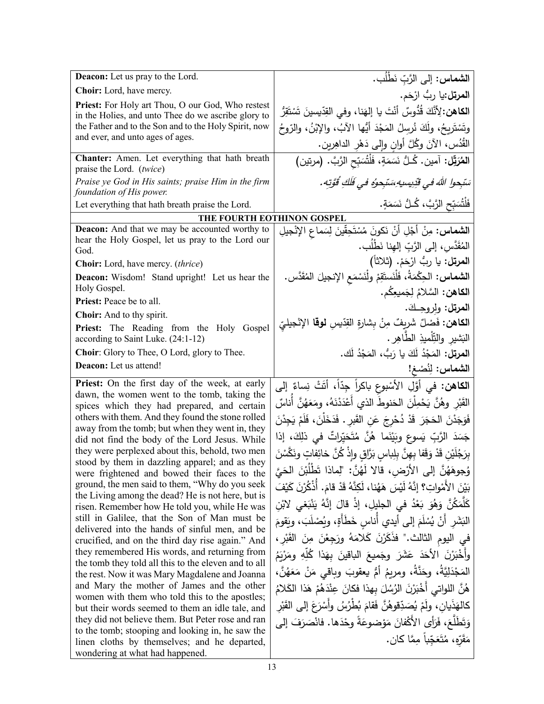| <b>Deacon:</b> Let us pray to the Lord.                                                                      | الشماس: إلى الرَّبِّ نَطْلُب.                                                      |
|--------------------------------------------------------------------------------------------------------------|------------------------------------------------------------------------------------|
| Choir: Lord, have mercy.                                                                                     | ا <b>لمرتل:</b> يا ربُّ ارْحَم.                                                    |
| Priest: For Holy art Thou, O our God, Who restest                                                            | ا <b>لكاهن:</b> لِأَنَّكَ قُدُّوسٌ أَنْتَ يا إِلهَنا، وفي القِدِّيسينَ تَسْتَقِرُّ |
| in the Holies, and unto Thee do we ascribe glory to<br>the Father and to the Son and to the Holy Spirit, now | وتَسْتَرِيحُ، ولَكَ نُرسِلُ المَجْدَ أَيُّها الآبُ، والإِبْنُ، والرّوحُ            |
| and ever, and unto ages of ages.                                                                             | الْقُدُس، الآنَ وكُلَّ أُوانِ وإِلَى دَهْرِ الداهِرين.                             |
| Chanter: Amen. Let everything that hath breath<br>praise the Lord. (twice)                                   | ا <b>لمُرَتِّل:</b> آمين. كُـلُّ نَسَمَةٍ، فَلْتُسَبِّحِ الرَّبَّ. (مرتين)         |
| Praise ye God in His saints; praise Him in the firm<br>foundation of His power.                              | سَبْحوا اللهَ في قَدِيسيهِ سَنَجوهُ في فَلَكِ قُوَّتِه.                            |
| Let everything that hath breath praise the Lord.                                                             | فَلْتُسَبِّحِ الرَّبَّ، كُـلُّ نَسَمَةٍ.                                           |
|                                                                                                              | THE FOURTH EOTHINON GOSPEL                                                         |
| <b>Deacon:</b> And that we may be accounted worthy to                                                        | ا <b>لشماس:</b> مِنْ أَجْلِ أَنْ نَكونَ مُسْتَحِقّينَ لِسَماعِ الإِنْجيلِ          |
| hear the Holy Gospel, let us pray to the Lord our<br>God.                                                    | المُقَدَّس، إلى الرَّبِّ إلهِنا نَطْلُب.                                           |
| <b>Choir:</b> Lord, have mercy. <i>(thrice)</i>                                                              | ا <b>لمرتل:</b> يا ربُ ارْحَمْ. (ثلاثاً)                                           |
| Deacon: Wisdom! Stand upright! Let us hear the<br>Holy Gospel.                                               | ا <b>لشماس:</b> الحِكْمَةُ، فَلْنَستَقِمْ ولْنَسْمَع الإنجيلَ المُقَدَّس.          |
| <b>Priest:</b> Peace be to all.                                                                              | ا <b>لكاهن:</b> السَّلامُ لِجَميعِكُم.                                             |
| Choir: And to thy spirit.                                                                                    | العرتل: ولروحِكَ.                                                                  |
| Priest: The Reading from the Holy Gospel                                                                     | ا <b>لكاهن:</b> فَصْلٌ شَرِيفٌ مِنْ بِشارةِ القِدّيسِ <b>لوقا</b> الإِنْجِلِيّ     |
| according to Saint Luke. (24:1-12)                                                                           | الْبَشْيْرِ وْالْتِّلْمِيْذِ الطَّاهِرِ .                                          |
| Choir: Glory to Thee, O Lord, glory to Thee.                                                                 | ا <b>لمرتل:</b> المَجْدُ لَكَ يا رَبُّ، المَجْدُ لَك.                              |
| Deacon: Let us attend!                                                                                       | الشماس: لِنُصْغ!                                                                   |
| Priest: On the first day of the week, at early                                                               | ا <b>لكاهن:</b> في أوَّلِ الأَسْبوعِ باكراً جِدّاً، أتَتْ نِساءٌ إلى               |
| dawn, the women went to the tomb, taking the<br>spices which they had prepared, and certain                  | القَبْرِ وهُنَّ يَحْمِلْنَ الحَنوطَ الذي أعْدَدْنَهُ، ومَعَهُنَّ أناسٌ             |
| others with them. And they found the stone rolled                                                            | فَوَجَدْنَ الحَجَرَ قَدْ دُحْرِجَ عَنِ القَبرِ . فَدَخَلْنَ، فَلَمْ يَجِدْنَ       |
| away from the tomb; but when they went in, they                                                              | جَسَدَ الرَّبِّ يَسوعٍ وبَيْنَما هُنَّ مُتَحَيِّراتٌ في ذلِكَ، إذا                 |
| did not find the body of the Lord Jesus. While<br>they were perplexed about this, behold, two men            |                                                                                    |
| stood by them in dazzling apparel; and as they                                                               | بِرَجُلَيْنِ قَدْ وَقَفا بِهِنَّ بِلِباسِ بَرَّاقِ وإِذْ كُنَّ خائِفاتٍ ونَكَّسْنَ |
| were frightened and bowed their faces to the                                                                 | وُجوهَهُنَّ إلى الأَرْضِ، قالا لَهُنَّ: "لِماذا تَطْلُبْنَ الْحَيَّ                |
| ground, the men said to them, "Why do you seek<br>the Living among the dead? He is not here, but is          | بَيْنَ الأَمْواتِ؟ إنَّهُ لَيْسَ هَهُنا، لَكِنَّهُ قَدْ قامَ. أَذْكُرْنَ كَيْفَ    |
| risen. Remember how He told you, while He was                                                                | كَلّْمَكُنَّ وَهُوَ بَعْدُ في الْجليلِ، إذْ قالَ إنَّهُ يَنْبَغي لابْن             |
| still in Galilee, that the Son of Man must be                                                                | البَشَرِ أَنْ يُسْلَمَ إِلـى أيدي أُناس خَطَأَةٍ، ويُصْلَبَ، ويَقومَ               |
| delivered into the hands of sinful men, and be<br>crucified, and on the third day rise again." And           | في اليوم الثالث." فذَكَرْنَ كَلامَهُ ورَجِعْنَ مِنَ القَبْرِ ،                     |
| they remembered His words, and returning from                                                                | وأَخْبَرْنَ الأَحَدَ عَشَرَ وجَميعَ الباقينَ بهَذا كُلِّهِ ومَرْيَمُ               |
| the tomb they told all this to the eleven and to all                                                         | المَجْدَلِيَّةُ، وحَنَّةُ، ومربمُ أمُّ يعقوبَ وباقى مَنْ مَعَهُنَّ،                |
| the rest. Now it was Mary Magdalene and Joanna<br>and Mary the mother of James and the other                 |                                                                                    |
| women with them who told this to the apostles;                                                               | هُنَّ اللواتي أَخْبَرْنَ الرُسُلَ بهذا فكانَ عِنْدَهُمْ هَذا الْكَلامُ             |
| but their words seemed to them an idle tale, and                                                             | كالهَذَيان، ولَمْ يُصَدِّقوهُنَّ فَقامَ بُطْرُسُ وأَسْرَعَ إلى القَبْر             |
| they did not believe them. But Peter rose and ran                                                            | وَتَطَلَّعَ، فَرَأَى الأَكْفانَ مَوْضوعَةً وحْدَها. فانْصَرَفَ إلى                 |
| to the tomb; stooping and looking in, he saw the<br>linen cloths by themselves; and he departed,             | مَقَرَّهِ، مُتَعَجّباً مِمَّا كان.                                                 |
| wondering at what had happened.                                                                              |                                                                                    |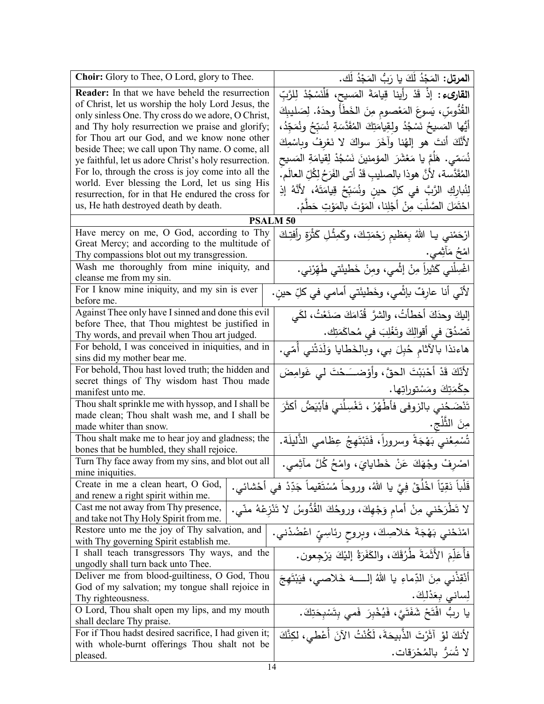| Choir: Glory to Thee, O Lord, glory to Thee.                                                           | ا <b>لمرتل:</b> المَجْدُ لَكَ يا رَبُّ المَجْدُ لَك.                               |
|--------------------------------------------------------------------------------------------------------|------------------------------------------------------------------------------------|
| <b>Reader:</b> In that we have beheld the resurrection                                                 | ا <b>لقارىء :</b> إذْ قَدْ رأينا قِيامَةَ المَسيح، فَلْنَسْجُدْ لِلرَّبِّ          |
| of Christ, let us worship the holy Lord Jesus, the                                                     | القُدُّوسِّ، يَسوعَ المَعْصومِ مِنَ الخَطَأُ وحدَهُ. لِصَليبِكَ                    |
| only sinless One. Thy cross do we adore, O Christ,<br>and Thy holy resurrection we praise and glorify; | أَيُّها المَسيحُ نَسْجُدُ ولقِيامَتِكَ المُقَدَّسَةِ نُسَبِّحُ ونُمَجِّدُ،         |
| for Thou art our God, and we know none other                                                           |                                                                                    |
| beside Thee; we call upon Thy name. O come, all                                                        | لأَنَّكَ أَنتَ هو إلهُنا وآخَرَ سواكَ لا نَعْرِفُ وبِاسْمِكَ                       |
| ye faithful, let us adore Christ's holy resurrection.                                                  | نُسَمّي. هَلَمَّ يا مَعْشَرَ  المؤمنينَ نَسْجُدْ لِقيامَةِ المَسيح                 |
| For lo, through the cross is joy come into all the                                                     | المُقَدَّسة، لأنَّ هوذا بالصليبِ قَدْ أتى الفَرَحُ لِكُلِّ العالَمِ.               |
| world. Ever blessing the Lord, let us sing His<br>resurrection, for in that He endured the cross for   | لِثُبارِكِ الرَّبَّ في كلِّ حينِ ونُسَبِّحْ قِيامَتَهُ، لأنَّهُ إذِ                |
| us, He hath destroyed death by death.                                                                  | احْتَمَلَ الصَّلْبَ مِنْ أَجْلِنا، المَوْتَ بالمَوْتِ حَطَّمْ.                     |
| <b>PSALM 50</b>                                                                                        |                                                                                    |
| Have mercy on me, O God, according to Thy                                                              |                                                                                    |
| Great Mercy; and according to the multitude of                                                         | ارْحَمْني يـا اللهُ بِعَظيمِ رَحْمَتِكَ، وكَمِثْلِ كَثْرَةِ رأفتِكَ                |
| Thy compassions blot out my transgression.                                                             | امْحُ مَأْثِمي.                                                                    |
| Wash me thoroughly from mine iniquity, and                                                             | اغْسِلْني كَثيراً مِنْ إِثْمي، ومِنْ خَطيئَتي طَهِّرْني.                           |
| cleanse me from my sin.                                                                                |                                                                                    |
| For I know mine iniquity, and my sin is ever                                                           | لأنّي أنا عارِفٌ بإثْمي، وخَطيئَتي أمامي في كلِّ حينِ.                             |
| before me.<br>Against Thee only have I sinned and done this evil                                       |                                                                                    |
| before Thee, that Thou mightest be justified in                                                        | إليكَ وحدَكَ أخطأتُ، والشرَّ قُدَّامَكَ صَنَعْتُ، لكَي                             |
| Thy words, and prevail when Thou art judged.                                                           | تَصْدُقَ في أقوالِكَ وتَغْلِبَ في مُحاكَمَتِك.                                     |
| For behold, I was conceived in iniquities, and in                                                      | هاءنذا بالآثام حُبِلَ بي، وبِالخَطايا وَلَدَتْني أَمّي.                            |
| sins did my mother bear me.                                                                            |                                                                                    |
| For behold, Thou hast loved truth; the hidden and                                                      | لأَنَّكَ قَدْ أَحْبَبْتَ الْحقَّ، وأَوْضــَـحْتَ لي غَوامِضَ                       |
| secret things of Thy wisdom hast Thou made                                                             | جِكْمَتِكَ ومَسْتوراتِها.                                                          |
| manifest unto me.<br>Thou shalt sprinkle me with hyssop, and I shall be                                |                                                                                    |
| made clean; Thou shalt wash me, and I shall be                                                         | تَنْضَحُني بالزوفى فأطْهُرُ ، تَغْسِلُني فأبْيَضُ أكثَرَ                           |
| made whiter than snow.                                                                                 | مِنَ الثَّلْجِ.                                                                    |
| Thou shalt make me to hear joy and gladness; the                                                       | تُسْمِعُني بَهْجَةً وسروراً، فَتَبْتَهِجُ عِظامي الذَّليلَة.                       |
| bones that be humbled, they shall rejoice.                                                             |                                                                                    |
| Turn Thy face away from my sins, and blot out all                                                      | اصْرِفْ وجْهَكَ عَنْ خَطايايَ، وامْحُ كُلَّ مأْثِمي.                               |
| mine iniquities.                                                                                       |                                                                                    |
| Create in me a clean heart, O God,<br>and renew a right spirit within me.                              | قَلْباً نَقِيّاً اخْلُقْ فِيَّ يا اللَّهُ، وروحاً مُسْتَقيماً جَدِّدْ في أَحْشائي. |
| Cast me not away from Thy presence,                                                                    | لا تَطْرَحْني مِنْ أمام وَجْهِكَ، وروحُكَ القُدُّوسُ لا تَنْزِعْهُ منّي.           |
| and take not Thy Holy Spirit from me.                                                                  |                                                                                    |
| Restore unto me the joy of Thy salvation, and                                                          | امْنَدْني بَهْجَةَ خلاصِكَ، وبِروحِ رِئاسِيِّ اعْضُدْني.                           |
| with Thy governing Spirit establish me.                                                                |                                                                                    |
| I shall teach transgressors Thy ways, and the                                                          | فَأُعَلِّمَ الأَثَمَةَ طُرُقَكَ، والكَفَرَةُ إلَيْكَ يَرْجِعون.                    |
| ungodly shall turn back unto Thee.                                                                     |                                                                                    |
| Deliver me from blood-guiltiness, O God, Thou<br>God of my salvation; my tongue shall rejoice in       | أَنْقِذْنـى مِنَ الدِّماءِ يا اللهُ إلــــــهَ خَلاصــي، فيَبْتَهِجَ               |
| Thy righteousness.                                                                                     | لِساني بِعَدْلِكَ.                                                                 |
| O Lord, Thou shalt open my lips, and my mouth                                                          | يا رِبُّ افْتَحْ شَفَتَيَّ، فَيُخْبِرَ فَمي بِتَسْبِحَتِكَ.                        |
| shall declare Thy praise.                                                                              |                                                                                    |
| For if Thou hadst desired sacrifice, I had given it;                                                   | لِأَنكَ لَوْ آثَرْتَ الذَّبِيحَةَ، لَكُنْتُ الآنَ أُعْطَى، لكِنَّكَ                |
| with whole-burnt offerings Thou shalt not be                                                           | لا تُسَرُّ بِالْمُحْرَقاتِ.                                                        |
| pleased.                                                                                               |                                                                                    |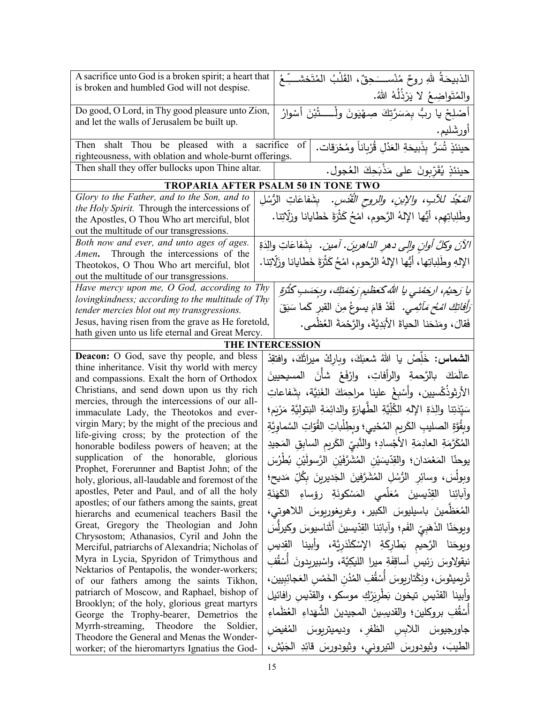| A sacrifice unto God is a broken spirit; a heart that<br>is broken and humbled God will not despise.   | الذبيحَةُ للهِ روحٌ مُنْســَـحِقٌ، القَلْبُ المُتَخشـــِّـعُ                             |
|--------------------------------------------------------------------------------------------------------|------------------------------------------------------------------------------------------|
|                                                                                                        | والمُتَواضِعُ لا يَرْذُلُهُ اللهُ.                                                       |
| Do good, O Lord, in Thy good pleasure unto Zion,                                                       | أَصْلِحْ يا ربُّ بِمَسَرَّتِكَ صِهْيَونَ ولْـــــــتُبْنَ أَسْوارُ                       |
| and let the walls of Jerusalem be built up.                                                            | أورشَليم.                                                                                |
| Then shalt Thou be pleased with a sacrifice<br>righteousness, with oblation and whole-burnt offerings. | حينئذٍ تُسَرُّ بِذَبيحَةِ العَدْلِ قُرْبِاناً ومُحْرَقات.<br>of                          |
| Then shall they offer bullocks upon Thine altar.                                                       | حينئذٍ يُقَرِّبونَ على مَذْبَحِكَ العُجول.                                               |
|                                                                                                        | <b>TROPARIA AFTER PSALM 50 IN TONE TWO</b>                                               |
| Glory to the Father, and to the Son, and to                                                            | <i>المَجْدُ للآبِ، والإبنِ، والروحِ الْقُدُسِ.</i> بِشَفاعَاتِ الرُّسُلِ                 |
| <i>the Holy Spirit.</i> Through the intercessions of                                                   |                                                                                          |
| the Apostles, O Thou Who art merciful, blot                                                            | وطَلِباتِهِم، أيُّها الإلهُ الرَّحوم، امْحُ كَثْرَةَ خَطايانا وزلَّاتِنا.                |
| out the multitude of our transgressions.                                                               |                                                                                          |
| Both now and ever, and unto ages of ages.<br>Amen. Through the intercessions of the                    | الآنَ وكلَّ أوانٍ وإلى دهرِ الداهرينَ. آمين.  بِشَفاعَاتِ والِدَةِ                       |
| Theotokos, O Thou Who art merciful, blot                                                               | الإلهِ وطَلِباتِها، أيُّها الإلهُ الرَّحومِ، امْحُ كَثْرَةَ خَطايانا وزَلَّاتِنا.        |
| out the multitude of our transgressions.                                                               |                                                                                          |
| Have mercy upon me, O God, according to Thy                                                            | يا رَحيُم، ارجَمْني يا اللهُ كَعَظْيم رَجْمَتِكَ، وبِجَسَبِ كَثْرَةِ                     |
| lovingkindness; according to the multitude of Thy                                                      |                                                                                          |
| tender mercies blot out my transgressions.                                                             | <i>َرَأَفَاتِكَ امْحُ مَأْثِمِي.</i> لَقَدْ قامَ يسوعُ مِنَ القبر كَما سَبَقَ            |
| Jesus, having risen from the grave as He foretold,                                                     | فَقالَ، ومَنَحَنا الحياةَ الأَبَدِيَّةَ، والرَّحْمَةَ العُظْمي.                          |
| hath given unto us life eternal and Great Mercy.                                                       |                                                                                          |
|                                                                                                        | THE INTERCESSION                                                                         |
| Deacon: O God, save thy people, and bless<br>thine inheritance. Visit thy world with mercy             | ا <b>لشماس:</b> خَلِّصْ يا اللهُ شعبَكَ، وبارِكْ ميراثَكَ، وافتقِدْ                      |
| and compassions. Exalt the horn of Orthodox                                                            | عالَمَكَ بالرَّحمةِ والرأفاتِ، وارْفَعْ شأنَ المسيحيينَ                                  |
| Christians, and send down upon us thy rich                                                             | الأرثوذُكْسيين، وأسْبِغْ علينا مراحِمَكَ الغَنِيَّة، بِشَفاعاتِ                          |
| mercies, through the intercessions of our all-                                                         |                                                                                          |
| immaculate Lady, the Theotokos and ever-                                                               | سَيِّدَتِنا والِدَةِ الإِلهِ الكُلِّيَّةِ الطَّهارَةِ والدائِمَةِ البَتوليَّةِ مَرْيَمٍ؛ |
| virgin Mary; by the might of the precious and                                                          | وبِقُوَّةِ الصليبِ الكَريمِ المُحْييِ؛ وبطِلْباتِ القُوّاتِ السَّماوِيَّةِ               |
| life-giving cross; by the protection of the                                                            | المُكَرَّمَةِ العادِمَةِ الأجْسادِ؛ والنَّبيِّ الكَريمِ السابِقِ المَجيدِ                |
| honorable bodiless powers of heaven; at the                                                            |                                                                                          |
| supplication of the honorable, glorious<br>Prophet, Forerunner and Baptist John; of the                | يوحنّا المَعْمَدان؛ والقِدّيسَيْن المُشَرَّفَيْن الرَّسولَيْن بُطْرُسَ                   |
| holy, glorious, all-laudable and foremost of the                                                       | وبولُسَ، وسائِر الرُّسُلِ المُشَرَّفينَ الجَديرينَ بِكُلِّ مَديح؛                        |
| apostles, Peter and Paul, and of all the holy<br>apostles; of our fathers among the saints, great      | وآبائِنا القِدّيسينَ مُعَلّمى المَسْكونَةِ رؤساءِ الكَهَنَةِ                             |
| hierarchs and ecumenical teachers Basil the                                                            | الْمُعَظَّمينَ بِاسِيلِيوسَ الكبيرِ، وغريغوريوسَ اللاهوتي،                               |
| Great, Gregory the Theologian and John<br>Chrysostom; Athanasios, Cyril and John the                   | ويوحَنّا الذَهَبِيّ الفَم؛ وآبائِنا القِدّيسينَ أثَناسيوسَ وكيرلِّسَ                     |
| Merciful, patriarchs of Alexandria; Nicholas of                                                        | ويوحَنا الرَّحيم بَطارِكَةِ الإِسْكَنْدَرِيَّة، وأبينا القِديسِ                          |
| Myra in Lycia, Spyridon of Trimythous and                                                              | نيقولاوسَ رَئِيس أساقِفَةِ ميرا الليكِيَّة، واسْبيريدونَ أَسْقُفِ                        |
| Nektarios of Pentapolis, the wonder-workers;<br>of our fathers among the saints Tikhon,                | تْرِيمِيثوسَ، ونِكْتارِيوسَ أَسْقُفِ المُدُنِ الخَمْسِ العَجائِبِيينِ،                   |
| patriarch of Moscow, and Raphael, bishop of                                                            | وأبينا القدّيس تيخون بَطْرِيَرْكِ موسكو ، والقدّيسِ رافائيل                              |
| Brooklyn; of the holy, glorious great martyrs                                                          |                                                                                          |
| George the Trophy-bearer, Demetrios the                                                                | أَسْقُفِ بروكلين؛ والقديسِينَ المجيدينَ الشَّهَداءِ العُظُماءِ                           |
| Myrrh-streaming, Theodore<br>the<br>Soldier,<br>Theodore the General and Menas the Wonder-             | جاورجيوسَ اللابِسِ الظفرِ ،وديميتربِوسَ المُفيضِ                                         |
| worker; of the hieromartyrs Ignatius the God-                                                          | الطيبَ، وثيودورسَ التيروني، وثيودورسَ قائِدِ الجَيْش،                                    |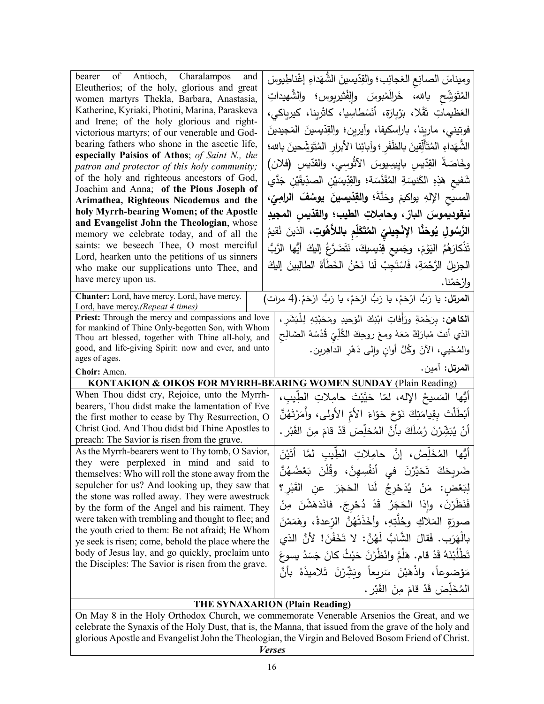| bearer of Antioch, Charalampos<br>and<br>Eleutherios; of the holy, glorious and great<br>women martyrs Thekla, Barbara, Anastasia,<br>Katherine, Kyriaki, Photini, Marina, Paraskeva<br>and Irene; of the holy glorious and right-<br>victorious martyrs; of our venerable and God-<br>bearing fathers who shone in the ascetic life,<br>especially Paisios of Athos; of Saint N., the<br>patron and protector of this holy community;<br>of the holy and righteous ancestors of God, | وميناسَ الصانِع العَجائِب؛ والقِدّيسينَ الشُّهَداءِ إغْناطِيوسَ<br>المُتَوَشِّح بالله، خَرالَمْبوسَ وإلفْتْيربوس؛ والشَّهيداتِ<br>العَظيماتِ تَقْلا، بَرْبِارَة، أَنَسْطاسِيا، كاثْرينا، كيرياكي،<br>فوتيني، مارينا، باراسكيفا، وآيرين؛ والقِدّيسينَ المَجيدينَ<br>الشُّهَداءِ المُتَأَلِّقينَ بِالظِّفَرِ ؛ وآبائِنا الأبرار المُتَوَشِّحينَ بالله؛<br>وخَاصَةَ القِدّيسِ بايِيسِيوسَ الأَثْوسِي، والقدّيسِ (فلان)<br>شَفيع هَذِهِ الكَنيسَةِ المُقَدَّسَة؛ والقِدِّيسَيْنِ الصدِّيقَيْنِ جَدَّي |
|---------------------------------------------------------------------------------------------------------------------------------------------------------------------------------------------------------------------------------------------------------------------------------------------------------------------------------------------------------------------------------------------------------------------------------------------------------------------------------------|---------------------------------------------------------------------------------------------------------------------------------------------------------------------------------------------------------------------------------------------------------------------------------------------------------------------------------------------------------------------------------------------------------------------------------------------------------------------------------------------------|
| Joachim and Anna; of the Pious Joseph of                                                                                                                                                                                                                                                                                                                                                                                                                                              | المسيح الإلهِ يواكيمَ وحَنَّةَ؛ <b>والقِدّيسينَ يوسُفَ الرامِيِّ،</b>                                                                                                                                                                                                                                                                                                                                                                                                                             |
| Arimathea, Righteous Nicodemus and the<br>holy Myrrh-bearing Women; of the Apostle                                                                                                                                                                                                                                                                                                                                                                                                    |                                                                                                                                                                                                                                                                                                                                                                                                                                                                                                   |
| and Evangelist John the Theologian, whose                                                                                                                                                                                                                                                                                                                                                                                                                                             | نيقوديموسَ البارِّ ، وحامِلاتِ الطيبِ؛ والقدّيسِ المجيدِ                                                                                                                                                                                                                                                                                                                                                                                                                                          |
| memory we celebrate today, and of all the                                                                                                                                                                                                                                                                                                                                                                                                                                             | الرَّسُولِ يُوحَنَّا الإِنْجِيليِّ المُتَكَلِّمِ بِاللاَّهُوتِ، الذينَ نُقيمُ                                                                                                                                                                                                                                                                                                                                                                                                                     |
| saints: we beseech Thee, O most merciful                                                                                                                                                                                                                                                                                                                                                                                                                                              | تَذْكارَهُمُ الْيَوْمَ، وجَميع قِدّيسيكَ، نَتَضَرَّعُ إِليكَ أَيُّها الرَّبُّ                                                                                                                                                                                                                                                                                                                                                                                                                     |
| Lord, hearken unto the petitions of us sinners                                                                                                                                                                                                                                                                                                                                                                                                                                        | الجزيلُ الرَّحْمَةِ، فَاسْتَجِبْ لَنا نَحْنُ الخَطَأَةَ الطالِبِينَ إليكَ                                                                                                                                                                                                                                                                                                                                                                                                                         |
| who make our supplications unto Thee, and<br>have mercy upon us.                                                                                                                                                                                                                                                                                                                                                                                                                      |                                                                                                                                                                                                                                                                                                                                                                                                                                                                                                   |
|                                                                                                                                                                                                                                                                                                                                                                                                                                                                                       | وارْحَمْنا.                                                                                                                                                                                                                                                                                                                                                                                                                                                                                       |
| Chanter: Lord, have mercy. Lord, have mercy.<br>Lord, have mercy.(Repeat 4 times)                                                                                                                                                                                                                                                                                                                                                                                                     | المرتل: يا رَبُّ ارْحَمْ، يا رَبُّ ارْحَمْ، يا رَبُّ ارْحَمْ. (4 مرات)                                                                                                                                                                                                                                                                                                                                                                                                                            |
| Priest: Through the mercy and compassions and love                                                                                                                                                                                                                                                                                                                                                                                                                                    | ا <b>لكاهن:</b> بِرَحْمَةِ ورَأفاتِ ابْنِكَ الوَحيدِ ومَحَبَّتِهِ لِلْبَشَرِ ،                                                                                                                                                                                                                                                                                                                                                                                                                    |
| for mankind of Thine Only-begotten Son, with Whom<br>Thou art blessed, together with Thine all-holy, and                                                                                                                                                                                                                                                                                                                                                                              | الذي أنتَ مُبارَكٌ مَعَهُ ومعَ روحِكَ الكُلِّيِّ قُدْسُهُ الصَّالِحِ                                                                                                                                                                                                                                                                                                                                                                                                                              |
| good, and life-giving Spirit: now and ever, and unto                                                                                                                                                                                                                                                                                                                                                                                                                                  | والمُحْيي، الآنَ وكُلَّ أوانِ وإلى دَهْرِ الداهِرين.                                                                                                                                                                                                                                                                                                                                                                                                                                              |
|                                                                                                                                                                                                                                                                                                                                                                                                                                                                                       |                                                                                                                                                                                                                                                                                                                                                                                                                                                                                                   |
| ages of ages.                                                                                                                                                                                                                                                                                                                                                                                                                                                                         |                                                                                                                                                                                                                                                                                                                                                                                                                                                                                                   |
| Choir: Amen.                                                                                                                                                                                                                                                                                                                                                                                                                                                                          | ا <b>لمرتل:</b> آمين.                                                                                                                                                                                                                                                                                                                                                                                                                                                                             |
|                                                                                                                                                                                                                                                                                                                                                                                                                                                                                       | KONTAKION & OIKOS FOR MYRRH-BEARING WOMEN SUNDAY (Plain Reading)                                                                                                                                                                                                                                                                                                                                                                                                                                  |
| When Thou didst cry, Rejoice, unto the Myrrh-                                                                                                                                                                                                                                                                                                                                                                                                                                         | أَيُّها المَسيحُ الإِله، لمّا حَيَّيْتَ حامِلاتِ الطِّيبِ،                                                                                                                                                                                                                                                                                                                                                                                                                                        |
| bearers, Thou didst make the lamentation of Eve                                                                                                                                                                                                                                                                                                                                                                                                                                       |                                                                                                                                                                                                                                                                                                                                                                                                                                                                                                   |
| the first mother to cease by Thy Resurrection, O<br>Christ God. And Thou didst bid Thine Apostles to                                                                                                                                                                                                                                                                                                                                                                                  | أَبْطَلْتَ بِقِيامَتِكَ نَوْحَ حَوّاءَ الأُمِّ الأُولى، وأَمَرْتَهُنَّ                                                                                                                                                                                                                                                                                                                                                                                                                            |
| preach: The Savior is risen from the grave.                                                                                                                                                                                                                                                                                                                                                                                                                                           | أَنْ يُبَشِّرْنَ رُسُلَكَ بِأَنَّ المُخلِّصَ قَدْ قامَ مِنَ الْقَبْرِ .                                                                                                                                                                                                                                                                                                                                                                                                                           |
| As the Myrrh-bearers went to Thy tomb, O Savior,                                                                                                                                                                                                                                                                                                                                                                                                                                      | أَيُّها المُخَلِّصُ، إنَّ حامِلاتِ الطِّيبِ لمَّا أَتَيْنَ                                                                                                                                                                                                                                                                                                                                                                                                                                        |
| they were perplexed in mind and said to<br>themselves: Who will roll the stone away from the                                                                                                                                                                                                                                                                                                                                                                                          | أَنفُسِهِنَّ، وقُلْنَ بَعْضُهُنَّ<br>ضَريحَكَ تَحَيَّرْنَ في                                                                                                                                                                                                                                                                                                                                                                                                                                      |
| sepulcher for us? And looking up, they saw that                                                                                                                                                                                                                                                                                                                                                                                                                                       | لِبَعْض: مَنْ يُدَحْرِجُ لَذا الْحَجَرَ عن القَبْرِ؟                                                                                                                                                                                                                                                                                                                                                                                                                                              |
| the stone was rolled away. They were awestruck                                                                                                                                                                                                                                                                                                                                                                                                                                        |                                                                                                                                                                                                                                                                                                                                                                                                                                                                                                   |
| by the form of the Angel and his raiment. They                                                                                                                                                                                                                                                                                                                                                                                                                                        | فَنَظُرْنَ، وإذا الحَجَرُ قَدْ دُحْرِجَ. فانْدَهَشْنَ مِنْ                                                                                                                                                                                                                                                                                                                                                                                                                                        |
| were taken with trembling and thought to flee; and<br>the youth cried to them: Be not afraid; He Whom                                                                                                                                                                                                                                                                                                                                                                                 | صورَة المَلاكِ وخُلَّتِهِ، وأَخَذَتْهُنَّ الرّعدةُ، وهَمَمْنَ                                                                                                                                                                                                                                                                                                                                                                                                                                     |
| ye seek is risen; come, behold the place where the                                                                                                                                                                                                                                                                                                                                                                                                                                    | بِالْهَرَبِ. فَقَالَ الشَّابُّ لَهُنَّ: لا تَخَفْنَ! لأَنَّ الذي                                                                                                                                                                                                                                                                                                                                                                                                                                  |
| body of Jesus lay, and go quickly, proclaim unto                                                                                                                                                                                                                                                                                                                                                                                                                                      | تَطْلُبْنَهُ قَدْ قام. هَلُمَّ وانْظُرْنَ حَيْثُ كانَ جَسَدُ يسوعَ                                                                                                                                                                                                                                                                                                                                                                                                                                |
| the Disciples: The Savior is risen from the grave.                                                                                                                                                                                                                                                                                                                                                                                                                                    | مَوْضوعاً، وإذْهَبْنَ سَرِيعاً وبَشِّرْنَ تَلاميذَهُ بِأَنَّ                                                                                                                                                                                                                                                                                                                                                                                                                                      |
|                                                                                                                                                                                                                                                                                                                                                                                                                                                                                       |                                                                                                                                                                                                                                                                                                                                                                                                                                                                                                   |
|                                                                                                                                                                                                                                                                                                                                                                                                                                                                                       | الْمُخَلِّصَ قَدْ قَامَ مِنَ القَبْرِ .<br><b>THE SYNAXARION (Plain Reading)</b>                                                                                                                                                                                                                                                                                                                                                                                                                  |
|                                                                                                                                                                                                                                                                                                                                                                                                                                                                                       | On May 8 in the Holy Orthodox Church, we commemorate Venerable Arsenios the Great, and we                                                                                                                                                                                                                                                                                                                                                                                                         |
|                                                                                                                                                                                                                                                                                                                                                                                                                                                                                       | celebrate the Synaxis of the Holy Dust, that is, the Manna, that issued from the grave of the holy and<br>glorious Apostle and Evangelist John the Theologian, the Virgin and Beloved Bosom Friend of Christ.                                                                                                                                                                                                                                                                                     |

*Verses*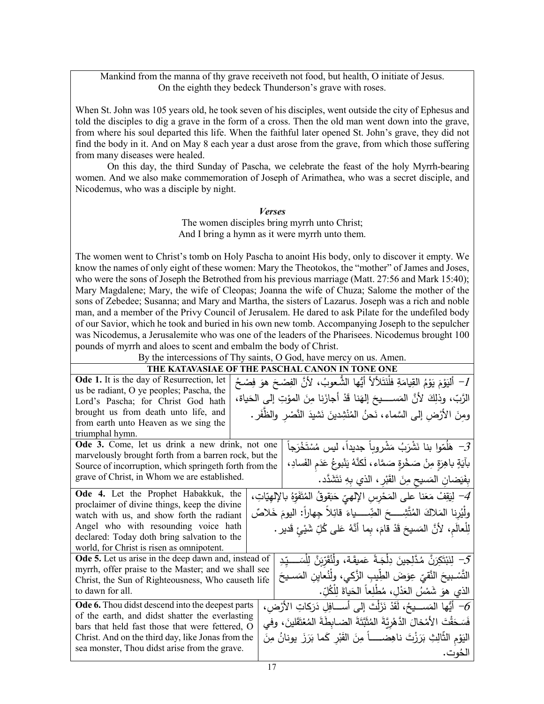Mankind from the manna of thy grave receiveth not food, but health, O initiate of Jesus. On the eighth they bedeck Thunderson's grave with roses.

When St. John was 105 years old, he took seven of his disciples, went outside the city of Ephesus and told the disciples to dig a grave in the form of a cross. Then the old man went down into the grave, from where his soul departed this life. When the faithful later opened St. John's grave, they did not find the body in it. And on May 8 each year a dust arose from the grave, from which those suffering from many diseases were healed.

On this day, the third Sunday of Pascha, we celebrate the feast of the holy Myrrh-bearing women. And we also make commemoration of Joseph of Arimathea, who was a secret disciple, and Nicodemus, who was a disciple by night.

## *Verses*

The women disciples bring myrrh unto Christ; And I bring a hymn as it were myrrh unto them.

The women went to Christ's tomb on Holy Pascha to anoint His body, only to discover it empty. We know the names of only eight of these women: Mary the Theotokos, the "mother" of James and Joses, who were the sons of Joseph the Betrothed from his previous marriage (Matt. 27:56 and Mark 15:40); Mary Magdalene; Mary, the wife of Cleopas; Joanna the wife of Chuza; Salome the mother of the sons of Zebedee; Susanna; and Mary and Martha, the sisters of Lazarus. Joseph was a rich and noble man, and a member of the Privy Council of Jerusalem. He dared to ask Pilate for the undefiled body of our Savior, which he took and buried in his own new tomb. Accompanying Joseph to the sepulcher was Nicodemus, a Jerusalemite who was one of the leaders of the Pharisees. Nicodemus brought 100 pounds of myrrh and aloes to scent and embalm the body of Christ.

By the intercessions of Thy saints, O God, have mercy on us. Amen.

## **THE KATAVASIAE OF THE PASCHAL CANON IN TONE ONE**

|                                                        |  | THE TASCHAE CARON IN TON                                                                                      |
|--------------------------------------------------------|--|---------------------------------------------------------------------------------------------------------------|
| <b>Ode 1.</b> It is the day of Resurrection, let       |  | 1− أَلنِوْمَ يَوْمُ القِيامَةِ فلْنَتَلألأ أيُّها الشُّعوبُ، لأنَّ الفِصْحَ هوَ فِصْحُ                        |
| us be radiant, O ye peoples; Pascha, the               |  | الرَّبِّ، وذلِكَ لأنَّ المَســــيحَ إلهَنا قَدْ أجازَنا مِنَ المؤتِ إلى الحَياة،                              |
| Lord's Pascha; for Christ God hath                     |  |                                                                                                               |
| brought us from death unto life, and                   |  | ومنَ الأرْضِ إلى السَّماء، نَحنُ المُنْشِدينَ نَشيدَ النَّصْرِ والظَّفَرِ .                                   |
| from earth unto Heaven as we sing the                  |  |                                                                                                               |
| triumphal hymn.                                        |  |                                                                                                               |
| Ode 3. Come, let us drink a new drink, not one         |  | هَلُمّوا بنا نَشْرَبُ مَشْروباً جديداً، ليس مُسْتَخْرَجاً $\mathcal{S}$                                       |
| marvelously brought forth from a barren rock, but the  |  |                                                                                                               |
| Source of incorruption, which springeth forth from the |  | بآيَةٍ باهِرَةٍ مِنْ صَخْرةٍ صَمَّاء، لَكنَّهُ يَنْبوعُ عَدَمِ الفَسادِ،                                      |
| grave of Christ, in Whom we are established.           |  | بِفَيَضانِ المَسيحِ مِنَ القَبْرِ ، الذي بِهِ نَتَشَدَّد.                                                     |
| Ode 4. Let the Prophet Habakkuk, the                   |  | لِيَقِفْ مَعَنا على المَحْرِسِ الإِلهيِّ حَبَقوقُ المُتَفَوِّهُ بالإِلهِيّاتِ، $-4$                           |
| proclaimer of divine things, keep the divine           |  |                                                                                                               |
| watch with us, and show forth the radiant              |  | ولَيُرِنا المَلاكَ المُتَّشِـــــحَ الضِّــــــياءَ قائِلاً جِهاراً: اليومَ خَلاصٌ                            |
| Angel who with resounding voice hath                   |  | لِلْعالَمِ، لأنَّ المَسيحَ قَدْ قامَ، بِما أنَّهُ عَلى كُلِّ شَيْئٍ قَديرٍ .                                  |
| declared: Today doth bring salvation to the            |  |                                                                                                               |
| world, for Christ is risen as omnipotent.              |  |                                                                                                               |
| Ode 5. Let us arise in the deep dawn and, instead of   |  | $\mathcal{F} - \mathcal{L}$ َ لِنَبْتَكِرَنَّ مُدَّلِجِينَ دِلْجَـةً عَمِيقَـة، ولْنُقَرّبَنَّ لِلْسَـــدِّدِ |
| myrrh, offer praise to the Master; and we shall see    |  | التَّسْبِيحَ النَّقيّ عِوَضَ الطِّيبِ الزَّكي، ولِّنُعاين المَسـيحَ                                           |
| Christ, the Sun of Righteousness, Who causeth life     |  |                                                                                                               |
| to dawn for all.                                       |  | الذي هوَ شَمْسُ العَدْلِ، مُطْلِعاً الحَياةَ لِلْكُلِّ.                                                       |
| Ode 6. Thou didst descend into the deepest parts       |  | أَيُّها المَســـيحُ، لَقَدْ نَزَلْتَ إلى أســـافِلِ دَرَكاتِ الأَرْضِ، $\delta$                               |
| of the earth, and didst shatter the everlasting        |  | فَسَحَقْتَ الأَمْخالَ الدَّهْرِيَّةَ المُثَبَّتَةَ الضـابطَةَ المُعْتَقَلينَ، وفي                             |
| bars that held fast those that were fettered, O        |  |                                                                                                               |
| Christ. And on the third day, like Jonas from the      |  | اليَوْمِ الثَّالِثِ بَرَزْتَ ناهِضـــــاً مِنَ القَبْرِ كَما بَرَزَ يونانُ مِنَ                               |
| sea monster, Thou didst arise from the grave.          |  | الحُوت.                                                                                                       |
|                                                        |  |                                                                                                               |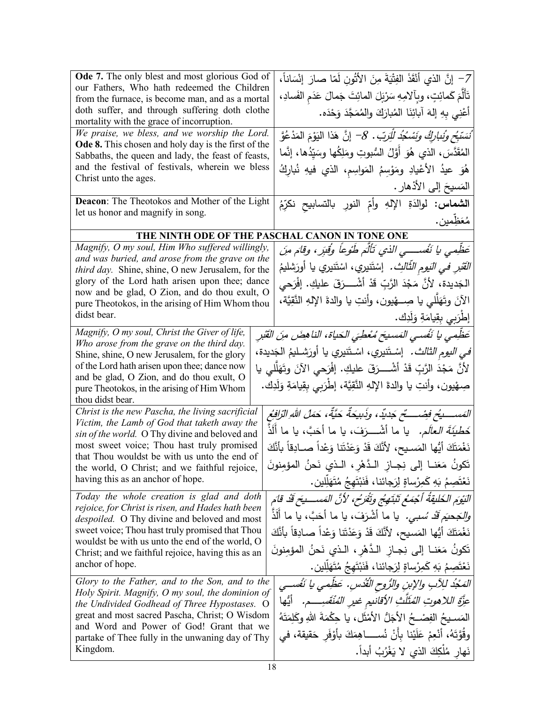| Ode 7. The only blest and most glorious God of<br>our Fathers, Who hath redeemed the Children<br>from the furnace, is become man, and as a mortal<br>doth suffer, and through suffering doth clothe<br>mortality with the grace of incorruption.<br>We praise, we bless, and we worship the Lord.<br><b>Ode 8.</b> This chosen and holy day is the first of the<br>Sabbaths, the queen and lady, the feast of feasts,<br>and the festival of festivals, wherein we bless<br>Christ unto the ages.                                                                                                                                                    | 7– إِنَّ الذي أَنْقَذَ الفِتْيَةَ مِنَ الأَتُونِ لَمّا صارَ إِنْسَاناً،<br>تَأَلَّمَ كَمائِتٍ، وبِآلامِهِ سَرْبَلَ المائِتَ جَمالَ عَدَم الفَسادِ،<br>أَعْنِي بِهِ إِلهَ آبائِنَا الْمُبارَكَ والْمُمَجَّدَ وَحْدَه.<br>ُنَسَبَّ <i>حٍ وَنُناٖرِكُ وَنَسْكُدُ لِلْرَبّ. 8-</i> إِنَّ هَذَا ال <sub>ْ</sub> يَوْمَ المَدْعُوَّ<br>المُقَدَّسَ، الذي هُوَ أَوَّلُ السُّبوتِ ومَلِكُها وسَيِّدُها، إنَّما<br>هُوَ عيدُ الأعْيادِ ومَوْسِمُ المَواسِم، الذي فيهِ نُبارِكُ<br>المَسيحَ إلى الأذْهارِ .                                                                                                                                                                                                                     |
|------------------------------------------------------------------------------------------------------------------------------------------------------------------------------------------------------------------------------------------------------------------------------------------------------------------------------------------------------------------------------------------------------------------------------------------------------------------------------------------------------------------------------------------------------------------------------------------------------------------------------------------------------|-----------------------------------------------------------------------------------------------------------------------------------------------------------------------------------------------------------------------------------------------------------------------------------------------------------------------------------------------------------------------------------------------------------------------------------------------------------------------------------------------------------------------------------------------------------------------------------------------------------------------------------------------------------------------------------------------------------------------|
| <b>Deacon:</b> The Theotokos and Mother of the Light<br>let us honor and magnify in song.                                                                                                                                                                                                                                                                                                                                                                                                                                                                                                                                                            | ا <b>لشماس:</b> لوالدَةِ الإلهِ وأمِّ النورِ بالتسابيح نكرِّمُ<br>مُعَظِمين.                                                                                                                                                                                                                                                                                                                                                                                                                                                                                                                                                                                                                                          |
|                                                                                                                                                                                                                                                                                                                                                                                                                                                                                                                                                                                                                                                      | THE NINTH ODE OF THE PASCHAL CANON IN TONE ONE                                                                                                                                                                                                                                                                                                                                                                                                                                                                                                                                                                                                                                                                        |
| Magnify, O my soul, Him Who suffered willingly,<br>and was buried, and arose from the grave on the<br>third day. Shine, shine, O new Jerusalem, for the<br>glory of the Lord hath arisen upon thee; dance<br>now and be glad, O Zion, and do thou exult, O<br>pure Theotokos, in the arising of Him Whom thou<br>didst bear.                                                                                                                                                                                                                                                                                                                         | عَظِمى يا نَفْســـى الذي تَأْلَمَ طَوْعاً وُقْبَرٍ، وقامَ منَ<br><i>الْقْبْرِ في النَيوم الثَّالثِ.</i> إسْتَنيري، اسْتَنيري يا أُورَشليمُ<br>الْجَديدة، لأَنَّ مَجْدَ الرَّبِّ قَدْ أَشْــــرَقَ عليكِ. إفْرَحي<br>الآنَ وتَهَلَّلي يا صِـــهْيون، وأنتِ يا والدةَ الإلهِ النَّقِيَّة،<br>إطْرَبِي بِقِيامَةِ وَلَدِك.                                                                                                                                                                                                                                                                                                                                                                                               |
| Magnify, O my soul, Christ the Giver of life,<br>Who arose from the grave on the third day.<br>Shine, shine, O new Jerusalem, for the glory<br>of the Lord hath arisen upon thee; dance now<br>and be glad, O Zion, and do thou exult, O<br>pure Theotokos, in the arising of Him Whom<br>thou didst bear.                                                                                                                                                                                                                                                                                                                                           | عَظِّمى يا نَفْسى المَسيحَ مُعْطِيَ الحَياة، الناهضَ منَ القَبْرِ<br><i>في اليوم الثالث.</i> إسْـتَنيري، اسْـتَنيري يا أورَشــليمُ الـجَديدة،<br>لأَنَّ مَجْدَ الرَّبِّ قَدْ أَشْــــرَقَ عليكِ. إِفْرَحي الآنَ وتَهَلَّلي يا<br>صِهْيون، وأنتِ يا والدة الإلهِ النَّقِيَّة، إطْرَبِي بِقِيامَةِ وَلَدِك.                                                                                                                                                                                                                                                                                                                                                                                                             |
| Christ is the new Pascha, the living sacrificial<br>Victim, the Lamb of God that taketh away the<br>sin of the world. O Thy divine and beloved and<br>most sweet voice; Thou hast truly promised<br>that Thou wouldst be with us unto the end of<br>the world, O Christ; and we faithful rejoice,<br>having this as an anchor of hope.<br>Today the whole creation is glad and doth<br>rejoice, for Christ is risen, and Hades hath been<br>despoiled. O Thy divine and beloved and most<br>sweet voice; Thou hast truly promised that Thou<br>wouldst be with us unto the end of the world, O<br>Christ; and we faithful rejoice, having this as an | المَســــــــــــخ فِصْـــــــــّح جَديّد، وذَبيحةٌ حَيّةٌ، حَمَلُ اللهِ الزّافِعُ<br>خَطْ <i>يَةَ العالَم.</i> يا ما أشْــــرَفَ، يا ما أَحَبَّ، يا ما أَلَذٌ<br>نَغْمَتَكَ أَيُّها المَسـيح، لأَنَّكَ قَدْ وَعَدْتَنا وَعْداً صــادِقاً بأَنَّكَ<br>تَكونُ مَعَنــا إلى نِجــازِ الـدَّهْرِ ، الـذي نَحنُ المؤمِنونَ<br>نَعْتَصِمُ بَهِ كَمِرْساةٍ لِرَجائنا، فَنَبْتَهِجُ مُتَهَلِّلِين.<br>النَيْوَمِ الخَلْيقَةُ أَجْمَعُ تَنْبَتِهِجُ وتَقْرَحُ، لأَنَّ المَسْسِيَحَ قَدْ قَامَ<br><i>والجَحيَم قَدْ سُبي.</i> يا ما أشْرَفَ، يا ما أَحَبَّ، يا ما أَلَذَّ<br>نَغْمَتَكَ أَيُّها المَسيح، لأَنَّكَ قَدْ وَعَدْتَنا وَعْداً صـادِقاً بأَنَّكَ<br>تَكونُ مَعَنــا إلى نِجــاز الـدَّهْرِ ، الـذي نَحنُ المؤمِنونَ |
| anchor of hope.<br>Glory to the Father, and to the Son, and to the<br>Holy Spirit. Magnify, O my soul, the dominion of<br>the Undivided Godhead of Three Hypostases. O<br>great and most sacred Pascha, Christ; O Wisdom<br>and Word and Power of God! Grant that we<br>partake of Thee fully in the unwaning day of Thy<br>Kingdom.                                                                                                                                                                                                                                                                                                                 | نَعْتَصِمُ بَهِ كَمِرْساةٍ لِرَجائنا، فَنَبْتَهِجُ مُتَهَلِّلِين.<br>المَجْدُ للِآبِ والإبنِ والرُّوحِ الْقُدُسِ. عَظِّمي يا نَفْسي<br>عزَّة اللاهوتِ المُثَلَّثِ الأقانيم غير المُنْقَسِــــم. ۖ أَيُّها<br>المَسـيحُ الفِصْـحُ الأجَلُّ الأمْثَلِ، يا حِكْمَةَ اللهِ وكَلِمَتَهُ<br>وقُوَّتَهُ، أَنْعِمْ عَلَيْنا بِأَنْ نُســــاهِمَكَ بِأَوْفَرٍ حَقيقة، في<br>نَهارٍ مُلْكِكَ الذي لا يَغْرُبُ أَبِداً.                                                                                                                                                                                                                                                                                                          |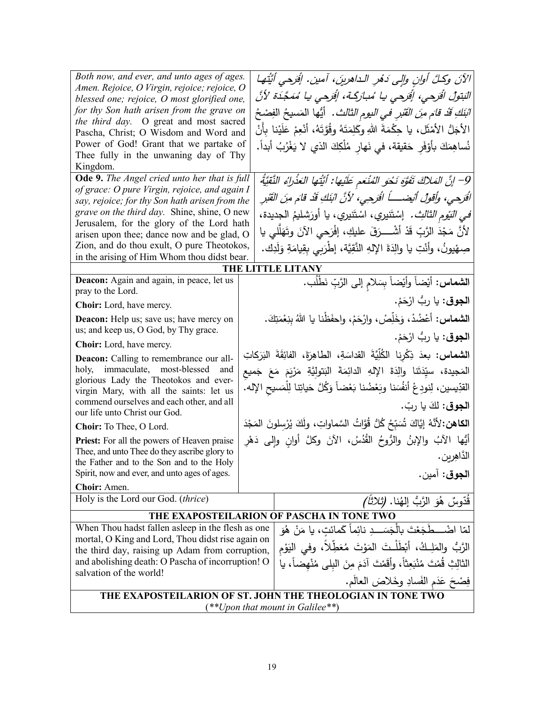| Both now, and ever, and unto ages of ages.                                                           |  | الآنَ وكلَّ أُوانِ وإلى دَمُرِ الـداهرينَ، آمين. إفَرحى أيَّتُها                                   |
|------------------------------------------------------------------------------------------------------|--|----------------------------------------------------------------------------------------------------|
| Amen. Rejoice, O Virgin, rejoice; rejoice, O<br>blessed one; rejoice, O most glorified one,          |  | الْبَتولُ الْقَرِحى، إِفْرَحى يا مُبارَكَة، إِفْرَحى يا مُمَجَّدَة لأَنَّ                          |
| for thy Son hath arisen from the grave on                                                            |  | البَنَكِ قَدْ قا <sub>َم</sub> م <i>ِنَ القَبْرِ في اليوم الثالث .</i> أَيُّها  المَسيحُ  الفِصْحُ |
| the third day. O great and most sacred                                                               |  |                                                                                                    |
| Pascha, Christ; O Wisdom and Word and                                                                |  | الأجَلُّ الأَمْثَل، يا حِكْمَةَ اللهِ وكَلِمَتَهُ وقُوَّتَهُ، أَنْعِمْ عَلَيْنا بِأَنْ             |
| Power of God! Grant that we partake of                                                               |  | نُساهِمَكَ بأَوْفَرِ حَقيقة، في نَهارِ مُلْكِكَ الذي لا يَغْرُبُ أبداً.                            |
| Thee fully in the unwaning day of Thy                                                                |  |                                                                                                    |
| Kingdom.<br>Ode 9. The Angel cried unto her that is full                                             |  |                                                                                                    |
| of grace: O pure Virgin, rejoice, and again I                                                        |  | 9– إنَّ المَلاكَ تَفَوَّهِ نَحْو المُنْعَمِ عَلَيْها: أَيَّتُها العَذْراءُ النَّقِيَّةُ            |
| say, rejoice; for thy Son hath arisen from the                                                       |  | الْقَرِحِي، وأَقُولُ أَيْضِـــــاً الْقَرِحِي، لأَنَّ ابْنَكِ قَدْ قَامَ مِنَ الْقَبْرِ            |
| grave on the third day. Shine, shine, O new                                                          |  | <i>في النّوم الثالث.</i> إسْتَنيري، اسْتَنيري، يا أورَشليمُ الجديدة،                               |
| Jerusalem, for the glory of the Lord hath                                                            |  |                                                                                                    |
| arisen upon thee; dance now and be glad, O                                                           |  | لأَنَّ مَجْدَ الرَّبِّ قَدْ أَشْــــرَقَ عليكِ، إفْرَحي الآنَ وتَهَلَّلي يا                        |
| Zion, and do thou exult, O pure Theotokos,                                                           |  | صِهْيونُ، وأَنْتِ يا والِدَةَ الإِلهِ النَّقِيَّة، إطْرَبِي بِقِيامَةِ وَلَدِك.                    |
| in the arising of Him Whom thou didst bear.                                                          |  |                                                                                                    |
| Deacon: Again and again, in peace, let us                                                            |  | THE LITTLE LITANY                                                                                  |
| pray to the Lord.                                                                                    |  | ال <b>شماس:</b> أيْضاً وأيْضاً بِسَلامِ إلى الرَّبِّ نَطْلُب.                                      |
| <b>Choir:</b> Lord, have mercy.                                                                      |  | ا <b>لجوق</b> : يا ربُّ ارْحَمْ.                                                                   |
| Deacon: Help us; save us; have mercy on                                                              |  | ا <b>لشماس:</b> أعْضُدْ، وَخَلِّصْ، وارْحَمْ، واحفَظْنا يا اللهُ بِنِعْمَتِكَ.                     |
| us; and keep us, O God, by Thy grace.                                                                |  | ا <b>لجوق</b> : يا ربُّ ارْحَمْ.                                                                   |
| <b>Choir:</b> Lord, have mercy.                                                                      |  |                                                                                                    |
| <b>Deacon:</b> Calling to remembrance our all-                                                       |  | ا <b>لشماس:</b> بعدَ ذِكْرِنا الكُلِّيَّةَ القداسَةِ، الطاهِرَةَ، الفائِقَةَ البَرَكاتِ            |
| holy, immaculate, most-blessed<br>and                                                                |  | المَجيدة، سيِّدَتَنا والِدَةَ الإِلهِ الدائِمَةَ البَتولِيَّةِ مَرْيَمَ مَعَ جَميع                 |
| glorious Lady the Theotokos and ever-<br>virgin Mary, with all the saints: let us                    |  | القدِّيسين، لِنودِعْ أنفُسَنا وبَعْضُنا بَعْضاً وَكُلَّ حَياتِنا لِلْمَسيح الإِله.                 |
| commend ourselves and each other, and all                                                            |  |                                                                                                    |
| our life unto Christ our God.                                                                        |  | ا <b>لجوق</b> : لكَ يا ربّ.                                                                        |
| Choir: To Thee, O Lord.                                                                              |  | الكاهن: لأنَّهُ إِيَّاكَ شُبَبِّحُ كُلُّ قُوَّاتُ السَّماواتِ، ولَكَ يُرْسلونَ المَجْدَ            |
| <b>Priest:</b> For all the powers of Heaven praise                                                   |  | أَيُّها الآبُ والإبنُ والرُّوحُ القُدُسُ، الآنَ وكلَّ أوانِ وإلى دَهْرِ                            |
| Thee, and unto Thee do they ascribe glory to                                                         |  | الدَّاهِرِينِ .                                                                                    |
| the Father and to the Son and to the Holy                                                            |  |                                                                                                    |
| Spirit, now and ever, and unto ages of ages.                                                         |  | الجوق: أمين.                                                                                       |
| Choir: Amen.                                                                                         |  |                                                                                                    |
| Holy is the Lord our God. (thrice)                                                                   |  | قُدّوسٌ هُوَ الرَّبُّ إِلهُنا. <i>(ثلاثاً)</i>                                                     |
| THE EXAPOSTEILARION OF PASCHA IN TONE TWO                                                            |  |                                                                                                    |
| When Thou hadst fallen asleep in the flesh as one                                                    |  | لمّا اضْــــطَجَعْتَ بِالْجَسَـــدِ نائِماً كَمائتِ، يا مَنْ هُوَ                                  |
| mortal, O King and Lord, Thou didst rise again on                                                    |  | الرَّبُّ والمَلِـكُ، أَبْطَلْـتَ المَوْتَ مُعَطِلاً، وفي اليَوْمِ                                  |
| the third day, raising up Adam from corruption,<br>and abolishing death: O Pascha of incorruption! O |  |                                                                                                    |
| salvation of the world!                                                                              |  | الثالِثِ قُمْتَ مُنْبَعِثاً، وأقَمْتَ آدَمَ مِنَ البِلي مُنْهِضاً، يا                              |
|                                                                                                      |  | فِصْحَ عَدَمِ الفَسادِ وخَلاصَ العالَمِ.                                                           |
|                                                                                                      |  | THE EXAPOSTEILARION OF ST. JOHN THE THEOLOGIAN IN TONE TWO                                         |
|                                                                                                      |  | $(**Upon$ that mount in Galilee**)                                                                 |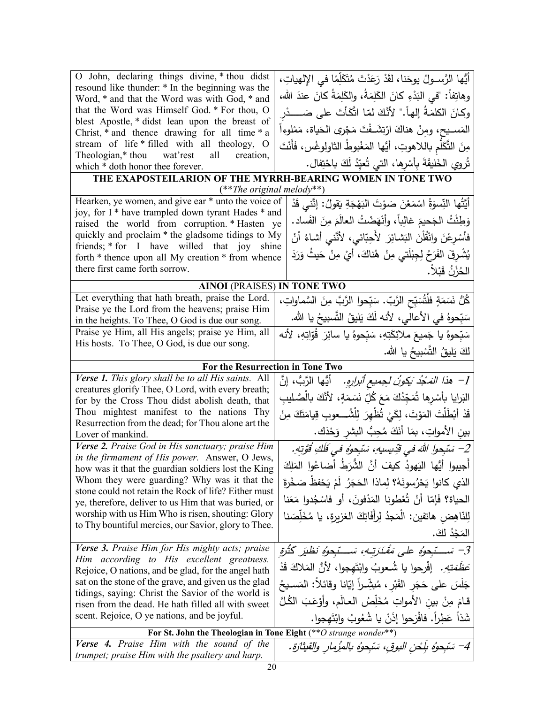| O John, declaring things divine, * thou didst                                                                | أَيُّها الرَّســولُ يوحَنا، لقَدْ رَعَدْتَ مُتَكَلِّمًا فـى الإِلهياتِ،          |
|--------------------------------------------------------------------------------------------------------------|----------------------------------------------------------------------------------|
| resound like thunder: * In the beginning was the                                                             |                                                                                  |
| Word, * and that the Word was with God, * and                                                                | وهاتِفاً: "في البَدْءِ كانَ الكَلِمَةُ، والكَلِمَةُ كانَ عندَ الله،              |
| that the Word was Himself God. * For thou, O                                                                 | وكانَ الكلمَةُ إلهاً." لأَنَّكَ لمّا اتَّكَأْتَ على صَـــــــدْر                 |
| blest Apostle, * didst lean upon the breast of<br>Christ, * and thence drawing for all time * a              | المَســيح، ومنْ هناكَ ارْتِشَــفْتَ مَجْرِي الحَياة، مَمْلوءاً                   |
| stream of life * filled with all theology, O                                                                 | مِنَ التَّكَلَّم باللاهوتِ، أيُّها المَغْبوطُ الثاولوغُس، فَأَنْتَ               |
| Theologian,* thou wat'rest<br>all<br>creation,                                                               |                                                                                  |
| which * doth honor thee forever.                                                                             | تُروي الخَليقَةَ بِأَسْرِها، التي تُعيِّدُ لَكَ باحْتِفال.                       |
| THE EXAPOSTEILARION OF THE MYRRH-BEARING WOMEN IN TONE TWO                                                   |                                                                                  |
| $(**The original melody**)$                                                                                  |                                                                                  |
| Hearken, ye women, and give ear * unto the voice of<br>joy, for I * have trampled down tyrant Hades * and    | أَيَّتُها النِّسوَةُ اسْمَعْنَ صَوْتَ البَهْجَةِ يَقولُ: إنَّنى قَدْ             |
| raised the world from corruption. * Hasten ye                                                                | وَطِئْتُ الجَحيمَ غالِباً، وأَنْهَضْتُ العالَمَ مِنَ الفَساد.                    |
| quickly and proclaim * the gladsome tidings to My                                                            | فأَسْرِعْنَ وانْقُلْنَ النَشائِرَ ۖ لأَحِبّائي، لأنَّني أشاءُ أنْ                |
| friends; * for I have willed that joy shine                                                                  |                                                                                  |
| forth * thence upon all My creation * from whence                                                            | يُشْرِقَ الفَرَحُ لِجِبْلَتي مِنْ هُناكَ، أَيْ مِنْ حَيثُ وَرَدَ                 |
| there first came forth sorrow.                                                                               | الحُزْنُ قَبْلاً.                                                                |
| <b>AINOI</b> (PRAISES) IN TONE TWO                                                                           |                                                                                  |
| Let everything that hath breath, praise the Lord.                                                            | كُلُّ نَسَمَةٍ فلْتُسَبِّحِ الرَّبِّ. سَبِّحوا الرَّبَّ مِنَ السَّماواتِ،        |
| Praise ye the Lord from the heavens; praise Him                                                              |                                                                                  |
| in the heights. To Thee, O God is due our song.                                                              | سَبّحوهُ في الأعالى، لأنه لَكَ يَليقُ النَّسبيحُ يا الله.                        |
| Praise ye Him, all His angels; praise ye Him, all                                                            | سَبّحوهُ يا جَميعَ ملائِكَتِهِ، سَبّحوهُ يا سائِرَ  قُوّاتِهِ، لأنه              |
| His hosts. To Thee, O God, is due our song.                                                                  | لكَ يَلِيقُ التَّسْبِيحُ يا الله.                                                |
| For the Resurrection in Tone Two                                                                             |                                                                                  |
| Verse 1. This glory shall be to all His saints. All                                                          | 1−   هذا المَدْدُ بَك <i>ونُ ل</i> جميع <i>أثرارِهِ.</i> أَيُّها الرَّبُّ ، إنَّ |
| creatures glorify Thee, O Lord, with every breath;                                                           |                                                                                  |
| for by the Cross Thou didst abolish death, that                                                              | البَرايا بأَسْرِها تُمَجِّدُكَ مَعَ كُلِّ نَسَمَةٍ، لأنَّكَ بالْصَّليبِ          |
| Thou mightest manifest to the nations Thy                                                                    | قَدْ أَبْطَلْتَ المَوْتَ، لِكَيْ تُظْهِرَ لِلْشُـــعوبِ قِيامَتَكَ مِنْ          |
| Resurrection from the dead; for Thou alone art the<br>Lover of mankind.                                      | بين الأمواتِ، بمَا أَنَكَ مُحِبٌ البشرِ وَحْدَك.                                 |
| Verse 2. Praise God in His sanctuary; praise Him                                                             |                                                                                  |
| in the firmament of His power. Answer, O Jews,                                                               | 2– سَبْحوا اللهَ في قَدِيسِيهِ، سَبْحِوُهِ في فَلَكِ قُوَّتِهِ.                  |
| how was it that the guardian soldiers lost the King                                                          | أَجيبوا أيُّها اليَهودُ كيفَ أنَّ الشُّرَطُ أضاعُوا المَلِكَ                     |
| Whom they were guarding? Why was it that the                                                                 | الذي كانوا يَحْرُسونَهُ؟ لِماذا الحَجَرُ ۖ لَمْ يَحْفظُ صَخْرةَ                  |
| stone could not retain the Rock of life? Either must<br>ye, therefore, deliver to us Him that was buried, or | الحياة؟ فَإِمّا أَنْ تُعْطونا المَدْفونَ، أَو فاسْجُدوا مَعَنا                   |
| worship with us Him Who is risen, shouting: Glory                                                            | لِلنّاهِض هاتفين: الْمَجِدُ لِرأَفَاتِكَ الغزبرةِ، يا مُخَلِّصَنا                |
| to Thy bountiful mercies, our Savior, glory to Thee.                                                         |                                                                                  |
|                                                                                                              | المَجْدُ لكَ.                                                                    |
| Verse 3. Praise Him for His mighty acts; praise                                                              | 3– سَـــتَبحوُهِ على مَقْدَرَتِـهِ، سَـــتَبحوُهِ نَظْيَرِ كَثْرَةِ              |
| Him according to His excellent greatness.                                                                    | عَ <i>ظَمَتِهِ.</i> إفْرحوا يا شُعوبُ وابْتَهجوا، لأنَّ المَلاكَ قَدْ            |
| Rejoice, O nations, and be glad, for the angel hath<br>sat on the stone of the grave, and given us the glad  |                                                                                  |
| tidings, saying: Christ the Savior of the world is                                                           | جَلَسَ على حَجَرِ القَبْرِ ، مُبشِّراً إيّانا وقائلاً: المَسـيحُ                 |
| risen from the dead. He hath filled all with sweet                                                           | قـامَ مِنْ بين الأمواتِ مُخَلِّصُ العـالَمِ، وأوْعَبَ الكُلَّ                    |
| scent. Rejoice, O ye nations, and be joyful.                                                                 | شَذاً عَطِراً. فافْرَحوا إذَنْ يا شُعُوبُ وابْتَهجوا.                            |
| For St. John the Theologian in Tone Eight (** O strange wonder**)                                            |                                                                                  |
| Verse 4. Praise Him with the sound of the                                                                    | 4– سَبْحوُه بِلَحْنِ البوقِ، سَبْحوُه بِالمِزْمارِ والقيثارةِ.                   |
| trumpet; praise Him with the psaltery and harp.                                                              |                                                                                  |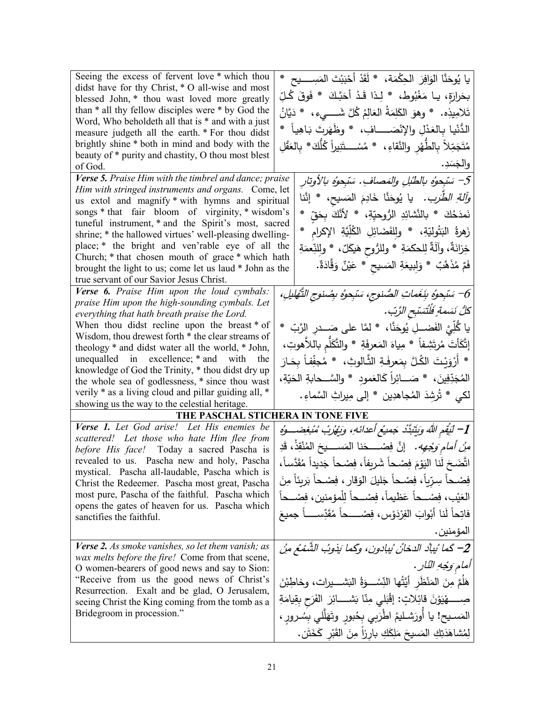| Seeing the excess of fervent love * which thou                                                          |                                                                                 |
|---------------------------------------------------------------------------------------------------------|---------------------------------------------------------------------------------|
|                                                                                                         | يا يُوحَنَّا الوَافِرَ  الحِكْمَة،   * لَقَدْ أَحْبَبْتَ المَسِـــــيح   *      |
| didst have for thy Christ, * O all-wise and most<br>blessed John, * thou wast loved more greatly        | بحَرارَةٍ، يـا مَغْبُوط، * لِـذا قَـدْ أَحَبَّـكَ * فَوقَ كُـلِّ                |
| than * all thy fellow disciples were * by God the                                                       | تَلامِيذِه.   * وهوَ الكَلِمَةُ العَالِمُ كُلَّ شَــــىء ،   * دَيَّانُ         |
| Word, Who beholdeth all that is * and with a just                                                       |                                                                                 |
| measure judgeth all the earth. * For thou didst                                                         | الدُّنْيا بِالعَدْلِ والإِنْصَـــــافِ، * وظَهَرتَ بَاهِياً *                   |
| brightly shine * both in mind and body with the<br>beauty of * purity and chastity, O thou most blest   | مُتَجَمِّلاً بِالطَّهْرِ والنَّقاءِ، * مُسْـــتَنِيراً كُلُّكَ* بِالعَقْلِ      |
| of God.                                                                                                 | والجَسَدِ.                                                                      |
| Verse 5. Praise Him with the timbrel and dance; praise                                                  | 5– سَبْحوُه بالطُبْلِ والمَصافِ. سَبْحوُه بالأوتار                              |
| Him with stringed instruments and organs. Come, let                                                     | <i>وآلةِ الطَّرَب.</i> يا يُوحَنَّا خَادِمَ المَسيح، * إنَّنا                   |
| us extol and magnify * with hymns and spiritual                                                         |                                                                                 |
| songs * that fair bloom of virginity, * wisdom's<br>tuneful instrument, * and the Spirit's most, sacred | نَمدَحُكَ * بالنَّشائِدِ الرُّوحيِّةِ، * لأَنَّكَ بِحَقٍّ *                     |
| shrine; * the hallowed virtues' well-pleasing dwelling-                                                 | زَهرةُ البَتُوليّةِ، * ولِلفَضَائِلِ الكُلِّيَّةِ الإكرامِ *                    |
| place; * the bright and ven'rable eye of all the                                                        | خِزانَةٌ، وآلَةٌ لِلحكمَةِ * وللرُّوحِ هَيَكُلٌ، * ولِلنِّعمَةِ                 |
| Church; * that chosen mouth of grace * which hath                                                       | فَمٌ مُذَهَّبٌ * وَلِبِيعَةِ المَسيحِ * عَيْنٌ وَقَّادَةٌ.                      |
| brought the light to us; come let us laud * John as the<br>true servant of our Savior Jesus Christ.     |                                                                                 |
| Verse 6. Praise Him upon the loud cymbals:                                                              |                                                                                 |
| praise Him upon the high-sounding cymbals. Let                                                          | 6– سَبْحِوْهِ بِنَعَماتِ الصُنوجِ، سَبْحِوْهِ بِصُنوجِ التَّهْليلِ،             |
| everything that hath breath praise the Lord.                                                            | كُلُّ نَسَمةٍ فَلْتُسَبِّحِ الزَّتِ.                                            |
| When thou didst recline upon the breast * of                                                            | يا كُلِّيَّ الفَضـــلِ يُوحَنَّا، * لمَّا على صَـــدر الرَّبّ *                 |
| Wisdom, thou drewest forth * the clear streams of<br>theology * and didst water all the world, * John,  | إِتَّكَأْتَ مُرتَشِفاً * مِياهَ المَعرفَةِ * والتَّكَلُّم باللأهوتِ،            |
| unequalled in excellence; * and with the                                                                | * أَرْوَيْتَ الكُلَّ بِمَعرِفَةِ الثَّالوثِ، * مُجفِّفاً بِحَارَ                |
| knowledge of God the Trinity, * thou didst dry up                                                       |                                                                                 |
| the whole sea of godlessness, * since thou wast                                                         | المُجَدِّفِينَ، * صَـــائِراً كَالعَمودِ * والسَّـــحابةِ الحَيّةِ،             |
| verily * as a living cloud and pillar guiding all, *<br>showing us the way to the celestial heritage.   | لكي * تُرشِدَ المُجاهدِين * إلى مِيراثِ السَّماءِ.                              |
|                                                                                                         | THE PASCHAL STICHERA IN TONE FIVE                                               |
| Verse 1. Let God arise! Let His enemies be                                                              | 1– لَيُقِم اللهُ وَيَتَبَدَّد جَميعُ أعدائهِ، وَيُهُربُ مُبْغِضِــوُهِ          |
| scattered! Let those who hate Him flee from                                                             | <i>مِنْ أمام وَجْهِه.</i> إنَّ فِصْـــحَنا المَســـيحَ المُنْقِذْ، قَدِ         |
| before His face! Today a sacred Pascha is<br>revealed to us. Pascha new and holy, Pascha                |                                                                                 |
| mystical. Pascha all-laudable, Pascha which is                                                          | اتَّضَحَ لَنا اليَوْمَ فِصْحاً شَرِيفاً، فِصْحاً جَديداً مُقَدَّساً،            |
| Christ the Redeemer. Pascha most great, Pascha                                                          | فِصْحاً سِرِّباً، فِصْحاً جَليلَ الوَقارِ ، فِصْحاً بَرِيناً مِنَ               |
| most pure, Pascha of the faithful. Pascha which                                                         | العَيْبِ، فِصْـــحاً عَظيماً، فِصْـــحاً لِلْمؤمِنينِ، فِصْـــحاً               |
| opens the gates of heaven for us. Pascha which<br>sanctifies the faithful.                              | فاتِحاً لَنا أَبْوابَ الفِرْدَوْسِ، فِصْـــــحاً مُقَدِّســـــاً جميعَ          |
|                                                                                                         | المؤمنين.                                                                       |
| Verse 2. As smoke vanishes, so let them vanish; as                                                      |                                                                                 |
| wax melts before the fire! Come from that scene,                                                        | 2– كَما يُيادُ الدخانُ يُيادونِ، وگما يَذوبُ الشَّمْعُ مِنْ                     |
| O women-bearers of good news and say to Sion:                                                           | أمام وَجْهِ النّارِ .                                                           |
| "Receive from us the good news of Christ's                                                              | هَلَمَّ مِنَ المَنْظُرِ أَيَّتُها النِّسْـــوَةُ النَشــــيرات، وخاطِبْنَ       |
| Resurrection. Exalt and be glad, O Jerusalem,<br>seeing Christ the King coming from the tomb as a       | صِـــــــهْيَوْنَ قَائِلاتٍ: إِقْبَلِي مِنّا بَشــــــائِرَ الفَرَحِ بِقِيامَةِ |
| Bridegroom in procession."                                                                              | المَسـيح! يا أورَشـليمُ اطْرَبي بِحُبورِ وتَهَلّلي بِسُـرورِ ،                  |
|                                                                                                         |                                                                                 |
|                                                                                                         | لِمُشاهَدَتِكِ المَسيحَ مَلِكَكِ بارِزاً مِنَ القَبْرِ كَخَتَنِ.                |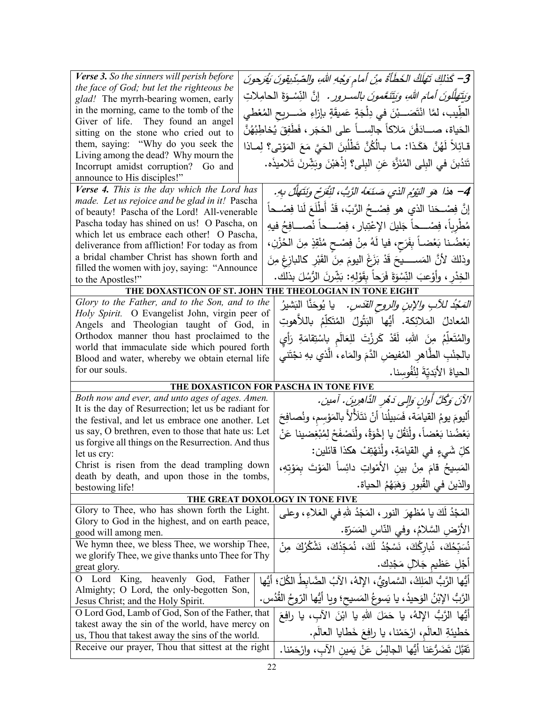| Verse 3. So the sinners will perish before                                                                | 3– كَذلِكَ تَـْهَلَكُ الخَطَأَةُ مِنْ أمام وَجْهِ اللهِ، والصّرِدّيقونَ يَقْرَحونَ                                                |
|-----------------------------------------------------------------------------------------------------------|-----------------------------------------------------------------------------------------------------------------------------------|
| the face of God; but let the righteous be                                                                 | <i>وَيَتَهَلَّلُونَ أَمَامَ اللَّهِ، وَيَتَنَعَّمُونَ بِالسَّـرورِ .</i> إِنَّ النِّسْـوَةَ الْـحامِلاتِ                          |
| glad! The myrrh-bearing women, early<br>in the morning, came to the tomb of the                           |                                                                                                                                   |
| Giver of life. They found an angel                                                                        | الطِّيب، لمَّا انْتَصَـــبْنَ في دِلْجَةٍ عَميقَةٍ بإزاءِ ضَــــريح المُعْطي                                                      |
| sitting on the stone who cried out to                                                                     | الحَياة، صـــادَفْنَ مَلاكاً جالِســاً على الحَجَرِ ، فَطَفِقَ يُخاطِبُهُنَّ                                                      |
| them, saying: "Why do you seek the                                                                        | قـائِلاً لَهُنَّ هَكَـذا: مـا بـالُكُنَّ تَطْلُبنَ الحَيَّ مَعَ المَوْتـى؟ لِمــاذا                                               |
| Living among the dead? Why mourn the                                                                      |                                                                                                                                   |
| Incorrupt amidst corruption? Go and                                                                       | تَندُبنَ في البِلي المُنَزَّهَ عَنِ البِلي؟ إذْهَبْنَ وبَشِّرنَ تَلاميذَه.                                                        |
| announce to His disciples!"                                                                               |                                                                                                                                   |
| Verse 4. This is the day which the Lord has<br>made. Let us rejoice and be glad in it! Pascha             | 4– هذا هو النِّومُ الذي صَنَعَهُ الرَّبُ، لنِّفَرْحٍ ونَتَهَلَّلْ بِهِ.                                                           |
| of beauty! Pascha of the Lord! All-venerable                                                              | إِنَّ فِصْـــحَنا الذي هو فِصْـــحُ الرَّبّ، قَدْ أَطْلَعَ لَنا فِصْـــحاً                                                        |
| Pascha today has shined on us! O Pascha, on                                                               | مُطْرِباً، فِصْــــحاً جَليلَ الإعْتِبارِ ، فِصْــــحاً نُصــــافِحُ فيهِ                                                         |
| which let us embrace each other! O Pascha,                                                                |                                                                                                                                   |
| deliverance from affliction! For today as from                                                            | بَعْضُنا بَعْضاً بِفَرَحٍ، فيا لَهُ مِنْ فِصْحِ مُنْقِزِ مِنَ الْحُزْنِ،                                                          |
| a bridal chamber Christ has shown forth and                                                               | وذلكَ لأنَّ المَســــــيحَ قَدْ بَزَغَ اليومَ مِنَ الْقَبْرِ كالبازِغِ مِنَ                                                       |
| filled the women with joy, saying: "Announce<br>to the Apostles!"                                         | الْخِدْرِ ، وأَوْعِبَ النِّسْوَةَ فَرَحاً بِقَوْلِهِ: بَشِّرنَ الرُّسُلَ بِذلك.                                                   |
|                                                                                                           | THE DOXASTICON OF ST. JOHN THE THEOLOGIAN IN TONE EIGHT                                                                           |
| Glory to the Father, and to the Son, and to the                                                           | <i>المَعْبُد للآبِ والإبنِ والروحِ القدّسِ.</i> يا يُوحَنَّا البَشيرُ                                                             |
| Holy Spirit. O Evangelist John, virgin peer of                                                            |                                                                                                                                   |
| Angels and Theologian taught of God, in                                                                   | المُعادلُ المَلائِكة. أَيُّها البَتُولُ المُتَكلِّمُ باللاَهوتِ                                                                   |
| Orthodox manner thou hast proclaimed to the                                                               | والمُتَعلِّمُ مِنَ اللهِ، لَقَدْ كَرِزْتَ للِعَالَمِ بِاسْتِقامَةِ رَأِي                                                          |
| world that immaculate side which poured forth<br>Blood and water, whereby we obtain eternal life          | بالجنْبِ الطَّاهرِ المُفيضِ الدَّمَ والمَاءِ، الَّذي بهِ نجْتَني                                                                  |
|                                                                                                           |                                                                                                                                   |
|                                                                                                           |                                                                                                                                   |
| for our souls.                                                                                            | الحياةَ الأَبَديّةَ لِنُفُوسِنا.                                                                                                  |
|                                                                                                           | THE DOXASTICON FOR PASCHA IN TONE FIVE                                                                                            |
| Both now and ever, and unto ages of ages. Amen.                                                           | الآنَ وَكُلَّ أُوانٍ وَالِي دَهْرِ الدَّاهِرِينَ. آمين.                                                                           |
| It is the day of Resurrection; let us be radiant for<br>the festival, and let us embrace one another. Let | أَليومَ يومُ القيامَة، فَسَبِيلُنا أَنْ نَتَلَألاً بالمَوْسِم، ونُصافِحَ                                                          |
| us say, O brethren, even to those that hate us: Let                                                       | بَعْضُنا بَعْضاً، ولْنَقُلْ يا إخْوَةُ، ولْنَصْفَحْ لِمُبْغِضينا عَنْ                                                             |
| us forgive all things on the Resurrection. And thus                                                       |                                                                                                                                   |
| let us cry:                                                                                               | كلِّ شَيْءٍ في القيامَةِ، ولِّنَهْتِفْ هكذا قائلين:                                                                               |
| Christ is risen from the dead trampling down                                                              | المَسِيحُ قامَ مِنْ بينِ الأَمْواتِ دائِساً المَوْتَ بِمَوْتِهِ،                                                                  |
| death by death, and upon those in the tombs,<br>bestowing life!                                           | والذينَ في القُبورِ وَهَبَهُمُ الحياة.                                                                                            |
|                                                                                                           | THE GREAT DOXOLOGY IN TONE FIVE                                                                                                   |
| Glory to Thee, who has shown forth the Light.                                                             | المَجْدُ لَكَ يا مُظهِرَ النورِ ، المَجْدُ للهِ في العَلاءِ ، وعلي                                                                |
| Glory to God in the highest, and on earth peace,                                                          |                                                                                                                                   |
| good will among men.                                                                                      | الأرْض السَّلامُ، وفي النَّاسِ المَسَرَّة.                                                                                        |
| We hymn thee, we bless Thee, we worship Thee,                                                             | نُسَبِّحُكَ، نُبارِكُكَ، نَسْجُدُ لَكَ، نُمَجّدُكَ، نَشْكُرُكَ مِنْ                                                               |
| we glorify Thee, we give thanks unto Thee for Thy                                                         | أَجْلِ عَظْيم جَلالٍ مَجْدِك.                                                                                                     |
| great glory.<br>O Lord King,<br>heavenly God, Father                                                      |                                                                                                                                   |
| Almighty; O Lord, the only-begotten Son,                                                                  | أَيُّها الرَّبُّ المَلِكُ، السَّماوِيُّ، الإِلهُ، الآبُ الضَّابِطُ الكُلِّ؛ أَيُّها                                               |
| Jesus Christ; and the Holy Spirit.                                                                        | الرَّبُّ الإِبْنُ الوَحيدُ، يا يَسوعُ المَسيحِ؛ ويا أَيُّها الرّوحُ القُدُسِ.                                                     |
| O Lord God, Lamb of God, Son of the Father, that                                                          | أَيُّها الرَّبُّ الإلهُ، يا حَمَلَ اللهِ يا ابْنَ الآب، يا رافِعَ                                                                 |
| takest away the sin of the world, have mercy on                                                           |                                                                                                                                   |
| us, Thou that takest away the sins of the world.<br>Receive our prayer, Thou that sittest at the right    | خطيئةِ العالَمِ، ارْحَمْنا، يا رافِعَ خَطَايا العالَمِ.<br>نَقَبَّلْ نَضَرُّعَنا أَيُّها الْجالِسُ عَنْ يَمينِ الآبِ، وارْحَمْنا. |